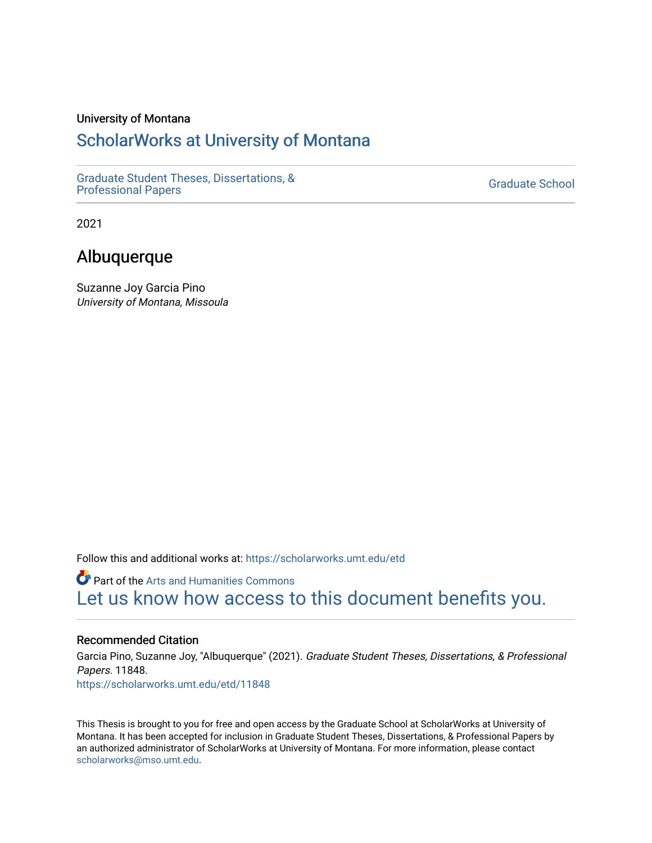#### University of Montana

# [ScholarWorks at University of Montana](https://scholarworks.umt.edu/)

[Graduate Student Theses, Dissertations, &](https://scholarworks.umt.edu/etd) Graduate Student Theses, Dissertations, & Canadia Control of Craduate School [Professional Papers](https://scholarworks.umt.edu/etd) Craduate School

2021

# Albuquerque

Suzanne Joy Garcia Pino University of Montana, Missoula

Follow this and additional works at: [https://scholarworks.umt.edu/etd](https://scholarworks.umt.edu/etd?utm_source=scholarworks.umt.edu%2Fetd%2F11848&utm_medium=PDF&utm_campaign=PDFCoverPages) 

**Part of the Arts and Humanities Commons** [Let us know how access to this document benefits you.](https://goo.gl/forms/s2rGfXOLzz71qgsB2) 

## Recommended Citation

Garcia Pino, Suzanne Joy, "Albuquerque" (2021). Graduate Student Theses, Dissertations, & Professional Papers. 11848. [https://scholarworks.umt.edu/etd/11848](https://scholarworks.umt.edu/etd/11848?utm_source=scholarworks.umt.edu%2Fetd%2F11848&utm_medium=PDF&utm_campaign=PDFCoverPages) 

This Thesis is brought to you for free and open access by the Graduate School at ScholarWorks at University of Montana. It has been accepted for inclusion in Graduate Student Theses, Dissertations, & Professional Papers by an authorized administrator of ScholarWorks at University of Montana. For more information, please contact [scholarworks@mso.umt.edu.](mailto:scholarworks@mso.umt.edu)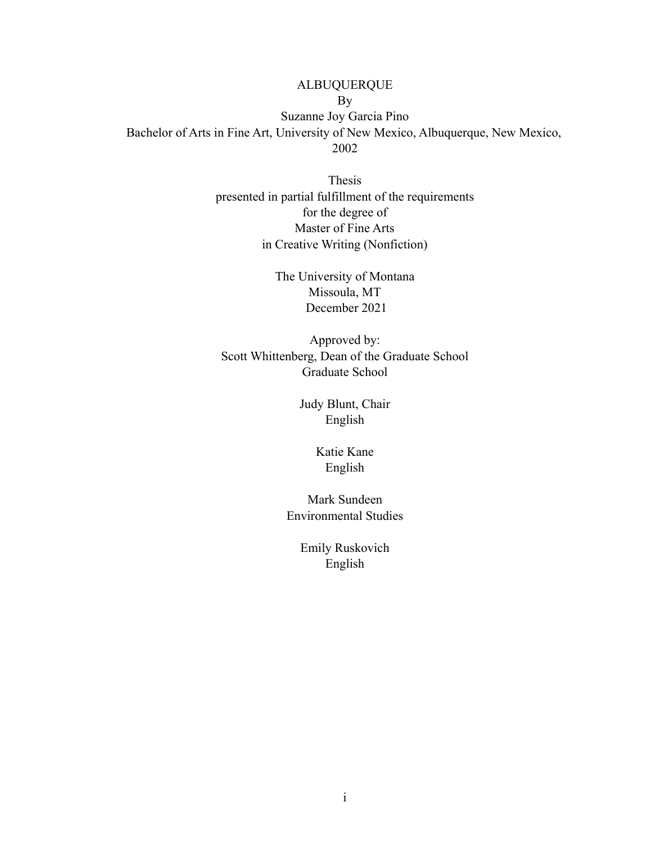ALBUQUERQUE By Suzanne Joy Garcia Pino Bachelor of Arts in Fine Art, University of New Mexico, Albuquerque, New Mexico, 2002

> Thesis presented in partial fulfillment of the requirements for the degree of Master of Fine Arts in Creative Writing (Nonfiction)

> > The University of Montana Missoula, MT December 2021

Approved by: Scott Whittenberg, Dean of the Graduate School Graduate School

> Judy Blunt, Chair English

> > Katie Kane English

Mark Sundeen Environmental Studies

> Emily Ruskovich English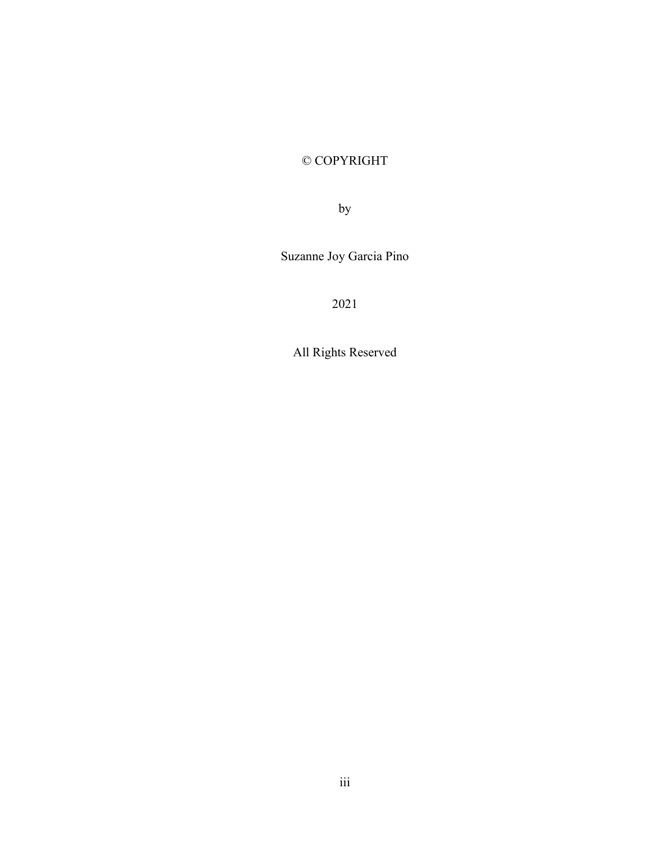# © COPYRIGHT

by

Suzanne Joy Garcia Pino

2021

All Rights Reserved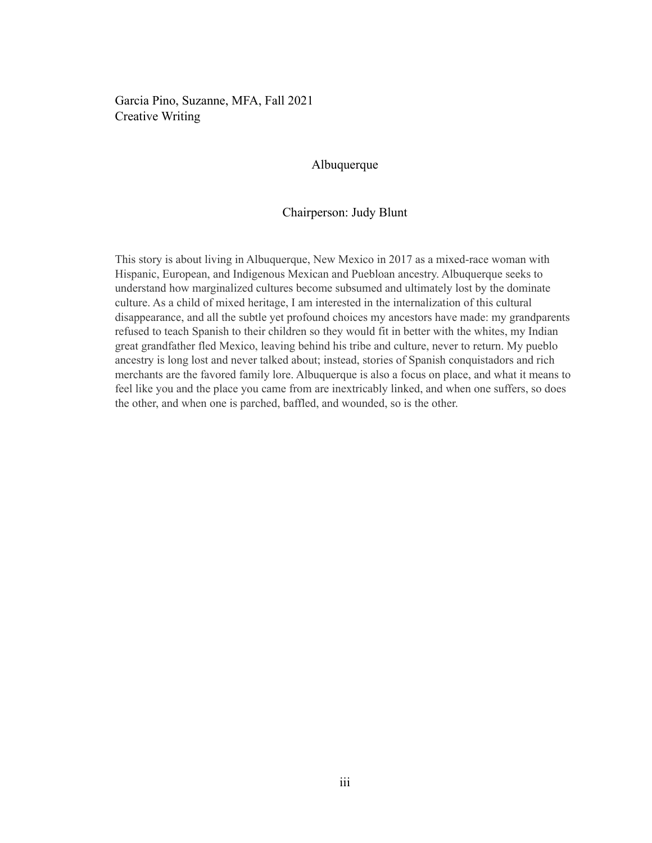Garcia Pino, Suzanne, MFA, Fall 2021 Creative Writing

## Albuquerque

#### Chairperson: Judy Blunt

This story is about living in Albuquerque, New Mexico in 2017 as a mixed-race woman with Hispanic, European, and Indigenous Mexican and Puebloan ancestry. Albuquerque seeks to understand how marginalized cultures become subsumed and ultimately lost by the dominate culture. As a child of mixed heritage, I am interested in the internalization of this cultural disappearance, and all the subtle yet profound choices my ancestors have made: my grandparents refused to teach Spanish to their children so they would fit in better with the whites, my Indian great grandfather fled Mexico, leaving behind his tribe and culture, never to return. My pueblo ancestry is long lost and never talked about; instead, stories of Spanish conquistadors and rich merchants are the favored family lore. Albuquerque is also a focus on place, and what it means to feel like you and the place you came from are inextricably linked, and when one suffers, so does the other, and when one is parched, baffled, and wounded, so is the other.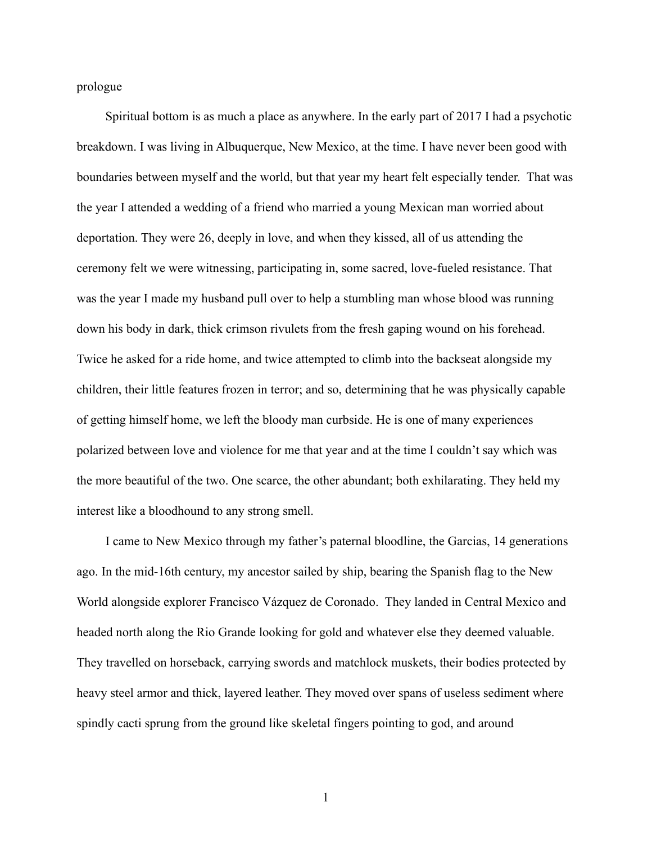prologue

Spiritual bottom is as much a place as anywhere. In the early part of 2017 I had a psychotic breakdown. I was living in Albuquerque, New Mexico, at the time. I have never been good with boundaries between myself and the world, but that year my heart felt especially tender. That was the year I attended a wedding of a friend who married a young Mexican man worried about deportation. They were 26, deeply in love, and when they kissed, all of us attending the ceremony felt we were witnessing, participating in, some sacred, love-fueled resistance. That was the year I made my husband pull over to help a stumbling man whose blood was running down his body in dark, thick crimson rivulets from the fresh gaping wound on his forehead. Twice he asked for a ride home, and twice attempted to climb into the backseat alongside my children, their little features frozen in terror; and so, determining that he was physically capable of getting himself home, we left the bloody man curbside. He is one of many experiences polarized between love and violence for me that year and at the time I couldn't say which was the more beautiful of the two. One scarce, the other abundant; both exhilarating. They held my interest like a bloodhound to any strong smell.

I came to New Mexico through my father's paternal bloodline, the Garcias, 14 generations ago. In the mid-16th century, my ancestor sailed by ship, bearing the Spanish flag to the New World alongside explorer Francisco Vázquez de Coronado. They landed in Central Mexico and headed north along the Rio Grande looking for gold and whatever else they deemed valuable. They travelled on horseback, carrying swords and matchlock muskets, their bodies protected by heavy steel armor and thick, layered leather. They moved over spans of useless sediment where spindly cacti sprung from the ground like skeletal fingers pointing to god, and around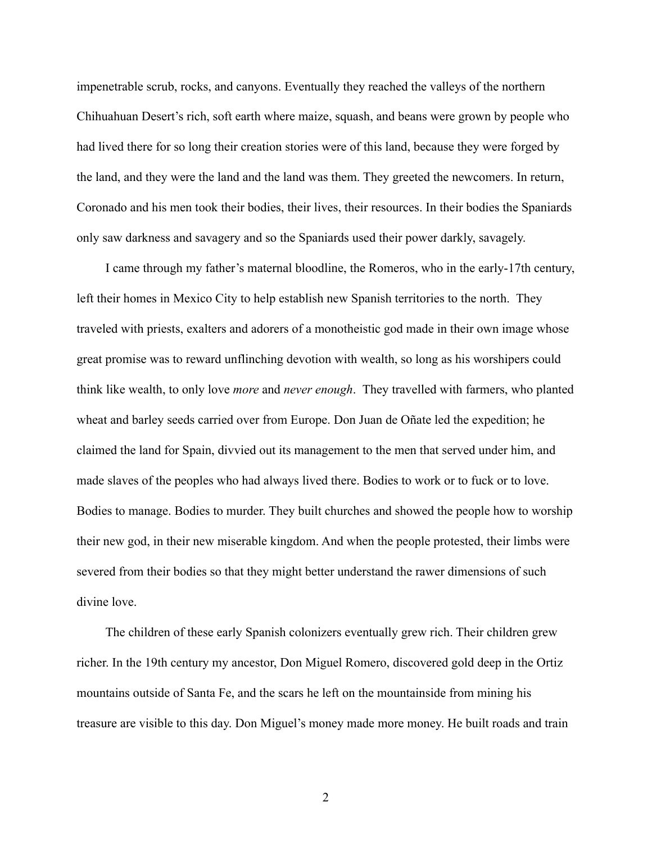impenetrable scrub, rocks, and canyons. Eventually they reached the valleys of the northern Chihuahuan Desert's rich, soft earth where maize, squash, and beans were grown by people who had lived there for so long their creation stories were of this land, because they were forged by the land, and they were the land and the land was them. They greeted the newcomers. In return, Coronado and his men took their bodies, their lives, their resources. In their bodies the Spaniards only saw darkness and savagery and so the Spaniards used their power darkly, savagely.

I came through my father's maternal bloodline, the Romeros, who in the early-17th century, left their homes in Mexico City to help establish new Spanish territories to the north. They traveled with priests, exalters and adorers of a monotheistic god made in their own image whose great promise was to reward unflinching devotion with wealth, so long as his worshipers could think like wealth, to only love *more* and *never enough*. They travelled with farmers, who planted wheat and barley seeds carried over from Europe. Don Juan de Oñate led the expedition; he claimed the land for Spain, divvied out its management to the men that served under him, and made slaves of the peoples who had always lived there. Bodies to work or to fuck or to love. Bodies to manage. Bodies to murder. They built churches and showed the people how to worship their new god, in their new miserable kingdom. And when the people protested, their limbs were severed from their bodies so that they might better understand the rawer dimensions of such divine love.

The children of these early Spanish colonizers eventually grew rich. Their children grew richer. In the 19th century my ancestor, Don Miguel Romero, discovered gold deep in the Ortiz mountains outside of Santa Fe, and the scars he left on the mountainside from mining his treasure are visible to this day. Don Miguel's money made more money. He built roads and train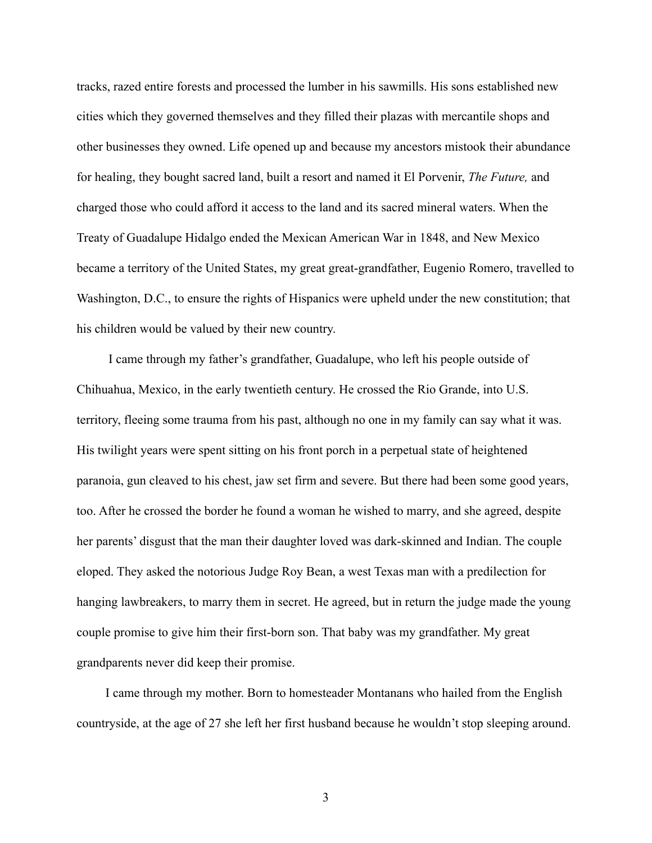tracks, razed entire forests and processed the lumber in his sawmills. His sons established new cities which they governed themselves and they filled their plazas with mercantile shops and other businesses they owned. Life opened up and because my ancestors mistook their abundance for healing, they bought sacred land, built a resort and named it El Porvenir, *The Future,* and charged those who could afford it access to the land and its sacred mineral waters. When the Treaty of Guadalupe Hidalgo ended the Mexican American War in 1848, and New Mexico became a territory of the United States, my great great-grandfather, Eugenio Romero, travelled to Washington, D.C., to ensure the rights of Hispanics were upheld under the new constitution; that his children would be valued by their new country.

I came through my father's grandfather, Guadalupe, who left his people outside of Chihuahua, Mexico, in the early twentieth century. He crossed the Rio Grande, into U.S. territory, fleeing some trauma from his past, although no one in my family can say what it was. His twilight years were spent sitting on his front porch in a perpetual state of heightened paranoia, gun cleaved to his chest, jaw set firm and severe. But there had been some good years, too. After he crossed the border he found a woman he wished to marry, and she agreed, despite her parents' disgust that the man their daughter loved was dark-skinned and Indian. The couple eloped. They asked the notorious Judge Roy Bean, a west Texas man with a predilection for hanging lawbreakers, to marry them in secret. He agreed, but in return the judge made the young couple promise to give him their first-born son. That baby was my grandfather. My great grandparents never did keep their promise.

I came through my mother. Born to homesteader Montanans who hailed from the English countryside, at the age of 27 she left her first husband because he wouldn't stop sleeping around.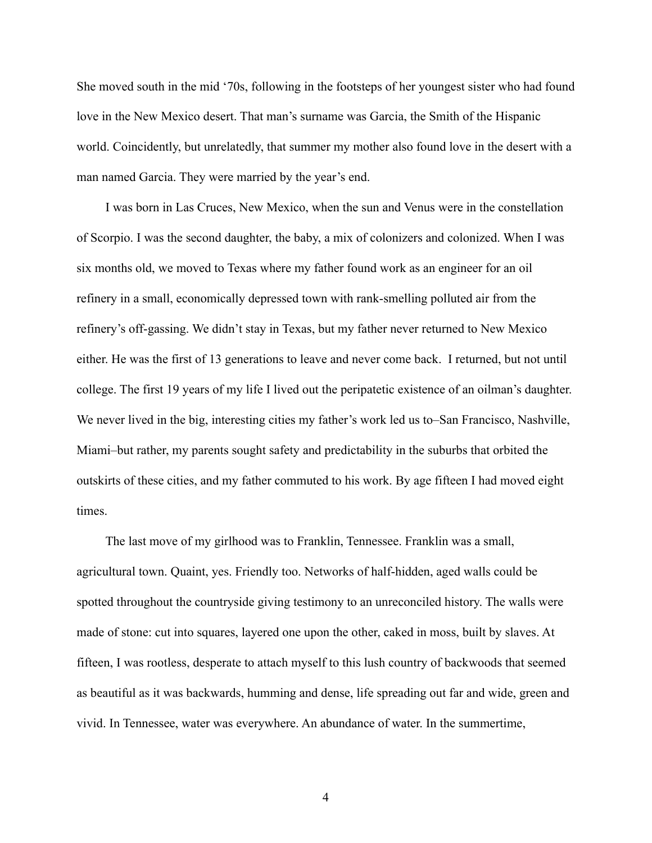She moved south in the mid '70s, following in the footsteps of her youngest sister who had found love in the New Mexico desert. That man's surname was Garcia, the Smith of the Hispanic world. Coincidently, but unrelatedly, that summer my mother also found love in the desert with a man named Garcia. They were married by the year's end.

I was born in Las Cruces, New Mexico, when the sun and Venus were in the constellation of Scorpio. I was the second daughter, the baby, a mix of colonizers and colonized. When I was six months old, we moved to Texas where my father found work as an engineer for an oil refinery in a small, economically depressed town with rank-smelling polluted air from the refinery's off-gassing. We didn't stay in Texas, but my father never returned to New Mexico either. He was the first of 13 generations to leave and never come back. I returned, but not until college. The first 19 years of my life I lived out the peripatetic existence of an oilman's daughter. We never lived in the big, interesting cities my father's work led us to–San Francisco, Nashville, Miami–but rather, my parents sought safety and predictability in the suburbs that orbited the outskirts of these cities, and my father commuted to his work. By age fifteen I had moved eight times.

The last move of my girlhood was to Franklin, Tennessee. Franklin was a small, agricultural town. Quaint, yes. Friendly too. Networks of half-hidden, aged walls could be spotted throughout the countryside giving testimony to an unreconciled history. The walls were made of stone: cut into squares, layered one upon the other, caked in moss, built by slaves. At fifteen, I was rootless, desperate to attach myself to this lush country of backwoods that seemed as beautiful as it was backwards, humming and dense, life spreading out far and wide, green and vivid. In Tennessee, water was everywhere. An abundance of water. In the summertime,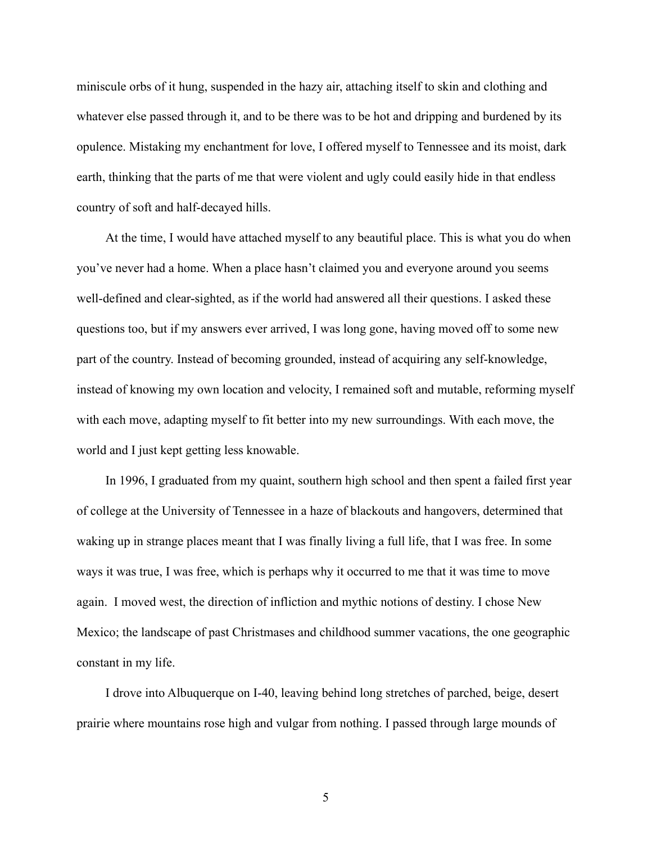miniscule orbs of it hung, suspended in the hazy air, attaching itself to skin and clothing and whatever else passed through it, and to be there was to be hot and dripping and burdened by its opulence. Mistaking my enchantment for love, I offered myself to Tennessee and its moist, dark earth, thinking that the parts of me that were violent and ugly could easily hide in that endless country of soft and half-decayed hills.

At the time, I would have attached myself to any beautiful place. This is what you do when you've never had a home. When a place hasn't claimed you and everyone around you seems well-defined and clear-sighted, as if the world had answered all their questions. I asked these questions too, but if my answers ever arrived, I was long gone, having moved off to some new part of the country. Instead of becoming grounded, instead of acquiring any self-knowledge, instead of knowing my own location and velocity, I remained soft and mutable, reforming myself with each move, adapting myself to fit better into my new surroundings. With each move, the world and I just kept getting less knowable.

In 1996, I graduated from my quaint, southern high school and then spent a failed first year of college at the University of Tennessee in a haze of blackouts and hangovers, determined that waking up in strange places meant that I was finally living a full life, that I was free. In some ways it was true, I was free, which is perhaps why it occurred to me that it was time to move again. I moved west, the direction of infliction and mythic notions of destiny. I chose New Mexico; the landscape of past Christmases and childhood summer vacations, the one geographic constant in my life.

I drove into Albuquerque on I-40, leaving behind long stretches of parched, beige, desert prairie where mountains rose high and vulgar from nothing. I passed through large mounds of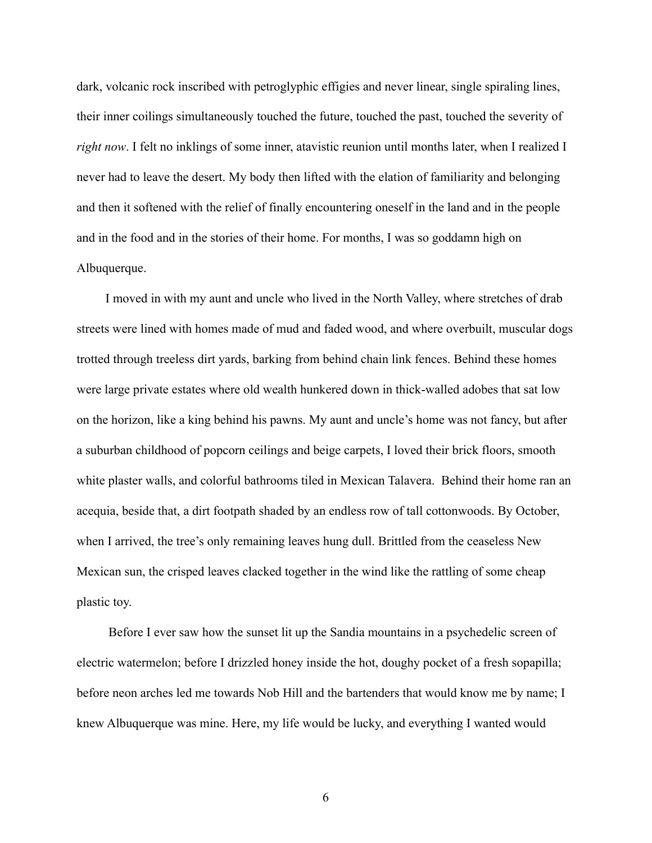dark, volcanic rock inscribed with petroglyphic effigies and never linear, single spiraling lines, their inner coilings simultaneously touched the future, touched the past, touched the severity of *right now*. I felt no inklings of some inner, atavistic reunion until months later, when I realized I never had to leave the desert. My body then lifted with the elation of familiarity and belonging and then it softened with the relief of finally encountering oneself in the land and in the people and in the food and in the stories of their home. For months, I was so goddamn high on Albuquerque.

I moved in with my aunt and uncle who lived in the North Valley, where stretches of drab streets were lined with homes made of mud and faded wood, and where overbuilt, muscular dogs trotted through treeless dirt yards, barking from behind chain link fences. Behind these homes were large private estates where old wealth hunkered down in thick-walled adobes that sat low on the horizon, like a king behind his pawns. My aunt and uncle's home was not fancy, but after a suburban childhood of popcorn ceilings and beige carpets, I loved their brick floors, smooth white plaster walls, and colorful bathrooms tiled in Mexican Talavera. Behind their home ran an acequia, beside that, a dirt footpath shaded by an endless row of tall cottonwoods. By October, when I arrived, the tree's only remaining leaves hung dull. Brittled from the ceaseless New Mexican sun, the crisped leaves clacked together in the wind like the rattling of some cheap plastic toy.

Before I ever saw how the sunset lit up the Sandia mountains in a psychedelic screen of electric watermelon; before I drizzled honey inside the hot, doughy pocket of a fresh sopapilla; before neon arches led me towards Nob Hill and the bartenders that would know me by name; I knew Albuquerque was mine. Here, my life would be lucky, and everything I wanted would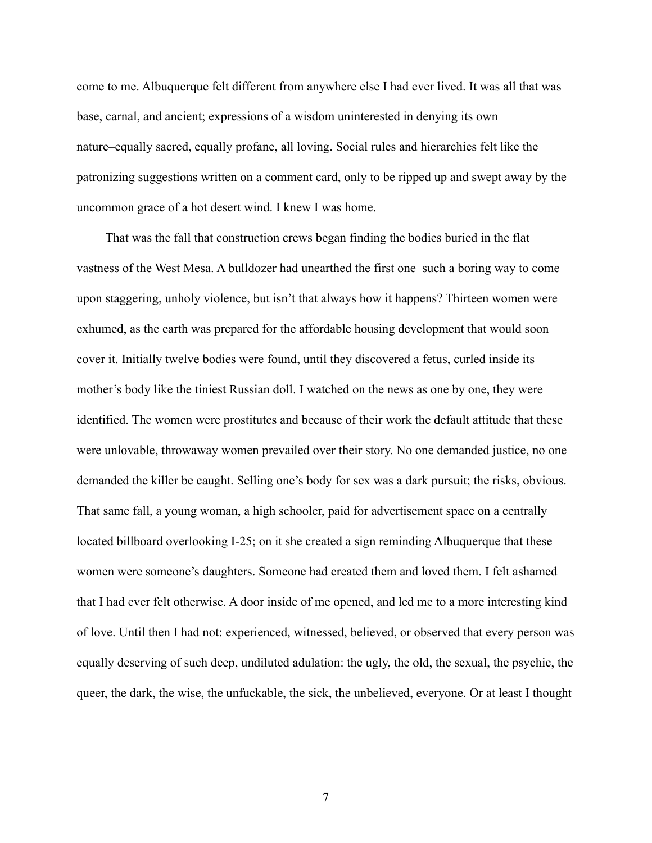come to me. Albuquerque felt different from anywhere else I had ever lived. It was all that was base, carnal, and ancient; expressions of a wisdom uninterested in denying its own nature–equally sacred, equally profane, all loving. Social rules and hierarchies felt like the patronizing suggestions written on a comment card, only to be ripped up and swept away by the uncommon grace of a hot desert wind. I knew I was home.

That was the fall that construction crews began finding the bodies buried in the flat vastness of the West Mesa. A bulldozer had unearthed the first one–such a boring way to come upon staggering, unholy violence, but isn't that always how it happens? Thirteen women were exhumed, as the earth was prepared for the affordable housing development that would soon cover it. Initially twelve bodies were found, until they discovered a fetus, curled inside its mother's body like the tiniest Russian doll. I watched on the news as one by one, they were identified. The women were prostitutes and because of their work the default attitude that these were unlovable, throwaway women prevailed over their story. No one demanded justice, no one demanded the killer be caught. Selling one's body for sex was a dark pursuit; the risks, obvious. That same fall, a young woman, a high schooler, paid for advertisement space on a centrally located billboard overlooking I-25; on it she created a sign reminding Albuquerque that these women were someone's daughters. Someone had created them and loved them. I felt ashamed that I had ever felt otherwise. A door inside of me opened, and led me to a more interesting kind of love. Until then I had not: experienced, witnessed, believed, or observed that every person was equally deserving of such deep, undiluted adulation: the ugly, the old, the sexual, the psychic, the queer, the dark, the wise, the unfuckable, the sick, the unbelieved, everyone. Or at least I thought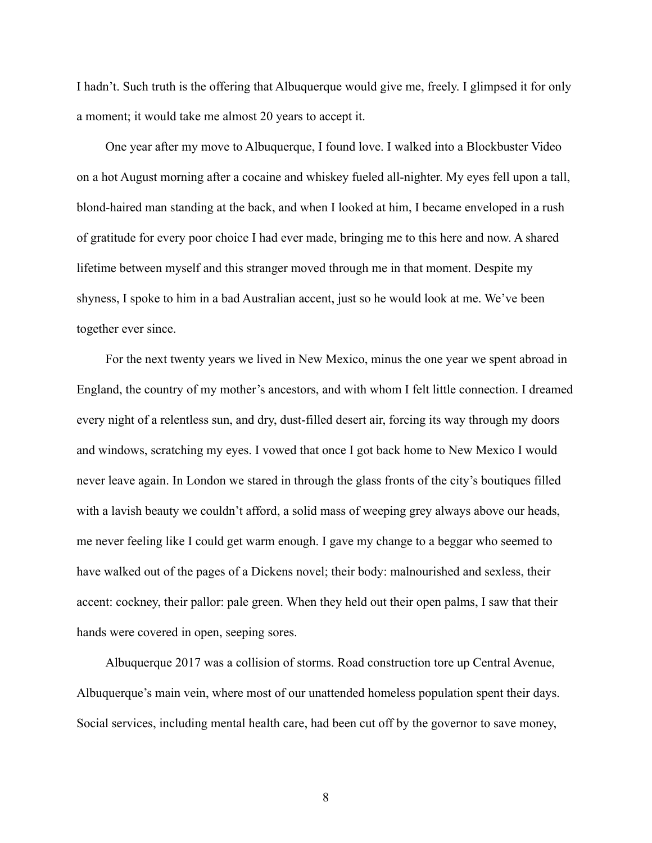I hadn't. Such truth is the offering that Albuquerque would give me, freely. I glimpsed it for only a moment; it would take me almost 20 years to accept it.

One year after my move to Albuquerque, I found love. I walked into a Blockbuster Video on a hot August morning after a cocaine and whiskey fueled all-nighter. My eyes fell upon a tall, blond-haired man standing at the back, and when I looked at him, I became enveloped in a rush of gratitude for every poor choice I had ever made, bringing me to this here and now. A shared lifetime between myself and this stranger moved through me in that moment. Despite my shyness, I spoke to him in a bad Australian accent, just so he would look at me. We've been together ever since.

For the next twenty years we lived in New Mexico, minus the one year we spent abroad in England, the country of my mother's ancestors, and with whom I felt little connection. I dreamed every night of a relentless sun, and dry, dust-filled desert air, forcing its way through my doors and windows, scratching my eyes. I vowed that once I got back home to New Mexico I would never leave again. In London we stared in through the glass fronts of the city's boutiques filled with a lavish beauty we couldn't afford, a solid mass of weeping grey always above our heads, me never feeling like I could get warm enough. I gave my change to a beggar who seemed to have walked out of the pages of a Dickens novel; their body: malnourished and sexless, their accent: cockney, their pallor: pale green. When they held out their open palms, I saw that their hands were covered in open, seeping sores.

Albuquerque 2017 was a collision of storms. Road construction tore up Central Avenue, Albuquerque's main vein, where most of our unattended homeless population spent their days. Social services, including mental health care, had been cut off by the governor to save money,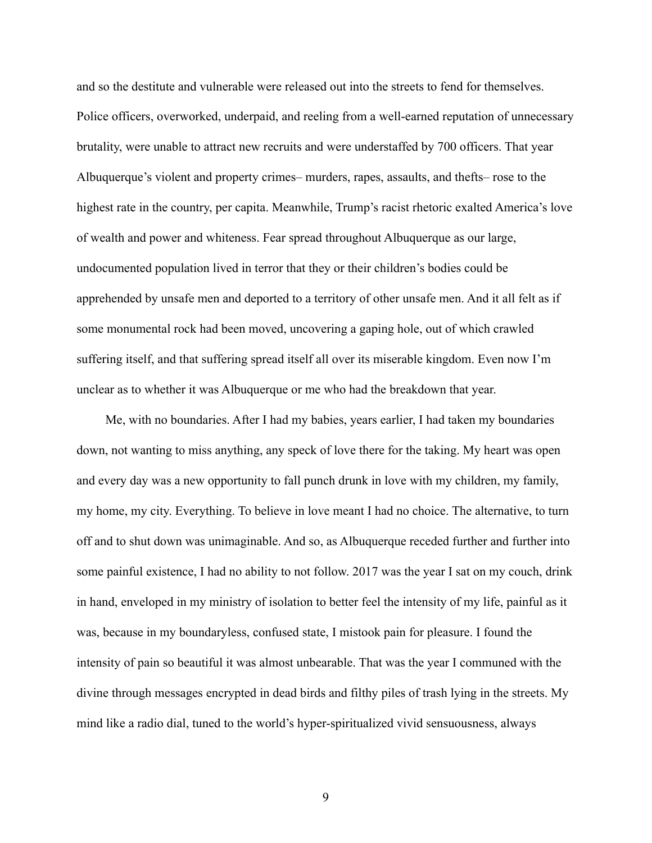and so the destitute and vulnerable were released out into the streets to fend for themselves. Police officers, overworked, underpaid, and reeling from a well-earned reputation of unnecessary brutality, were unable to attract new recruits and were understaffed by 700 officers. That year Albuquerque's violent and property crimes– murders, rapes, assaults, and thefts– rose to the highest rate in the country, per capita. Meanwhile, Trump's racist rhetoric exalted America's love of wealth and power and whiteness. Fear spread throughout Albuquerque as our large, undocumented population lived in terror that they or their children's bodies could be apprehended by unsafe men and deported to a territory of other unsafe men. And it all felt as if some monumental rock had been moved, uncovering a gaping hole, out of which crawled suffering itself, and that suffering spread itself all over its miserable kingdom. Even now I'm unclear as to whether it was Albuquerque or me who had the breakdown that year.

Me, with no boundaries. After I had my babies, years earlier, I had taken my boundaries down, not wanting to miss anything, any speck of love there for the taking. My heart was open and every day was a new opportunity to fall punch drunk in love with my children, my family, my home, my city. Everything. To believe in love meant I had no choice. The alternative, to turn off and to shut down was unimaginable. And so, as Albuquerque receded further and further into some painful existence, I had no ability to not follow. 2017 was the year I sat on my couch, drink in hand, enveloped in my ministry of isolation to better feel the intensity of my life, painful as it was, because in my boundaryless, confused state, I mistook pain for pleasure. I found the intensity of pain so beautiful it was almost unbearable. That was the year I communed with the divine through messages encrypted in dead birds and filthy piles of trash lying in the streets. My mind like a radio dial, tuned to the world's hyper-spiritualized vivid sensuousness, always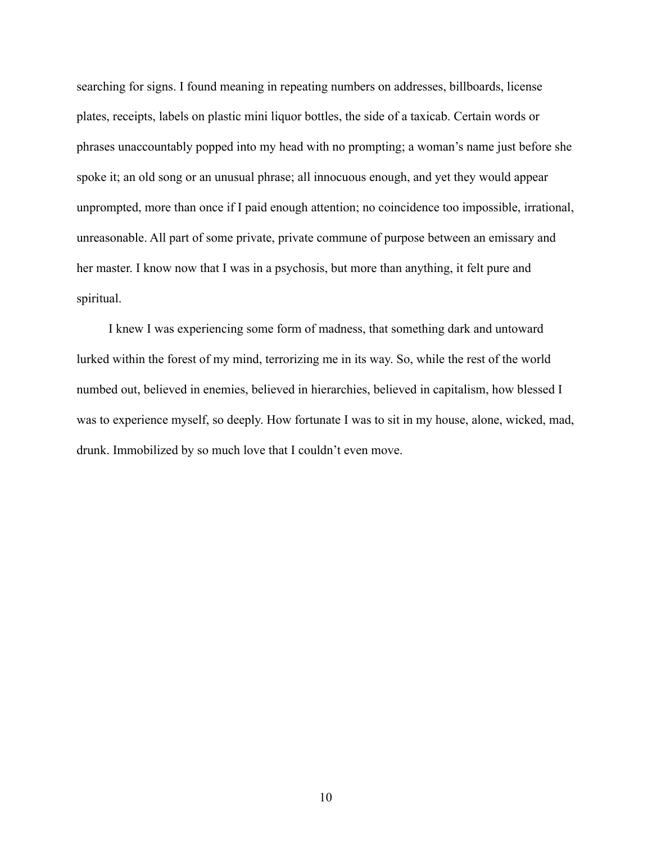searching for signs. I found meaning in repeating numbers on addresses, billboards, license plates, receipts, labels on plastic mini liquor bottles, the side of a taxicab. Certain words or phrases unaccountably popped into my head with no prompting; a woman's name just before she spoke it; an old song or an unusual phrase; all innocuous enough, and yet they would appear unprompted, more than once if I paid enough attention; no coincidence too impossible, irrational, unreasonable. All part of some private, private commune of purpose between an emissary and her master. I know now that I was in a psychosis, but more than anything, it felt pure and spiritual.

I knew I was experiencing some form of madness, that something dark and untoward lurked within the forest of my mind, terrorizing me in its way. So, while the rest of the world numbed out, believed in enemies, believed in hierarchies, believed in capitalism, how blessed I was to experience myself, so deeply. How fortunate I was to sit in my house, alone, wicked, mad, drunk. Immobilized by so much love that I couldn't even move.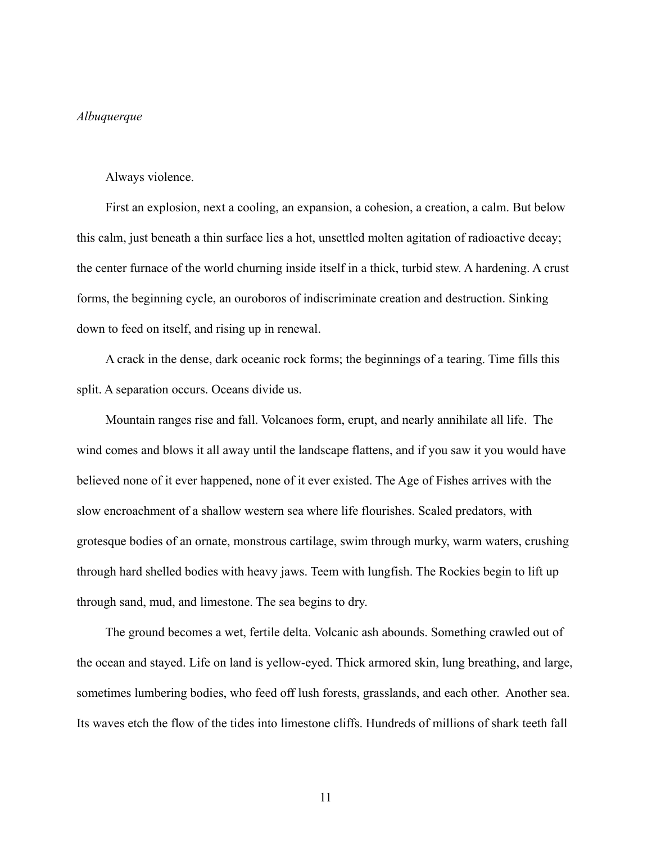#### *Albuquerque*

#### Always violence.

First an explosion, next a cooling, an expansion, a cohesion, a creation, a calm. But below this calm, just beneath a thin surface lies a hot, unsettled molten agitation of radioactive decay; the center furnace of the world churning inside itself in a thick, turbid stew. A hardening. A crust forms, the beginning cycle, an ouroboros of indiscriminate creation and destruction. Sinking down to feed on itself, and rising up in renewal.

A crack in the dense, dark oceanic rock forms; the beginnings of a tearing. Time fills this split. A separation occurs. Oceans divide us.

Mountain ranges rise and fall. Volcanoes form, erupt, and nearly annihilate all life. The wind comes and blows it all away until the landscape flattens, and if you saw it you would have believed none of it ever happened, none of it ever existed. The Age of Fishes arrives with the slow encroachment of a shallow western sea where life flourishes. Scaled predators, with grotesque bodies of an ornate, monstrous cartilage, swim through murky, warm waters, crushing through hard shelled bodies with heavy jaws. Teem with lungfish. The Rockies begin to lift up through sand, mud, and limestone. The sea begins to dry.

The ground becomes a wet, fertile delta. Volcanic ash abounds. Something crawled out of the ocean and stayed. Life on land is yellow-eyed. Thick armored skin, lung breathing, and large, sometimes lumbering bodies, who feed off lush forests, grasslands, and each other. Another sea. Its waves etch the flow of the tides into limestone cliffs. Hundreds of millions of shark teeth fall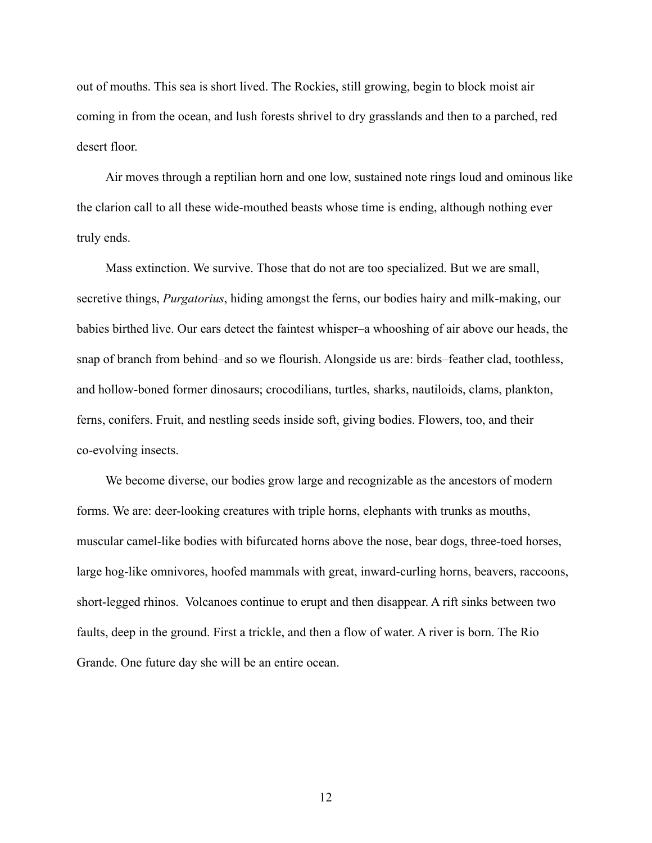out of mouths. This sea is short lived. The Rockies, still growing, begin to block moist air coming in from the ocean, and lush forests shrivel to dry grasslands and then to a parched, red desert floor.

Air moves through a reptilian horn and one low, sustained note rings loud and ominous like the clarion call to all these wide-mouthed beasts whose time is ending, although nothing ever truly ends.

Mass extinction. We survive. Those that do not are too specialized. But we are small, secretive things, *Purgatorius*, hiding amongst the ferns, our bodies hairy and milk-making, our babies birthed live. Our ears detect the faintest whisper–a whooshing of air above our heads, the snap of branch from behind–and so we flourish. Alongside us are: birds–feather clad, toothless, and hollow-boned former dinosaurs; crocodilians, turtles, sharks, nautiloids, clams, plankton, ferns, conifers. Fruit, and nestling seeds inside soft, giving bodies. Flowers, too, and their co-evolving insects.

We become diverse, our bodies grow large and recognizable as the ancestors of modern forms. We are: deer-looking creatures with triple horns, elephants with trunks as mouths, muscular camel-like bodies with bifurcated horns above the nose, bear dogs, three-toed horses, large hog-like omnivores, hoofed mammals with great, inward-curling horns, beavers, raccoons, short-legged rhinos. Volcanoes continue to erupt and then disappear. A rift sinks between two faults, deep in the ground. First a trickle, and then a flow of water. A river is born. The Rio Grande. One future day she will be an entire ocean.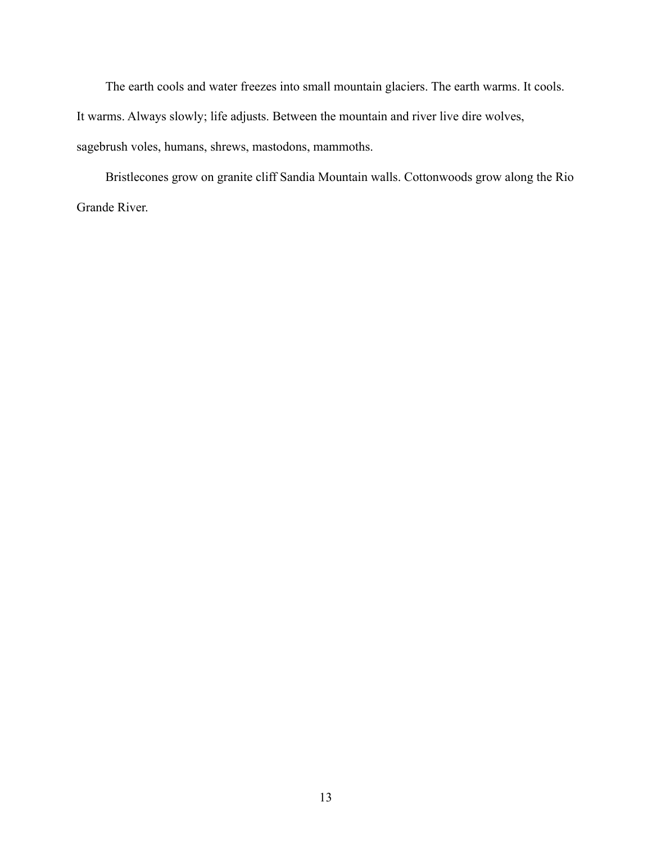The earth cools and water freezes into small mountain glaciers. The earth warms. It cools. It warms. Always slowly; life adjusts. Between the mountain and river live dire wolves, sagebrush voles, humans, shrews, mastodons, mammoths.

Bristlecones grow on granite cliff Sandia Mountain walls. Cottonwoods grow along the Rio Grande River.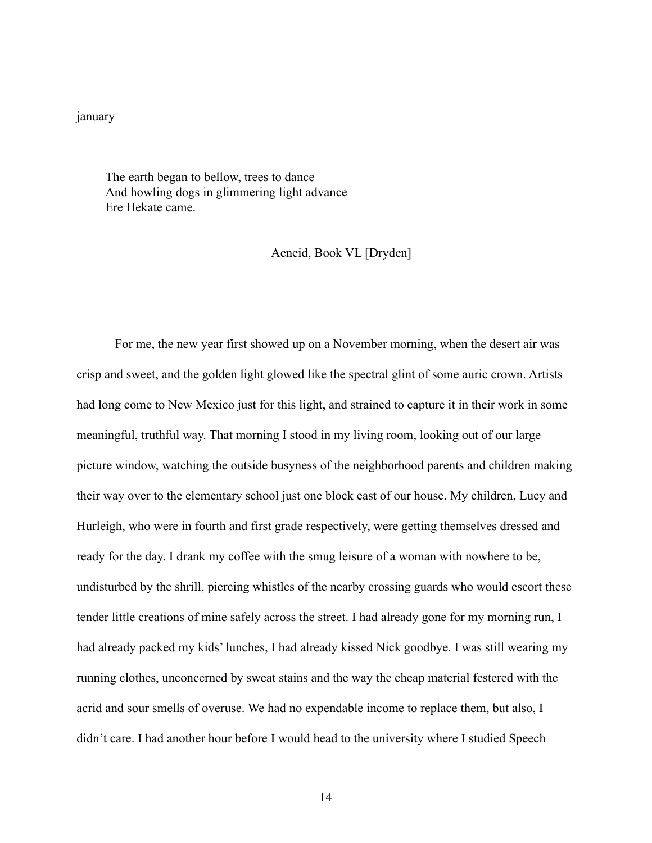#### january

The earth began to bellow, trees to dance And howling dogs in glimmering light advance Ere Hekate came.

### Aeneid, Book VL [Dryden]

For me, the new year first showed up on a November morning, when the desert air was crisp and sweet, and the golden light glowed like the spectral glint of some auric crown. Artists had long come to New Mexico just for this light, and strained to capture it in their work in some meaningful, truthful way. That morning I stood in my living room, looking out of our large picture window, watching the outside busyness of the neighborhood parents and children making their way over to the elementary school just one block east of our house. My children, Lucy and Hurleigh, who were in fourth and first grade respectively, were getting themselves dressed and ready for the day. I drank my coffee with the smug leisure of a woman with nowhere to be, undisturbed by the shrill, piercing whistles of the nearby crossing guards who would escort these tender little creations of mine safely across the street. I had already gone for my morning run, I had already packed my kids' lunches, I had already kissed Nick goodbye. I was still wearing my running clothes, unconcerned by sweat stains and the way the cheap material festered with the acrid and sour smells of overuse. We had no expendable income to replace them, but also, I didn't care. I had another hour before I would head to the university where I studied Speech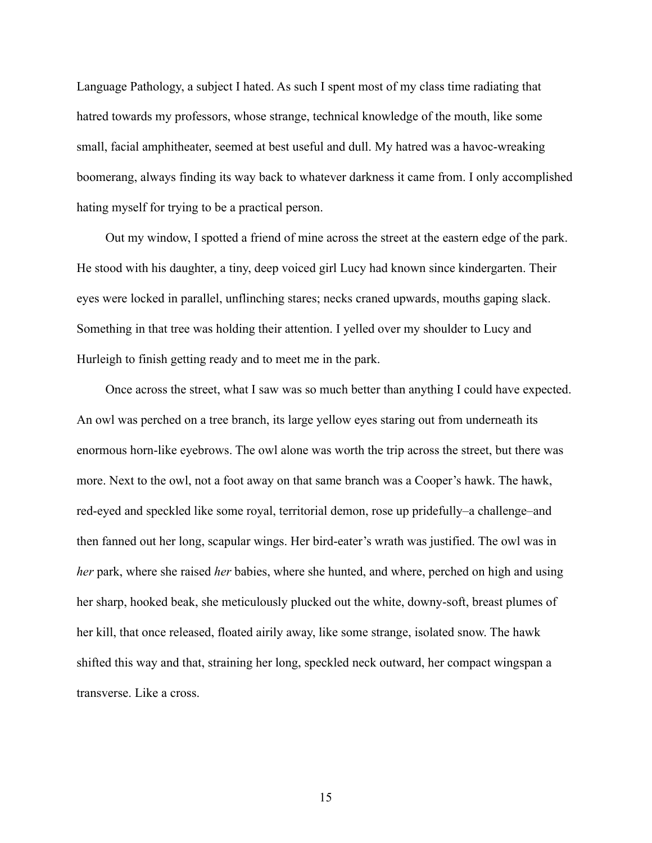Language Pathology, a subject I hated. As such I spent most of my class time radiating that hatred towards my professors, whose strange, technical knowledge of the mouth, like some small, facial amphitheater, seemed at best useful and dull. My hatred was a havoc-wreaking boomerang, always finding its way back to whatever darkness it came from. I only accomplished hating myself for trying to be a practical person.

Out my window, I spotted a friend of mine across the street at the eastern edge of the park. He stood with his daughter, a tiny, deep voiced girl Lucy had known since kindergarten. Their eyes were locked in parallel, unflinching stares; necks craned upwards, mouths gaping slack. Something in that tree was holding their attention. I yelled over my shoulder to Lucy and Hurleigh to finish getting ready and to meet me in the park.

Once across the street, what I saw was so much better than anything I could have expected. An owl was perched on a tree branch, its large yellow eyes staring out from underneath its enormous horn-like eyebrows. The owl alone was worth the trip across the street, but there was more. Next to the owl, not a foot away on that same branch was a Cooper's hawk. The hawk, red-eyed and speckled like some royal, territorial demon, rose up pridefully–a challenge–and then fanned out her long, scapular wings. Her bird-eater's wrath was justified. The owl was in *her* park, where she raised *her* babies, where she hunted, and where, perched on high and using her sharp, hooked beak, she meticulously plucked out the white, downy-soft, breast plumes of her kill, that once released, floated airily away, like some strange, isolated snow. The hawk shifted this way and that, straining her long, speckled neck outward, her compact wingspan a transverse. Like a cross.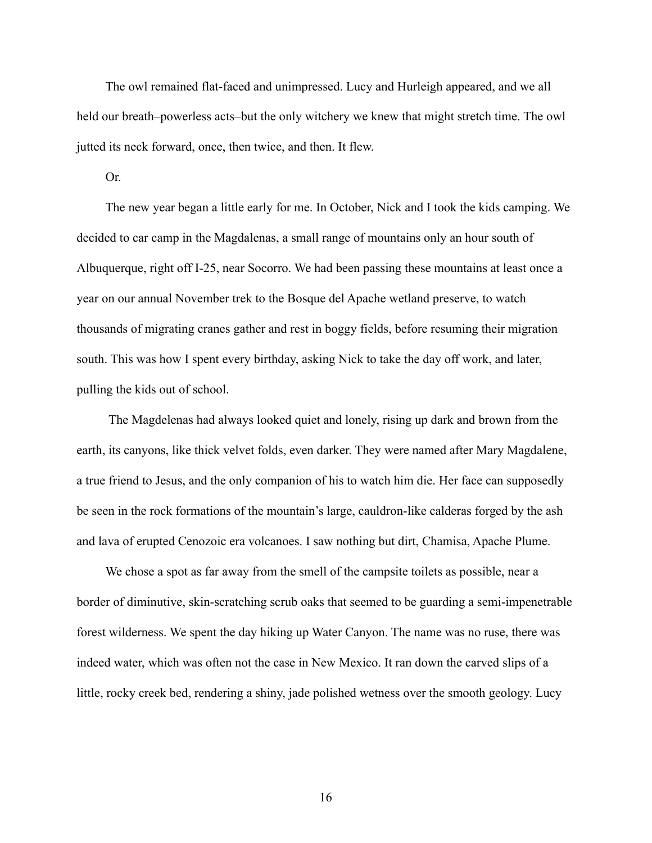The owl remained flat-faced and unimpressed. Lucy and Hurleigh appeared, and we all held our breath–powerless acts–but the only witchery we knew that might stretch time. The owl jutted its neck forward, once, then twice, and then. It flew.

Or.

The new year began a little early for me. In October, Nick and I took the kids camping. We decided to car camp in the Magdalenas, a small range of mountains only an hour south of Albuquerque, right off I-25, near Socorro. We had been passing these mountains at least once a year on our annual November trek to the Bosque del Apache wetland preserve, to watch thousands of migrating cranes gather and rest in boggy fields, before resuming their migration south. This was how I spent every birthday, asking Nick to take the day off work, and later, pulling the kids out of school.

The Magdelenas had always looked quiet and lonely, rising up dark and brown from the earth, its canyons, like thick velvet folds, even darker. They were named after Mary Magdalene, a true friend to Jesus, and the only companion of his to watch him die. Her face can supposedly be seen in the rock formations of the mountain's large, cauldron-like calderas forged by the ash and lava of erupted Cenozoic era volcanoes. I saw nothing but dirt, Chamisa, Apache Plume.

We chose a spot as far away from the smell of the campsite toilets as possible, near a border of diminutive, skin-scratching scrub oaks that seemed to be guarding a semi-impenetrable forest wilderness. We spent the day hiking up Water Canyon. The name was no ruse, there was indeed water, which was often not the case in New Mexico. It ran down the carved slips of a little, rocky creek bed, rendering a shiny, jade polished wetness over the smooth geology. Lucy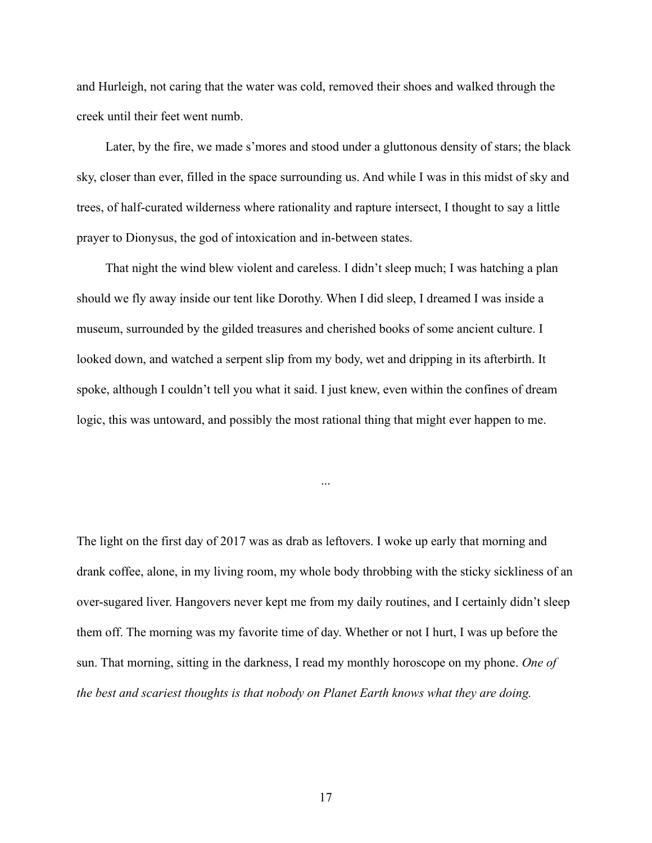and Hurleigh, not caring that the water was cold, removed their shoes and walked through the creek until their feet went numb.

Later, by the fire, we made s'mores and stood under a gluttonous density of stars; the black sky, closer than ever, filled in the space surrounding us. And while I was in this midst of sky and trees, of half-curated wilderness where rationality and rapture intersect, I thought to say a little prayer to Dionysus, the god of intoxication and in-between states.

That night the wind blew violent and careless. I didn't sleep much; I was hatching a plan should we fly away inside our tent like Dorothy. When I did sleep, I dreamed I was inside a museum, surrounded by the gilded treasures and cherished books of some ancient culture. I looked down, and watched a serpent slip from my body, wet and dripping in its afterbirth. It spoke, although I couldn't tell you what it said. I just knew, even within the confines of dream logic, this was untoward, and possibly the most rational thing that might ever happen to me.

The light on the first day of 2017 was as drab as leftovers. I woke up early that morning and drank coffee, alone, in my living room, my whole body throbbing with the sticky sickliness of an over-sugared liver. Hangovers never kept me from my daily routines, and I certainly didn't sleep them off. The morning was my favorite time of day. Whether or not I hurt, I was up before the sun. That morning, sitting in the darkness, I read my monthly horoscope on my phone. *One of the best and scariest thoughts is that nobody on Planet Earth knows what they are doing.*

...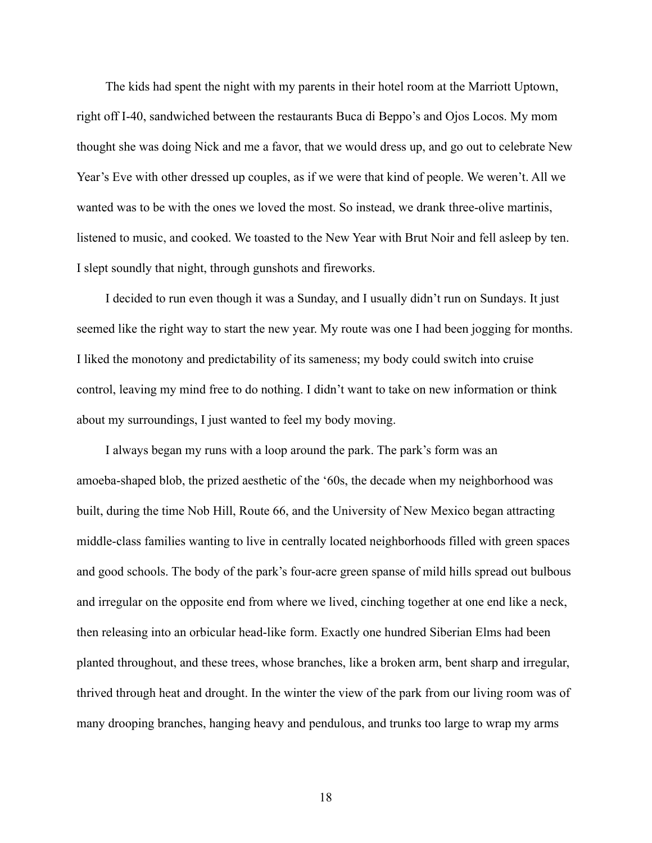The kids had spent the night with my parents in their hotel room at the Marriott Uptown, right off I-40, sandwiched between the restaurants Buca di Beppo's and Ojos Locos. My mom thought she was doing Nick and me a favor, that we would dress up, and go out to celebrate New Year's Eve with other dressed up couples, as if we were that kind of people. We weren't. All we wanted was to be with the ones we loved the most. So instead, we drank three-olive martinis, listened to music, and cooked. We toasted to the New Year with Brut Noir and fell asleep by ten. I slept soundly that night, through gunshots and fireworks.

I decided to run even though it was a Sunday, and I usually didn't run on Sundays. It just seemed like the right way to start the new year. My route was one I had been jogging for months. I liked the monotony and predictability of its sameness; my body could switch into cruise control, leaving my mind free to do nothing. I didn't want to take on new information or think about my surroundings, I just wanted to feel my body moving.

I always began my runs with a loop around the park. The park's form was an amoeba-shaped blob, the prized aesthetic of the '60s, the decade when my neighborhood was built, during the time Nob Hill, Route 66, and the University of New Mexico began attracting middle-class families wanting to live in centrally located neighborhoods filled with green spaces and good schools. The body of the park's four-acre green spanse of mild hills spread out bulbous and irregular on the opposite end from where we lived, cinching together at one end like a neck, then releasing into an orbicular head-like form. Exactly one hundred Siberian Elms had been planted throughout, and these trees, whose branches, like a broken arm, bent sharp and irregular, thrived through heat and drought. In the winter the view of the park from our living room was of many drooping branches, hanging heavy and pendulous, and trunks too large to wrap my arms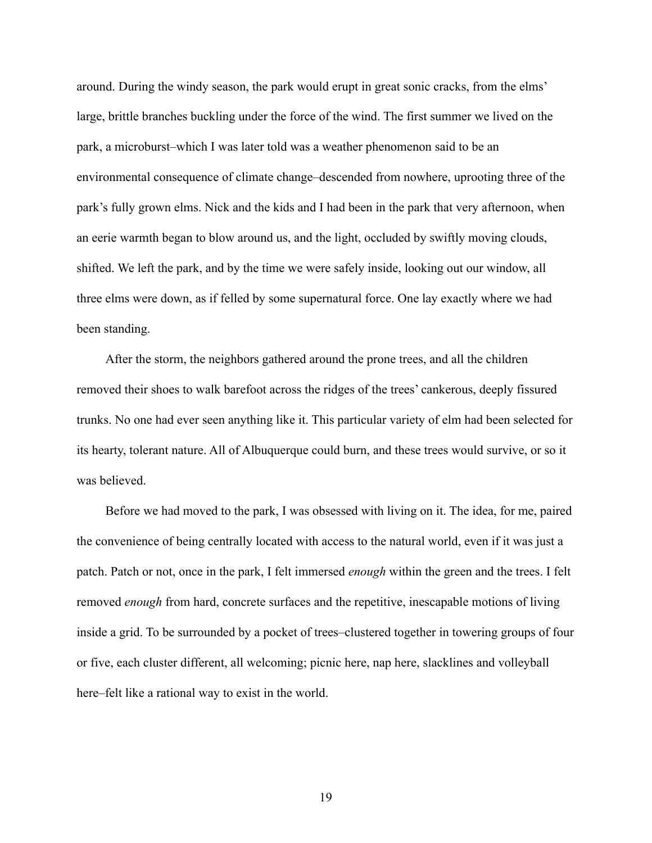around. During the windy season, the park would erupt in great sonic cracks, from the elms' large, brittle branches buckling under the force of the wind. The first summer we lived on the park, a microburst–which I was later told was a weather phenomenon said to be an environmental consequence of climate change–descended from nowhere, uprooting three of the park's fully grown elms. Nick and the kids and I had been in the park that very afternoon, when an eerie warmth began to blow around us, and the light, occluded by swiftly moving clouds, shifted. We left the park, and by the time we were safely inside, looking out our window, all three elms were down, as if felled by some supernatural force. One lay exactly where we had been standing.

After the storm, the neighbors gathered around the prone trees, and all the children removed their shoes to walk barefoot across the ridges of the trees' cankerous, deeply fissured trunks. No one had ever seen anything like it. This particular variety of elm had been selected for its hearty, tolerant nature. All of Albuquerque could burn, and these trees would survive, or so it was believed.

Before we had moved to the park, I was obsessed with living on it. The idea, for me, paired the convenience of being centrally located with access to the natural world, even if it was just a patch. Patch or not, once in the park, I felt immersed *enough* within the green and the trees. I felt removed *enough* from hard, concrete surfaces and the repetitive, inescapable motions of living inside a grid. To be surrounded by a pocket of trees–clustered together in towering groups of four or five, each cluster different, all welcoming; picnic here, nap here, slacklines and volleyball here–felt like a rational way to exist in the world.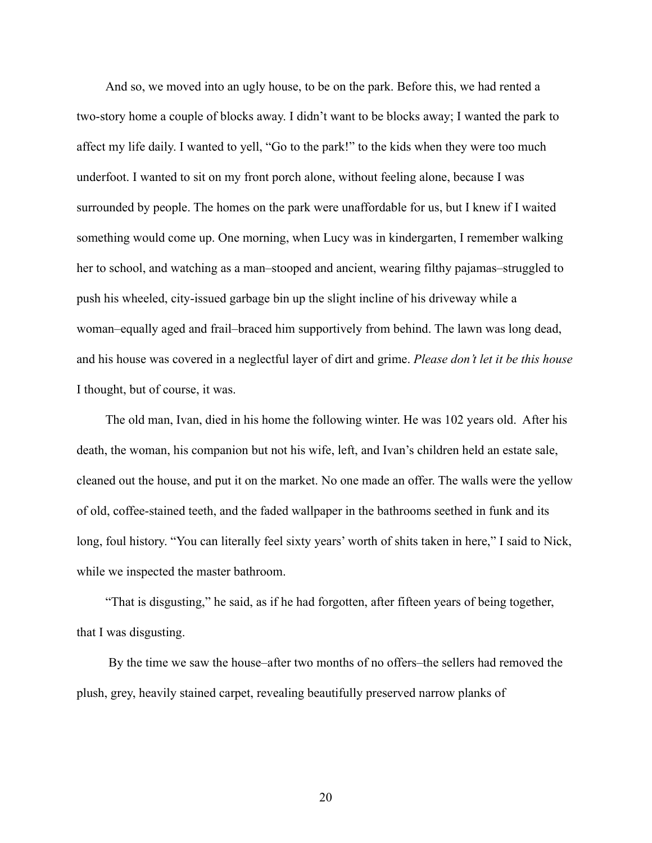And so, we moved into an ugly house, to be on the park. Before this, we had rented a two-story home a couple of blocks away. I didn't want to be blocks away; I wanted the park to affect my life daily. I wanted to yell, "Go to the park!" to the kids when they were too much underfoot. I wanted to sit on my front porch alone, without feeling alone, because I was surrounded by people. The homes on the park were unaffordable for us, but I knew if I waited something would come up. One morning, when Lucy was in kindergarten, I remember walking her to school, and watching as a man–stooped and ancient, wearing filthy pajamas–struggled to push his wheeled, city-issued garbage bin up the slight incline of his driveway while a woman–equally aged and frail–braced him supportively from behind. The lawn was long dead, and his house was covered in a neglectful layer of dirt and grime. *Please don't let it be this house* I thought, but of course, it was.

The old man, Ivan, died in his home the following winter. He was 102 years old. After his death, the woman, his companion but not his wife, left, and Ivan's children held an estate sale, cleaned out the house, and put it on the market. No one made an offer. The walls were the yellow of old, coffee-stained teeth, and the faded wallpaper in the bathrooms seethed in funk and its long, foul history. "You can literally feel sixty years' worth of shits taken in here," I said to Nick, while we inspected the master bathroom.

"That is disgusting," he said, as if he had forgotten, after fifteen years of being together, that I was disgusting.

By the time we saw the house–after two months of no offers–the sellers had removed the plush, grey, heavily stained carpet, revealing beautifully preserved narrow planks of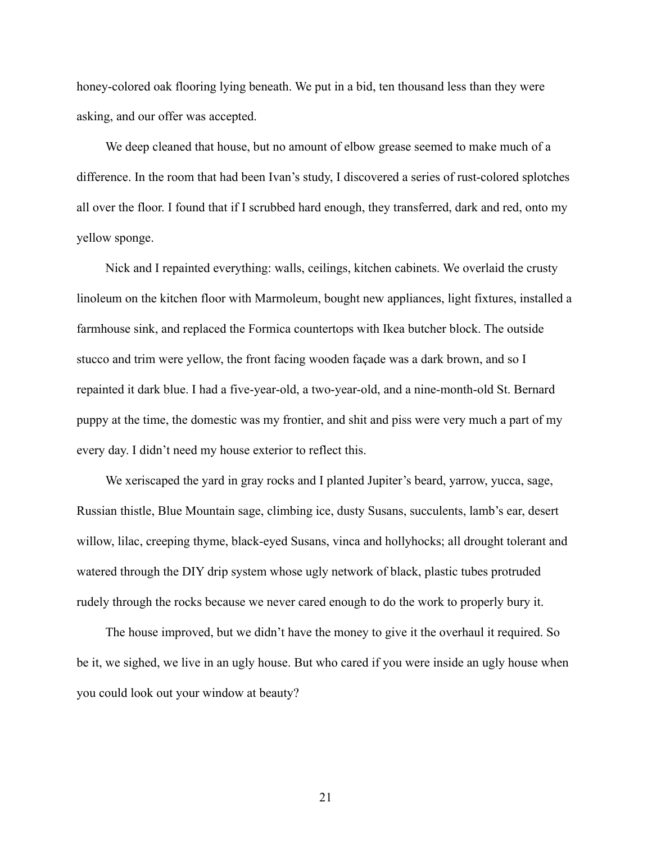honey-colored oak flooring lying beneath. We put in a bid, ten thousand less than they were asking, and our offer was accepted.

We deep cleaned that house, but no amount of elbow grease seemed to make much of a difference. In the room that had been Ivan's study, I discovered a series of rust-colored splotches all over the floor. I found that if I scrubbed hard enough, they transferred, dark and red, onto my yellow sponge.

Nick and I repainted everything: walls, ceilings, kitchen cabinets. We overlaid the crusty linoleum on the kitchen floor with Marmoleum, bought new appliances, light fixtures, installed a farmhouse sink, and replaced the Formica countertops with Ikea butcher block. The outside stucco and trim were yellow, the front facing wooden façade was a dark brown, and so I repainted it dark blue. I had a five-year-old, a two-year-old, and a nine-month-old St. Bernard puppy at the time, the domestic was my frontier, and shit and piss were very much a part of my every day. I didn't need my house exterior to reflect this.

We xeriscaped the yard in gray rocks and I planted Jupiter's beard, yarrow, yucca, sage, Russian thistle, Blue Mountain sage, climbing ice, dusty Susans, succulents, lamb's ear, desert willow, lilac, creeping thyme, black-eyed Susans, vinca and hollyhocks; all drought tolerant and watered through the DIY drip system whose ugly network of black, plastic tubes protruded rudely through the rocks because we never cared enough to do the work to properly bury it.

The house improved, but we didn't have the money to give it the overhaul it required. So be it, we sighed, we live in an ugly house. But who cared if you were inside an ugly house when you could look out your window at beauty?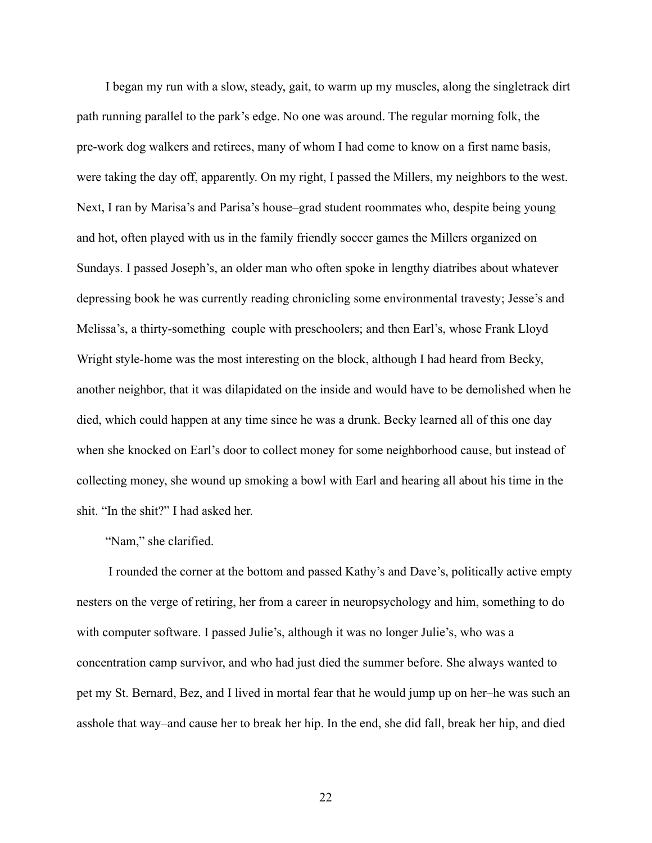I began my run with a slow, steady, gait, to warm up my muscles, along the singletrack dirt path running parallel to the park's edge. No one was around. The regular morning folk, the pre-work dog walkers and retirees, many of whom I had come to know on a first name basis, were taking the day off, apparently. On my right, I passed the Millers, my neighbors to the west. Next, I ran by Marisa's and Parisa's house–grad student roommates who, despite being young and hot, often played with us in the family friendly soccer games the Millers organized on Sundays. I passed Joseph's, an older man who often spoke in lengthy diatribes about whatever depressing book he was currently reading chronicling some environmental travesty; Jesse's and Melissa's, a thirty-something couple with preschoolers; and then Earl's, whose Frank Lloyd Wright style-home was the most interesting on the block, although I had heard from Becky, another neighbor, that it was dilapidated on the inside and would have to be demolished when he died, which could happen at any time since he was a drunk. Becky learned all of this one day when she knocked on Earl's door to collect money for some neighborhood cause, but instead of collecting money, she wound up smoking a bowl with Earl and hearing all about his time in the shit. "In the shit?" I had asked her.

# "Nam," she clarified.

I rounded the corner at the bottom and passed Kathy's and Dave's, politically active empty nesters on the verge of retiring, her from a career in neuropsychology and him, something to do with computer software. I passed Julie's, although it was no longer Julie's, who was a concentration camp survivor, and who had just died the summer before. She always wanted to pet my St. Bernard, Bez, and I lived in mortal fear that he would jump up on her–he was such an asshole that way–and cause her to break her hip. In the end, she did fall, break her hip, and died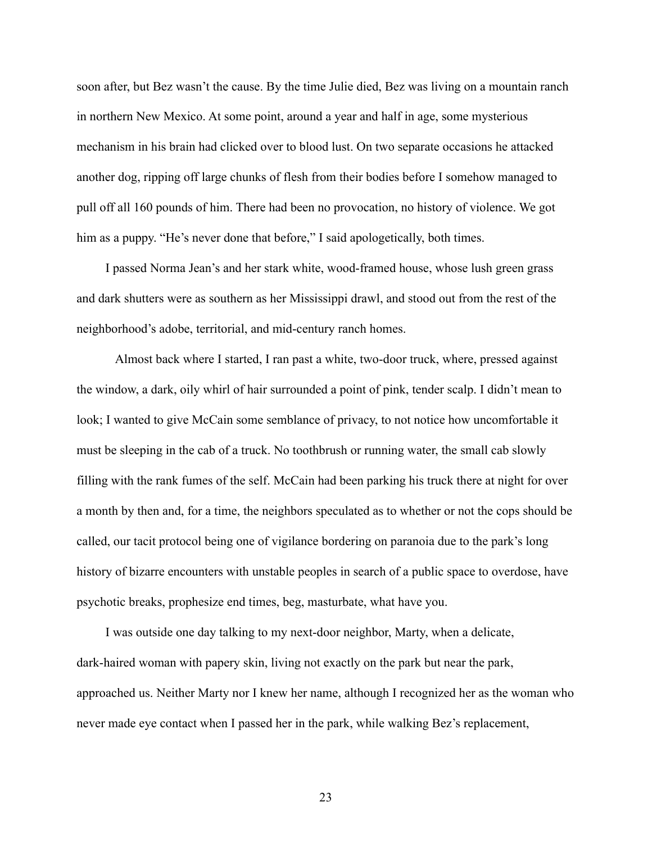soon after, but Bez wasn't the cause. By the time Julie died, Bez was living on a mountain ranch in northern New Mexico. At some point, around a year and half in age, some mysterious mechanism in his brain had clicked over to blood lust. On two separate occasions he attacked another dog, ripping off large chunks of flesh from their bodies before I somehow managed to pull off all 160 pounds of him. There had been no provocation, no history of violence. We got him as a puppy. "He's never done that before," I said apologetically, both times.

I passed Norma Jean's and her stark white, wood-framed house, whose lush green grass and dark shutters were as southern as her Mississippi drawl, and stood out from the rest of the neighborhood's adobe, territorial, and mid-century ranch homes.

Almost back where I started, I ran past a white, two-door truck, where, pressed against the window, a dark, oily whirl of hair surrounded a point of pink, tender scalp. I didn't mean to look; I wanted to give McCain some semblance of privacy, to not notice how uncomfortable it must be sleeping in the cab of a truck. No toothbrush or running water, the small cab slowly filling with the rank fumes of the self. McCain had been parking his truck there at night for over a month by then and, for a time, the neighbors speculated as to whether or not the cops should be called, our tacit protocol being one of vigilance bordering on paranoia due to the park's long history of bizarre encounters with unstable peoples in search of a public space to overdose, have psychotic breaks, prophesize end times, beg, masturbate, what have you.

I was outside one day talking to my next-door neighbor, Marty, when a delicate, dark-haired woman with papery skin, living not exactly on the park but near the park, approached us. Neither Marty nor I knew her name, although I recognized her as the woman who never made eye contact when I passed her in the park, while walking Bez's replacement,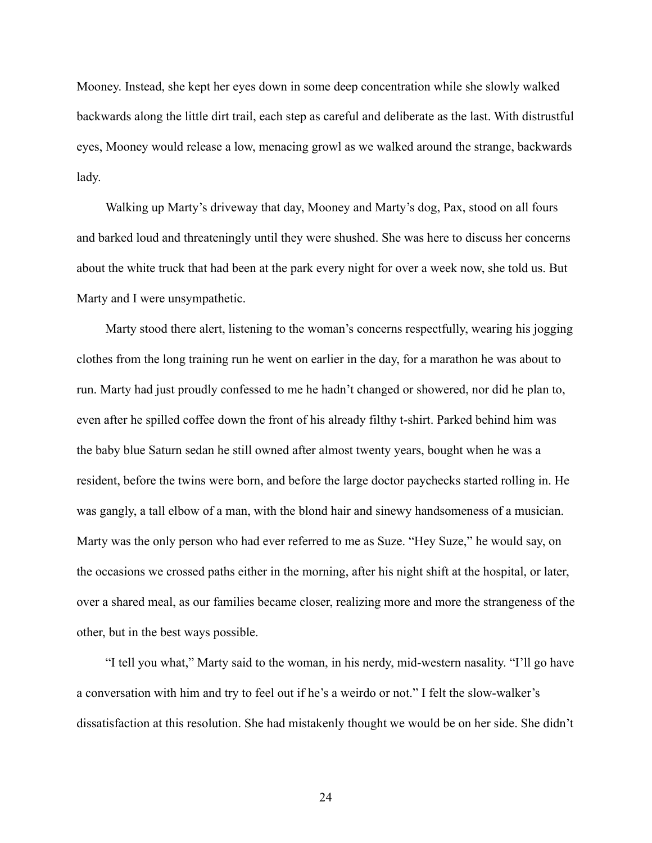Mooney. Instead, she kept her eyes down in some deep concentration while she slowly walked backwards along the little dirt trail, each step as careful and deliberate as the last. With distrustful eyes, Mooney would release a low, menacing growl as we walked around the strange, backwards lady.

Walking up Marty's driveway that day, Mooney and Marty's dog, Pax, stood on all fours and barked loud and threateningly until they were shushed. She was here to discuss her concerns about the white truck that had been at the park every night for over a week now, she told us. But Marty and I were unsympathetic.

Marty stood there alert, listening to the woman's concerns respectfully, wearing his jogging clothes from the long training run he went on earlier in the day, for a marathon he was about to run. Marty had just proudly confessed to me he hadn't changed or showered, nor did he plan to, even after he spilled coffee down the front of his already filthy t-shirt. Parked behind him was the baby blue Saturn sedan he still owned after almost twenty years, bought when he was a resident, before the twins were born, and before the large doctor paychecks started rolling in. He was gangly, a tall elbow of a man, with the blond hair and sinewy handsomeness of a musician. Marty was the only person who had ever referred to me as Suze. "Hey Suze," he would say, on the occasions we crossed paths either in the morning, after his night shift at the hospital, or later, over a shared meal, as our families became closer, realizing more and more the strangeness of the other, but in the best ways possible.

"I tell you what," Marty said to the woman, in his nerdy, mid-western nasality. "I'll go have a conversation with him and try to feel out if he's a weirdo or not." I felt the slow-walker's dissatisfaction at this resolution. She had mistakenly thought we would be on her side. She didn't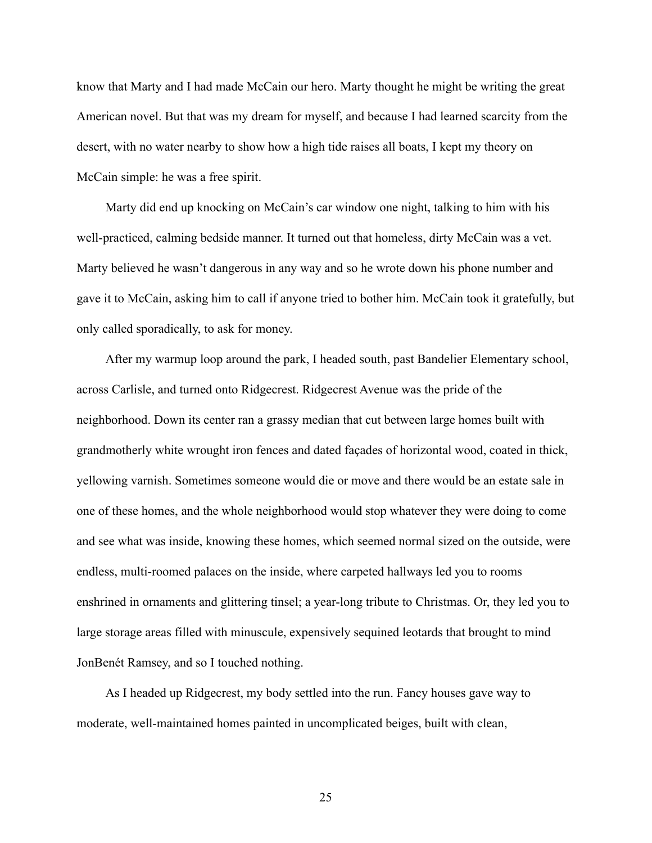know that Marty and I had made McCain our hero. Marty thought he might be writing the great American novel. But that was my dream for myself, and because I had learned scarcity from the desert, with no water nearby to show how a high tide raises all boats, I kept my theory on McCain simple: he was a free spirit.

Marty did end up knocking on McCain's car window one night, talking to him with his well-practiced, calming bedside manner. It turned out that homeless, dirty McCain was a vet. Marty believed he wasn't dangerous in any way and so he wrote down his phone number and gave it to McCain, asking him to call if anyone tried to bother him. McCain took it gratefully, but only called sporadically, to ask for money.

After my warmup loop around the park, I headed south, past Bandelier Elementary school, across Carlisle, and turned onto Ridgecrest. Ridgecrest Avenue was the pride of the neighborhood. Down its center ran a grassy median that cut between large homes built with grandmotherly white wrought iron fences and dated façades of horizontal wood, coated in thick, yellowing varnish. Sometimes someone would die or move and there would be an estate sale in one of these homes, and the whole neighborhood would stop whatever they were doing to come and see what was inside, knowing these homes, which seemed normal sized on the outside, were endless, multi-roomed palaces on the inside, where carpeted hallways led you to rooms enshrined in ornaments and glittering tinsel; a year-long tribute to Christmas. Or, they led you to large storage areas filled with minuscule, expensively sequined leotards that brought to mind JonBenét Ramsey, and so I touched nothing.

As I headed up Ridgecrest, my body settled into the run. Fancy houses gave way to moderate, well-maintained homes painted in uncomplicated beiges, built with clean,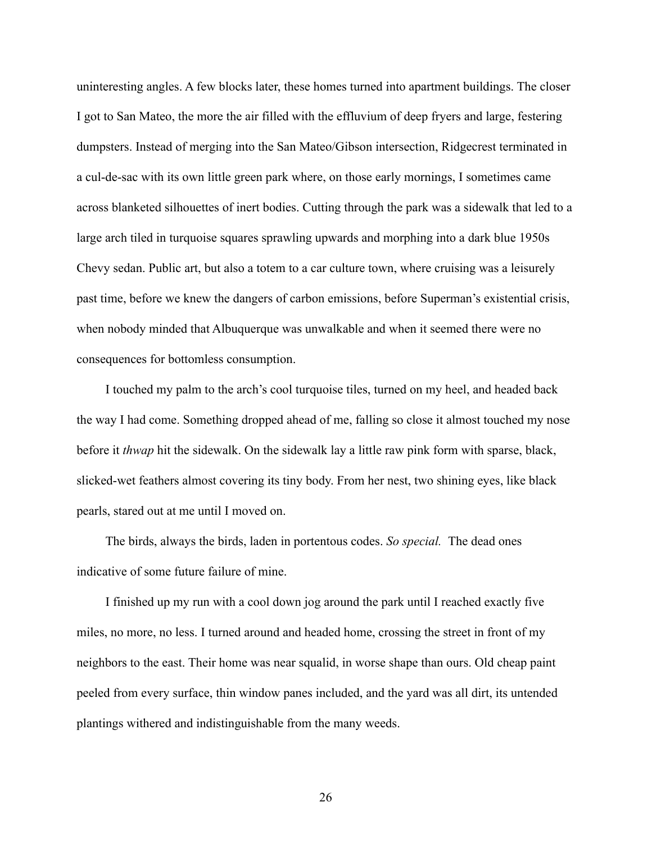uninteresting angles. A few blocks later, these homes turned into apartment buildings. The closer I got to San Mateo, the more the air filled with the effluvium of deep fryers and large, festering dumpsters. Instead of merging into the San Mateo/Gibson intersection, Ridgecrest terminated in a cul-de-sac with its own little green park where, on those early mornings, I sometimes came across blanketed silhouettes of inert bodies. Cutting through the park was a sidewalk that led to a large arch tiled in turquoise squares sprawling upwards and morphing into a dark blue 1950s Chevy sedan. Public art, but also a totem to a car culture town, where cruising was a leisurely past time, before we knew the dangers of carbon emissions, before Superman's existential crisis, when nobody minded that Albuquerque was unwalkable and when it seemed there were no consequences for bottomless consumption.

I touched my palm to the arch's cool turquoise tiles, turned on my heel, and headed back the way I had come. Something dropped ahead of me, falling so close it almost touched my nose before it *thwap* hit the sidewalk. On the sidewalk lay a little raw pink form with sparse, black, slicked-wet feathers almost covering its tiny body. From her nest, two shining eyes, like black pearls, stared out at me until I moved on.

The birds, always the birds, laden in portentous codes. *So special.* The dead ones indicative of some future failure of mine.

I finished up my run with a cool down jog around the park until I reached exactly five miles, no more, no less. I turned around and headed home, crossing the street in front of my neighbors to the east. Their home was near squalid, in worse shape than ours. Old cheap paint peeled from every surface, thin window panes included, and the yard was all dirt, its untended plantings withered and indistinguishable from the many weeds.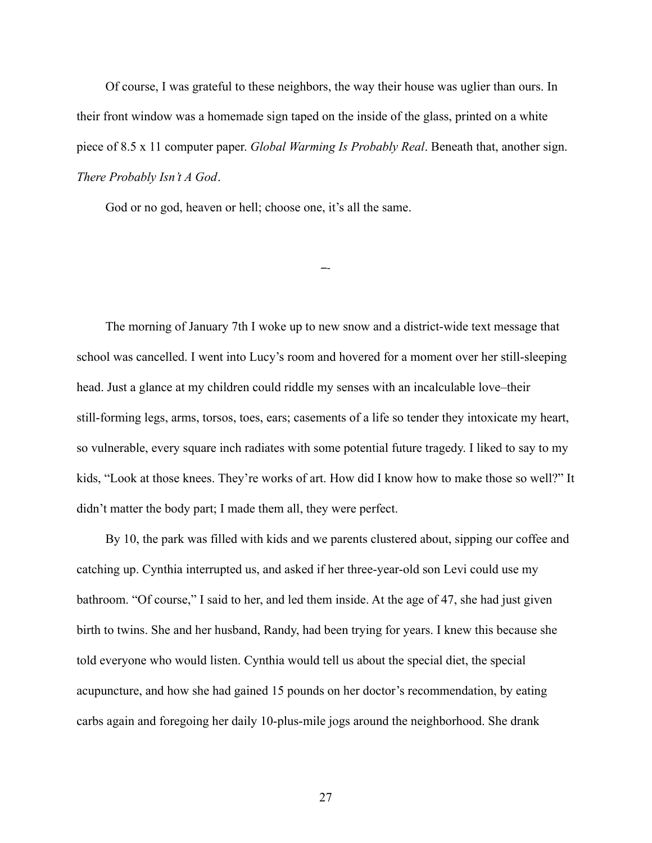Of course, I was grateful to these neighbors, the way their house was uglier than ours. In their front window was a homemade sign taped on the inside of the glass, printed on a white piece of 8.5 x 11 computer paper. *Global Warming Is Probably Real*. Beneath that, another sign. *There Probably Isn't A God*.

–-

God or no god, heaven or hell; choose one, it's all the same.

The morning of January 7th I woke up to new snow and a district-wide text message that school was cancelled. I went into Lucy's room and hovered for a moment over her still-sleeping head. Just a glance at my children could riddle my senses with an incalculable love–their still-forming legs, arms, torsos, toes, ears; casements of a life so tender they intoxicate my heart, so vulnerable, every square inch radiates with some potential future tragedy. I liked to say to my kids, "Look at those knees. They're works of art. How did I know how to make those so well?" It didn't matter the body part; I made them all, they were perfect.

By 10, the park was filled with kids and we parents clustered about, sipping our coffee and catching up. Cynthia interrupted us, and asked if her three-year-old son Levi could use my bathroom. "Of course," I said to her, and led them inside. At the age of 47, she had just given birth to twins. She and her husband, Randy, had been trying for years. I knew this because she told everyone who would listen. Cynthia would tell us about the special diet, the special acupuncture, and how she had gained 15 pounds on her doctor's recommendation, by eating carbs again and foregoing her daily 10-plus-mile jogs around the neighborhood. She drank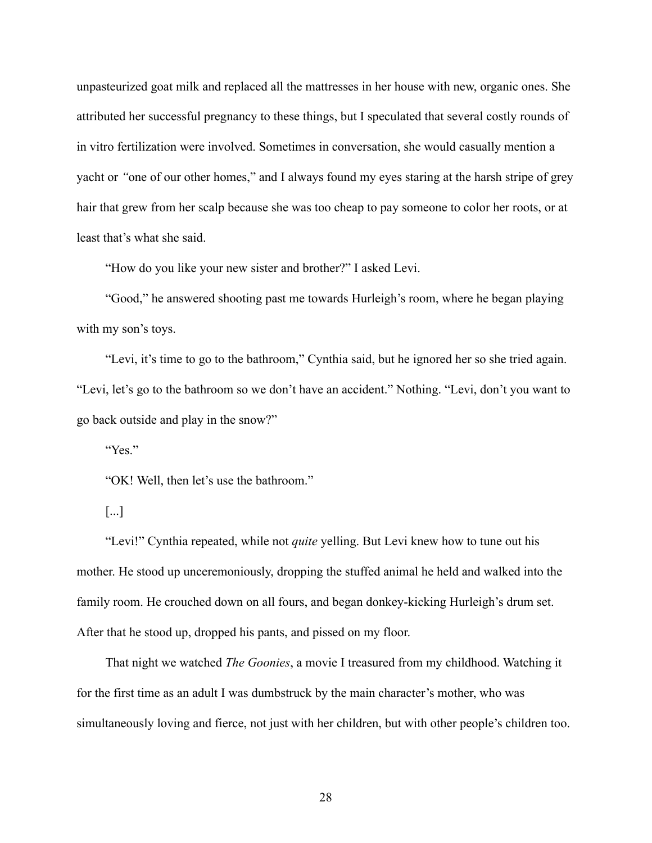unpasteurized goat milk and replaced all the mattresses in her house with new, organic ones. She attributed her successful pregnancy to these things, but I speculated that several costly rounds of in vitro fertilization were involved. Sometimes in conversation, she would casually mention a yacht or *"*one of our other homes," and I always found my eyes staring at the harsh stripe of grey hair that grew from her scalp because she was too cheap to pay someone to color her roots, or at least that's what she said.

"How do you like your new sister and brother?" I asked Levi.

"Good," he answered shooting past me towards Hurleigh's room, where he began playing with my son's toys.

"Levi, it's time to go to the bathroom," Cynthia said, but he ignored her so she tried again. "Levi, let's go to the bathroom so we don't have an accident." Nothing. "Levi, don't you want to go back outside and play in the snow?"

"Yes."

"OK! Well, then let's use the bathroom."

[...]

"Levi!" Cynthia repeated, while not *quite* yelling. But Levi knew how to tune out his mother. He stood up unceremoniously, dropping the stuffed animal he held and walked into the family room. He crouched down on all fours, and began donkey-kicking Hurleigh's drum set. After that he stood up, dropped his pants, and pissed on my floor.

That night we watched *The Goonies*, a movie I treasured from my childhood. Watching it for the first time as an adult I was dumbstruck by the main character's mother, who was simultaneously loving and fierce, not just with her children, but with other people's children too.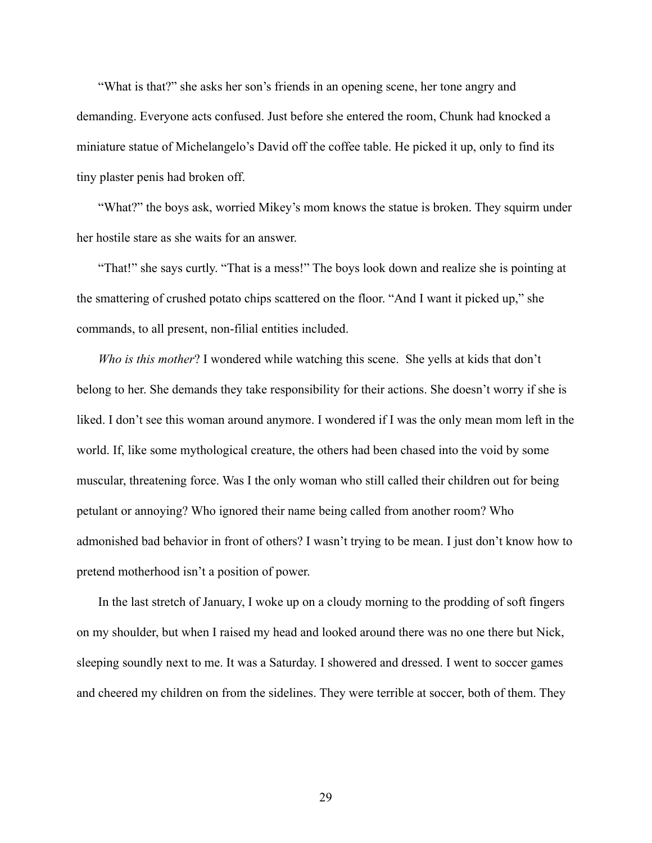"What is that?" she asks her son's friends in an opening scene, her tone angry and demanding. Everyone acts confused. Just before she entered the room, Chunk had knocked a miniature statue of Michelangelo's David off the coffee table. He picked it up, only to find its tiny plaster penis had broken off.

"What?" the boys ask, worried Mikey's mom knows the statue is broken. They squirm under her hostile stare as she waits for an answer.

"That!" she says curtly. "That is a mess!" The boys look down and realize she is pointing at the smattering of crushed potato chips scattered on the floor. "And I want it picked up," she commands, to all present, non-filial entities included.

*Who is this mother*? I wondered while watching this scene. She yells at kids that don't belong to her. She demands they take responsibility for their actions. She doesn't worry if she is liked. I don't see this woman around anymore. I wondered if I was the only mean mom left in the world. If, like some mythological creature, the others had been chased into the void by some muscular, threatening force. Was I the only woman who still called their children out for being petulant or annoying? Who ignored their name being called from another room? Who admonished bad behavior in front of others? I wasn't trying to be mean. I just don't know how to pretend motherhood isn't a position of power.

In the last stretch of January, I woke up on a cloudy morning to the prodding of soft fingers on my shoulder, but when I raised my head and looked around there was no one there but Nick, sleeping soundly next to me. It was a Saturday. I showered and dressed. I went to soccer games and cheered my children on from the sidelines. They were terrible at soccer, both of them. They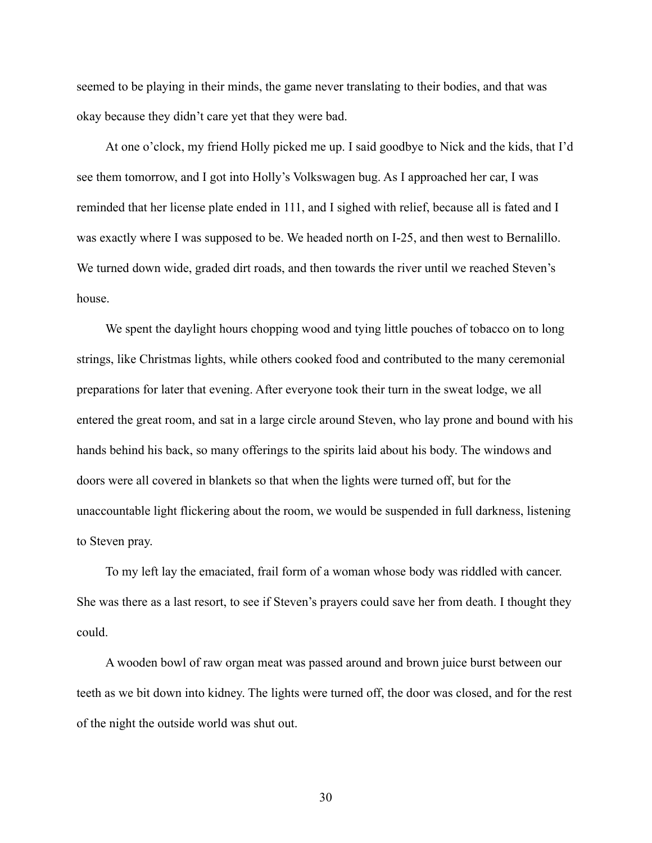seemed to be playing in their minds, the game never translating to their bodies, and that was okay because they didn't care yet that they were bad.

At one o'clock, my friend Holly picked me up. I said goodbye to Nick and the kids, that I'd see them tomorrow, and I got into Holly's Volkswagen bug. As I approached her car, I was reminded that her license plate ended in 111, and I sighed with relief, because all is fated and I was exactly where I was supposed to be. We headed north on I-25, and then west to Bernalillo. We turned down wide, graded dirt roads, and then towards the river until we reached Steven's house.

We spent the daylight hours chopping wood and tying little pouches of tobacco on to long strings, like Christmas lights, while others cooked food and contributed to the many ceremonial preparations for later that evening. After everyone took their turn in the sweat lodge, we all entered the great room, and sat in a large circle around Steven, who lay prone and bound with his hands behind his back, so many offerings to the spirits laid about his body. The windows and doors were all covered in blankets so that when the lights were turned off, but for the unaccountable light flickering about the room, we would be suspended in full darkness, listening to Steven pray.

To my left lay the emaciated, frail form of a woman whose body was riddled with cancer. She was there as a last resort, to see if Steven's prayers could save her from death. I thought they could.

A wooden bowl of raw organ meat was passed around and brown juice burst between our teeth as we bit down into kidney. The lights were turned off, the door was closed, and for the rest of the night the outside world was shut out.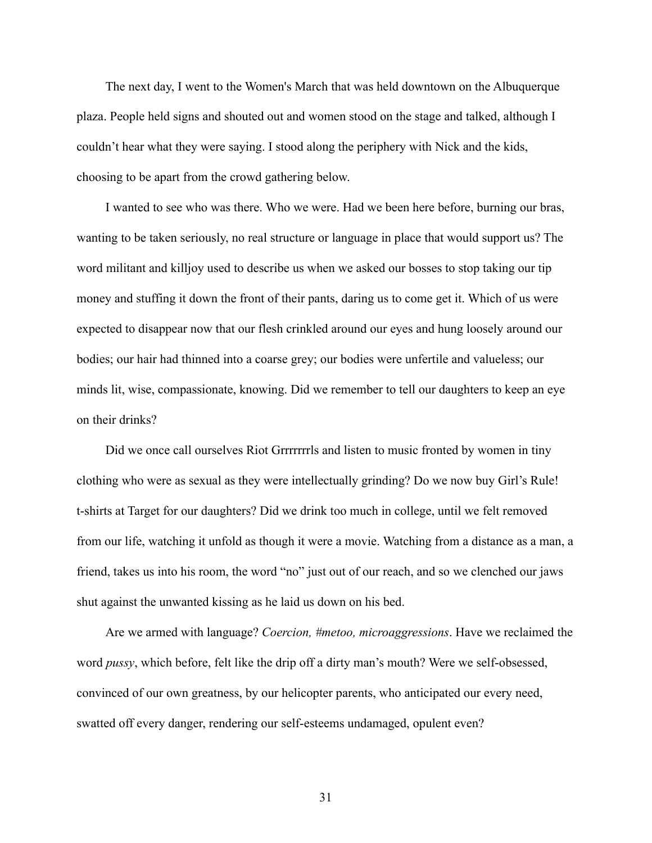The next day, I went to the Women's March that was held downtown on the Albuquerque plaza. People held signs and shouted out and women stood on the stage and talked, although I couldn't hear what they were saying. I stood along the periphery with Nick and the kids, choosing to be apart from the crowd gathering below.

I wanted to see who was there. Who we were. Had we been here before, burning our bras, wanting to be taken seriously, no real structure or language in place that would support us? The word militant and killjoy used to describe us when we asked our bosses to stop taking our tip money and stuffing it down the front of their pants, daring us to come get it. Which of us were expected to disappear now that our flesh crinkled around our eyes and hung loosely around our bodies; our hair had thinned into a coarse grey; our bodies were unfertile and valueless; our minds lit, wise, compassionate, knowing. Did we remember to tell our daughters to keep an eye on their drinks?

Did we once call ourselves Riot Grrrrrrrls and listen to music fronted by women in tiny clothing who were as sexual as they were intellectually grinding? Do we now buy Girl's Rule! t-shirts at Target for our daughters? Did we drink too much in college, until we felt removed from our life, watching it unfold as though it were a movie. Watching from a distance as a man, a friend, takes us into his room, the word "no" just out of our reach, and so we clenched our jaws shut against the unwanted kissing as he laid us down on his bed.

Are we armed with language? *Coercion, #metoo, microaggressions*. Have we reclaimed the word *pussy*, which before, felt like the drip off a dirty man's mouth? Were we self-obsessed, convinced of our own greatness, by our helicopter parents, who anticipated our every need, swatted off every danger, rendering our self-esteems undamaged, opulent even?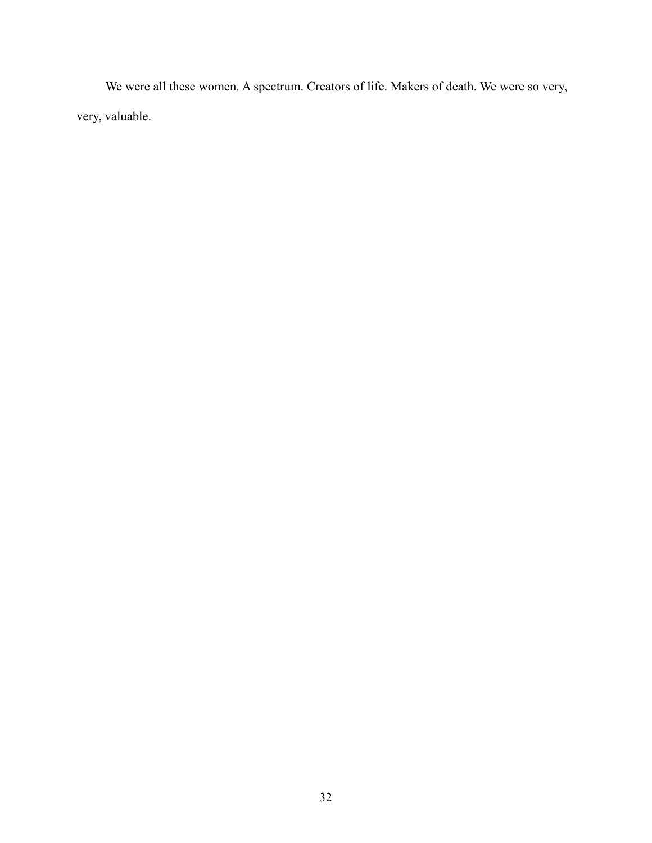We were all these women. A spectrum. Creators of life. Makers of death. We were so very, very, valuable.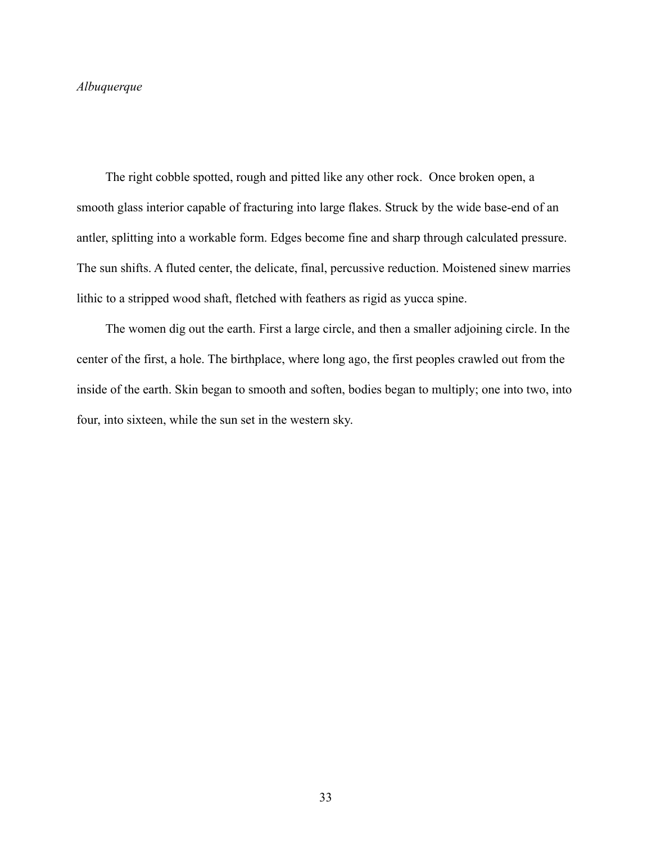## *Albuquerque*

The right cobble spotted, rough and pitted like any other rock. Once broken open, a smooth glass interior capable of fracturing into large flakes. Struck by the wide base-end of an antler, splitting into a workable form. Edges become fine and sharp through calculated pressure. The sun shifts. A fluted center, the delicate, final, percussive reduction. Moistened sinew marries lithic to a stripped wood shaft, fletched with feathers as rigid as yucca spine.

The women dig out the earth. First a large circle, and then a smaller adjoining circle. In the center of the first, a hole. The birthplace, where long ago, the first peoples crawled out from the inside of the earth. Skin began to smooth and soften, bodies began to multiply; one into two, into four, into sixteen, while the sun set in the western sky.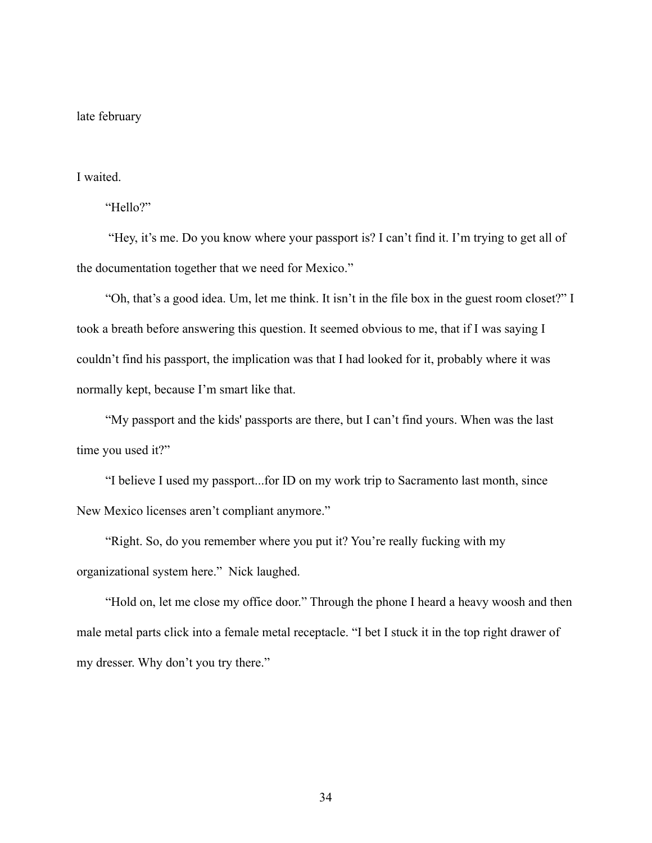#### late february

# I waited.

"Hello?"

"Hey, it's me. Do you know where your passport is? I can't find it. I'm trying to get all of the documentation together that we need for Mexico."

"Oh, that's a good idea. Um, let me think. It isn't in the file box in the guest room closet?" I took a breath before answering this question. It seemed obvious to me, that if I was saying I couldn't find his passport, the implication was that I had looked for it, probably where it was normally kept, because I'm smart like that.

"My passport and the kids' passports are there, but I can't find yours. When was the last time you used it?"

"I believe I used my passport...for ID on my work trip to Sacramento last month, since New Mexico licenses aren't compliant anymore."

"Right. So, do you remember where you put it? You're really fucking with my organizational system here." Nick laughed.

"Hold on, let me close my office door." Through the phone I heard a heavy woosh and then male metal parts click into a female metal receptacle. "I bet I stuck it in the top right drawer of my dresser. Why don't you try there."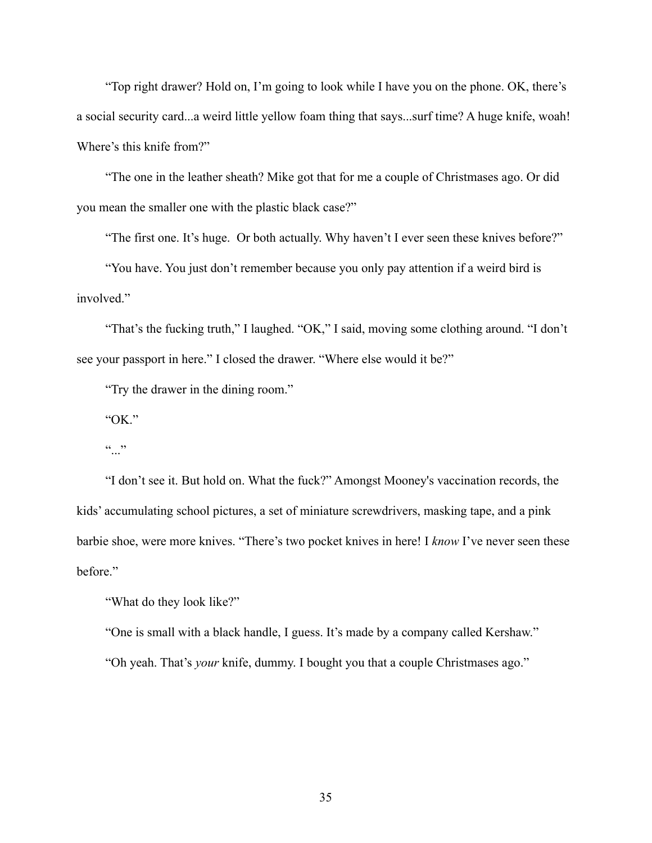"Top right drawer? Hold on, I'm going to look while I have you on the phone. OK, there's a social security card...a weird little yellow foam thing that says...surf time? A huge knife, woah! Where's this knife from?"

"The one in the leather sheath? Mike got that for me a couple of Christmases ago. Or did you mean the smaller one with the plastic black case?"

"The first one. It's huge. Or both actually. Why haven't I ever seen these knives before?"

"You have. You just don't remember because you only pay attention if a weird bird is involved."

"That's the fucking truth," I laughed. "OK," I said, moving some clothing around. "I don't see your passport in here." I closed the drawer. "Where else would it be?"

"Try the drawer in the dining room."

"OK."

 $\frac{1}{1}$ ...

"I don't see it. But hold on. What the fuck?" Amongst Mooney's vaccination records, the kids' accumulating school pictures, a set of miniature screwdrivers, masking tape, and a pink barbie shoe, were more knives. "There's two pocket knives in here! I *know* I've never seen these before."

"What do they look like?"

"One is small with a black handle, I guess. It's made by a company called Kershaw."

"Oh yeah. That's *your* knife, dummy. I bought you that a couple Christmases ago."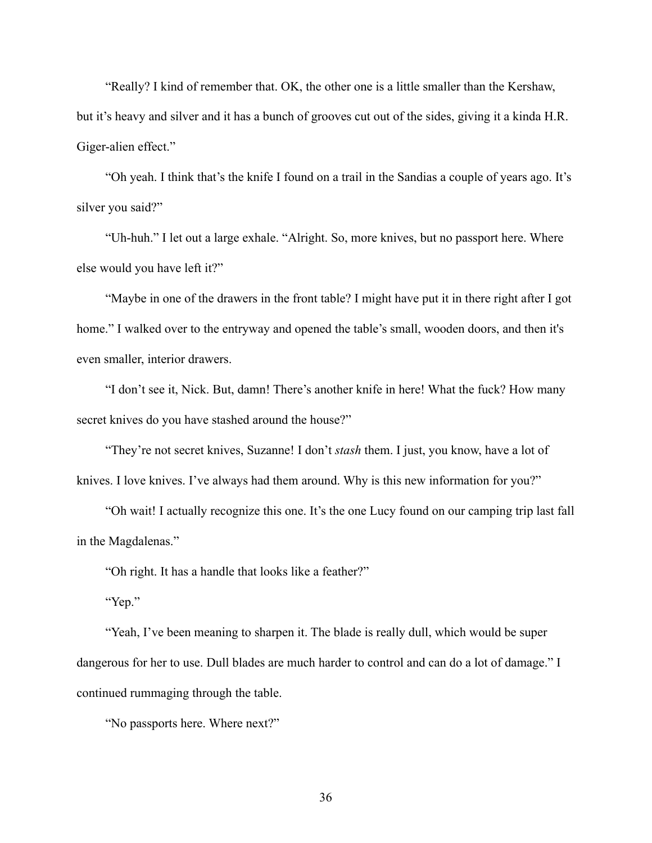"Really? I kind of remember that. OK, the other one is a little smaller than the Kershaw, but it's heavy and silver and it has a bunch of grooves cut out of the sides, giving it a kinda H.R. Giger-alien effect."

"Oh yeah. I think that's the knife I found on a trail in the Sandias a couple of years ago. It's silver you said?"

"Uh-huh." I let out a large exhale. "Alright. So, more knives, but no passport here. Where else would you have left it?"

"Maybe in one of the drawers in the front table? I might have put it in there right after I got home." I walked over to the entryway and opened the table's small, wooden doors, and then it's even smaller, interior drawers.

"I don't see it, Nick. But, damn! There's another knife in here! What the fuck? How many secret knives do you have stashed around the house?"

"They're not secret knives, Suzanne! I don't *stash* them. I just, you know, have a lot of knives. I love knives. I've always had them around. Why is this new information for you?"

"Oh wait! I actually recognize this one. It's the one Lucy found on our camping trip last fall in the Magdalenas."

"Oh right. It has a handle that looks like a feather?"

"Yep."

"Yeah, I've been meaning to sharpen it. The blade is really dull, which would be super dangerous for her to use. Dull blades are much harder to control and can do a lot of damage." I continued rummaging through the table.

"No passports here. Where next?"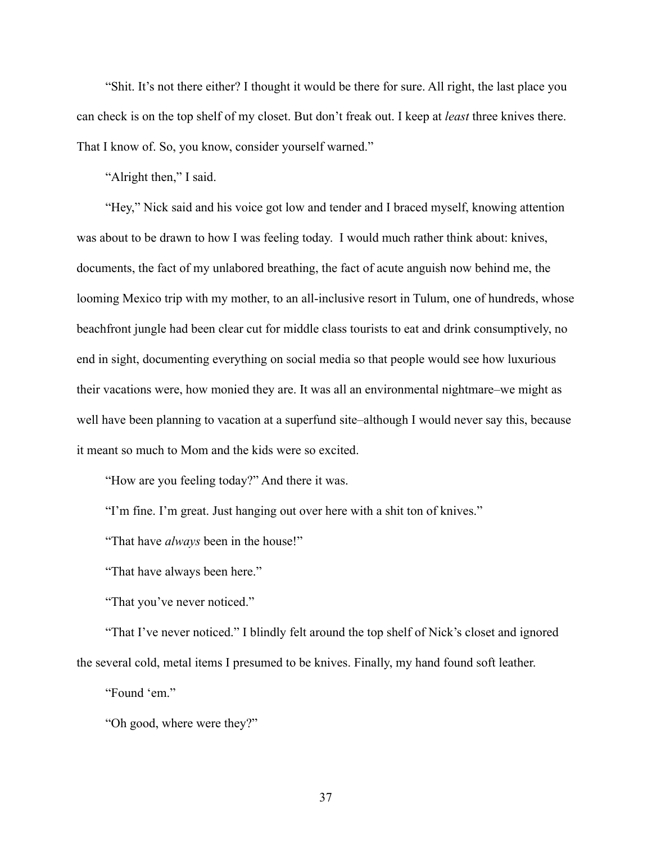"Shit. It's not there either? I thought it would be there for sure. All right, the last place you can check is on the top shelf of my closet. But don't freak out. I keep at *least* three knives there. That I know of. So, you know, consider yourself warned."

"Alright then," I said.

"Hey," Nick said and his voice got low and tender and I braced myself, knowing attention was about to be drawn to how I was feeling today. I would much rather think about: knives, documents, the fact of my unlabored breathing, the fact of acute anguish now behind me, the looming Mexico trip with my mother, to an all-inclusive resort in Tulum, one of hundreds, whose beachfront jungle had been clear cut for middle class tourists to eat and drink consumptively, no end in sight, documenting everything on social media so that people would see how luxurious their vacations were, how monied they are. It was all an environmental nightmare–we might as well have been planning to vacation at a superfund site–although I would never say this, because it meant so much to Mom and the kids were so excited.

"How are you feeling today?" And there it was.

"I'm fine. I'm great. Just hanging out over here with a shit ton of knives."

"That have *always* been in the house!"

"That have always been here."

"That you've never noticed."

"That I've never noticed." I blindly felt around the top shelf of Nick's closet and ignored the several cold, metal items I presumed to be knives. Finally, my hand found soft leather.

"Found 'em."

"Oh good, where were they?"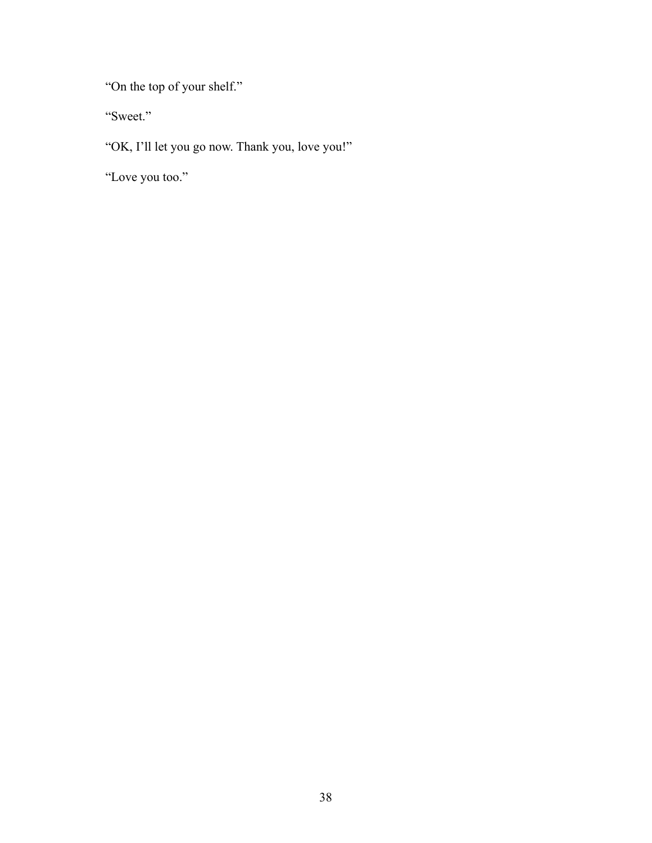"On the top of your shelf."

"Sweet."

"OK, I'll let you go now. Thank you, love you!"

"Love you too."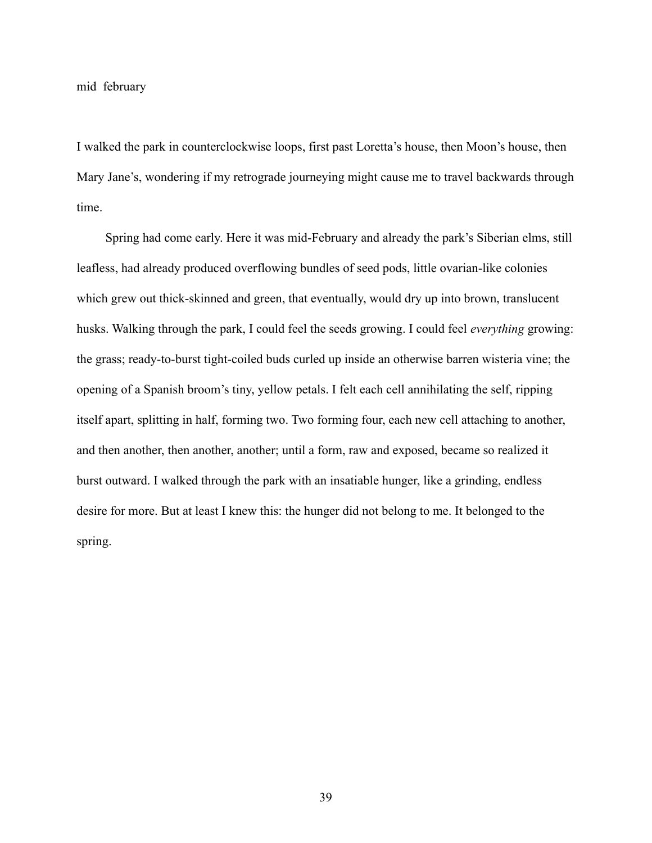mid february

I walked the park in counterclockwise loops, first past Loretta's house, then Moon's house, then Mary Jane's, wondering if my retrograde journeying might cause me to travel backwards through time.

Spring had come early. Here it was mid-February and already the park's Siberian elms, still leafless, had already produced overflowing bundles of seed pods, little ovarian-like colonies which grew out thick-skinned and green, that eventually, would dry up into brown, translucent husks. Walking through the park, I could feel the seeds growing. I could feel *everything* growing: the grass; ready-to-burst tight-coiled buds curled up inside an otherwise barren wisteria vine; the opening of a Spanish broom's tiny, yellow petals. I felt each cell annihilating the self, ripping itself apart, splitting in half, forming two. Two forming four, each new cell attaching to another, and then another, then another, another; until a form, raw and exposed, became so realized it burst outward. I walked through the park with an insatiable hunger, like a grinding, endless desire for more. But at least I knew this: the hunger did not belong to me. It belonged to the spring.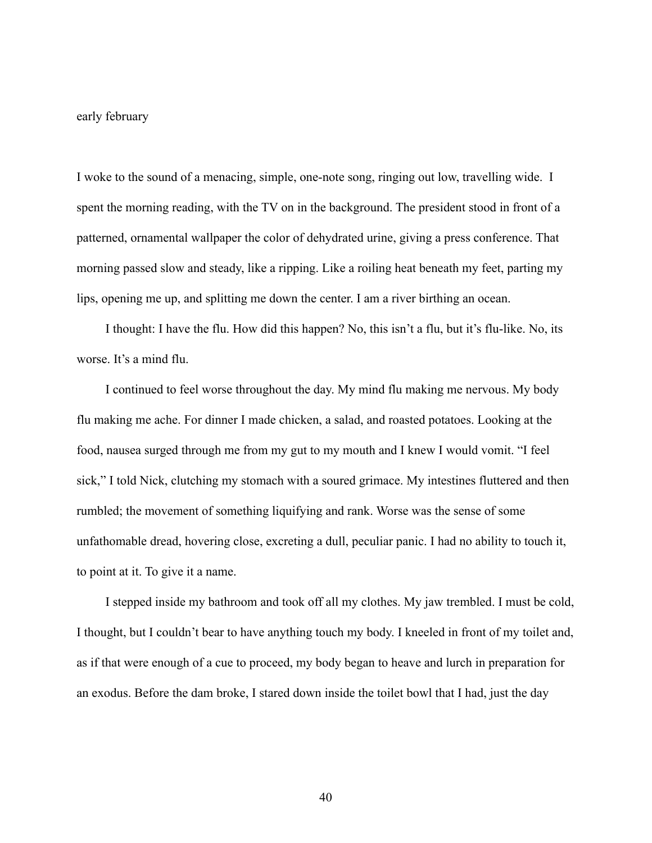#### early february

I woke to the sound of a menacing, simple, one-note song, ringing out low, travelling wide. I spent the morning reading, with the TV on in the background. The president stood in front of a patterned, ornamental wallpaper the color of dehydrated urine, giving a press conference. That morning passed slow and steady, like a ripping. Like a roiling heat beneath my feet, parting my lips, opening me up, and splitting me down the center. I am a river birthing an ocean.

I thought: I have the flu. How did this happen? No, this isn't a flu, but it's flu-like. No, its worse. It's a mind flu.

I continued to feel worse throughout the day. My mind flu making me nervous. My body flu making me ache. For dinner I made chicken, a salad, and roasted potatoes. Looking at the food, nausea surged through me from my gut to my mouth and I knew I would vomit. "I feel sick," I told Nick, clutching my stomach with a soured grimace. My intestines fluttered and then rumbled; the movement of something liquifying and rank. Worse was the sense of some unfathomable dread, hovering close, excreting a dull, peculiar panic. I had no ability to touch it, to point at it. To give it a name.

I stepped inside my bathroom and took off all my clothes. My jaw trembled. I must be cold, I thought, but I couldn't bear to have anything touch my body. I kneeled in front of my toilet and, as if that were enough of a cue to proceed, my body began to heave and lurch in preparation for an exodus. Before the dam broke, I stared down inside the toilet bowl that I had, just the day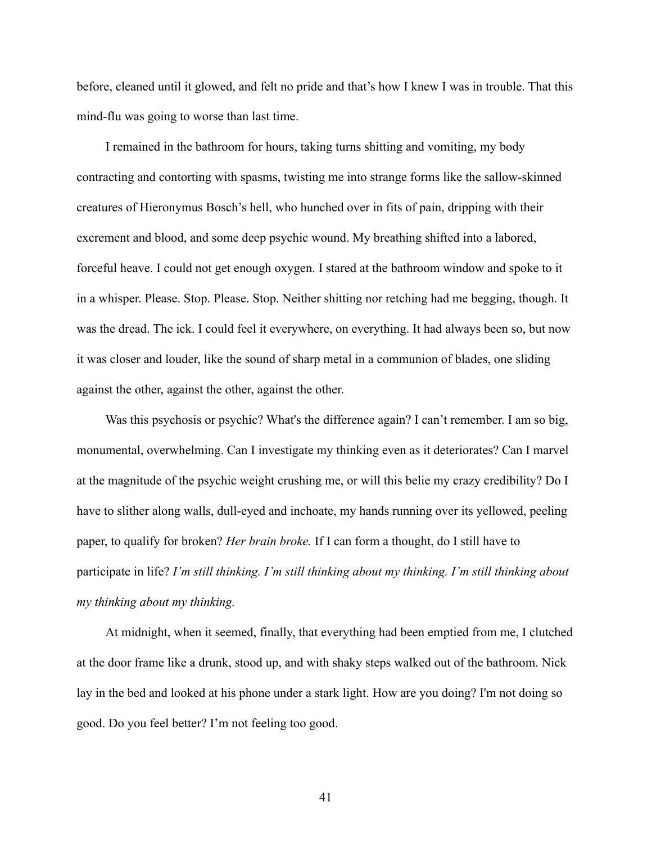before, cleaned until it glowed, and felt no pride and that's how I knew I was in trouble. That this mind-flu was going to worse than last time.

I remained in the bathroom for hours, taking turns shitting and vomiting, my body contracting and contorting with spasms, twisting me into strange forms like the sallow-skinned creatures of Hieronymus Bosch's hell, who hunched over in fits of pain, dripping with their excrement and blood, and some deep psychic wound. My breathing shifted into a labored, forceful heave. I could not get enough oxygen. I stared at the bathroom window and spoke to it in a whisper. Please. Stop. Please. Stop. Neither shitting nor retching had me begging, though. It was the dread. The ick. I could feel it everywhere, on everything. It had always been so, but now it was closer and louder, like the sound of sharp metal in a communion of blades, one sliding against the other, against the other, against the other.

Was this psychosis or psychic? What's the difference again? I can't remember. I am so big, monumental, overwhelming. Can I investigate my thinking even as it deteriorates? Can I marvel at the magnitude of the psychic weight crushing me, or will this belie my crazy credibility? Do I have to slither along walls, dull-eyed and inchoate, my hands running over its yellowed, peeling paper, to qualify for broken? *Her brain broke.* If I can form a thought, do I still have to participate in life? *I'm still thinking. I'm still thinking about my thinking. I'm still thinking about my thinking about my thinking.*

At midnight, when it seemed, finally, that everything had been emptied from me, I clutched at the door frame like a drunk, stood up, and with shaky steps walked out of the bathroom. Nick lay in the bed and looked at his phone under a stark light. How are you doing? I'm not doing so good. Do you feel better? I'm not feeling too good.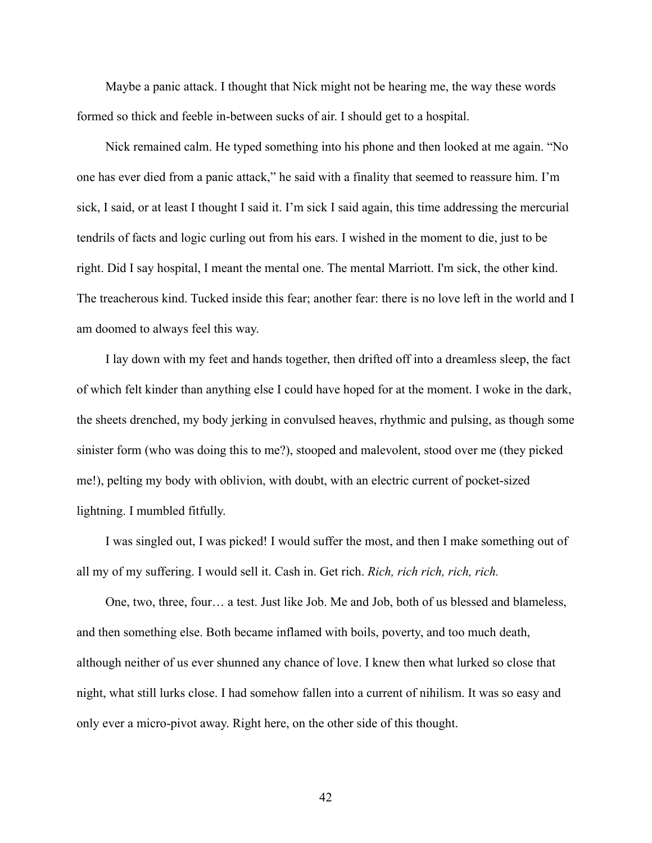Maybe a panic attack. I thought that Nick might not be hearing me, the way these words formed so thick and feeble in-between sucks of air. I should get to a hospital.

Nick remained calm. He typed something into his phone and then looked at me again. "No one has ever died from a panic attack," he said with a finality that seemed to reassure him. I'm sick, I said, or at least I thought I said it. I'm sick I said again, this time addressing the mercurial tendrils of facts and logic curling out from his ears. I wished in the moment to die, just to be right. Did I say hospital, I meant the mental one. The mental Marriott. I'm sick, the other kind. The treacherous kind. Tucked inside this fear; another fear: there is no love left in the world and I am doomed to always feel this way.

I lay down with my feet and hands together, then drifted off into a dreamless sleep, the fact of which felt kinder than anything else I could have hoped for at the moment. I woke in the dark, the sheets drenched, my body jerking in convulsed heaves, rhythmic and pulsing, as though some sinister form (who was doing this to me?), stooped and malevolent, stood over me (they picked me!), pelting my body with oblivion, with doubt, with an electric current of pocket-sized lightning. I mumbled fitfully.

I was singled out, I was picked! I would suffer the most, and then I make something out of all my of my suffering. I would sell it. Cash in. Get rich. *Rich, rich rich, rich, rich.*

One, two, three, four… a test. Just like Job. Me and Job, both of us blessed and blameless, and then something else. Both became inflamed with boils, poverty, and too much death, although neither of us ever shunned any chance of love. I knew then what lurked so close that night, what still lurks close. I had somehow fallen into a current of nihilism. It was so easy and only ever a micro-pivot away. Right here, on the other side of this thought.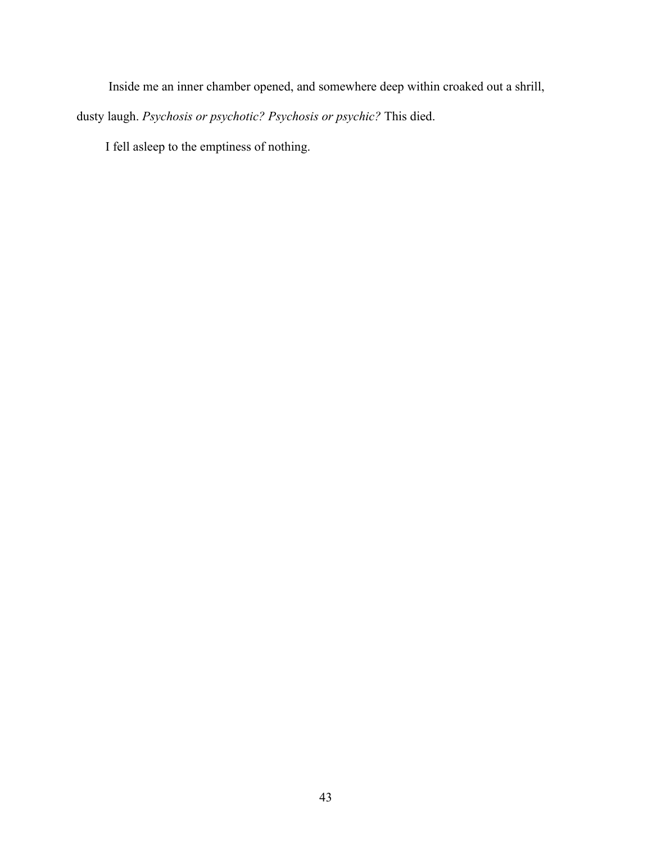Inside me an inner chamber opened, and somewhere deep within croaked out a shrill,

dusty laugh. *Psychosis or psychotic? Psychosis or psychic?* This died.

I fell asleep to the emptiness of nothing.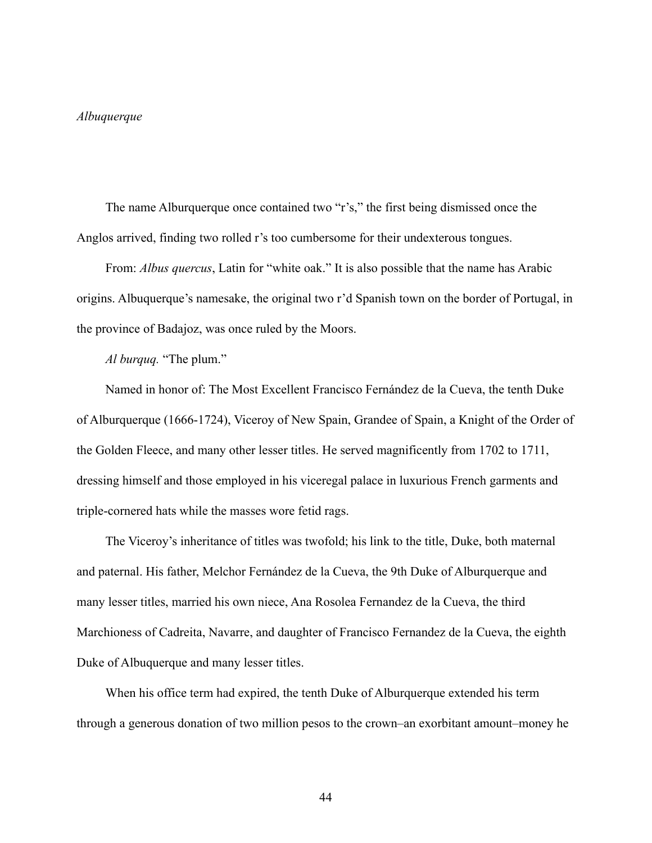## *Albuquerque*

The name Alburquerque once contained two "r's," the first being dismissed once the Anglos arrived, finding two rolled r's too cumbersome for their undexterous tongues.

From: *Albus quercus*, Latin for "white oak." It is also possible that the name has Arabic origins. Albuquerque's namesake, the original two r'd Spanish town on the border of Portugal, in the province of Badajoz, was once ruled by the Moors.

*Al burquq.* "The plum."

Named in honor of: The Most Excellent Francisco Fernández de la Cueva, the tenth Duke of Alburquerque (1666-1724), Viceroy of New Spain, Grandee of Spain, a Knight of the Order of the Golden Fleece, and many other lesser titles. He served magnificently from 1702 to 1711, dressing himself and those employed in his viceregal palace in luxurious French garments and triple-cornered hats while the masses wore fetid rags.

The Viceroy's inheritance of titles was twofold; his link to the title, Duke, both maternal and paternal. His father, Melchor Fernández de la Cueva, the 9th Duke of Alburquerque and many lesser titles, married his own niece, Ana Rosolea Fernandez de la Cueva, the third Marchioness of Cadreita, Navarre, and daughter of Francisco Fernandez de la Cueva, the eighth Duke of Albuquerque and many lesser titles.

When his office term had expired, the tenth Duke of Alburquerque extended his term through a generous donation of two million pesos to the crown–an exorbitant amount–money he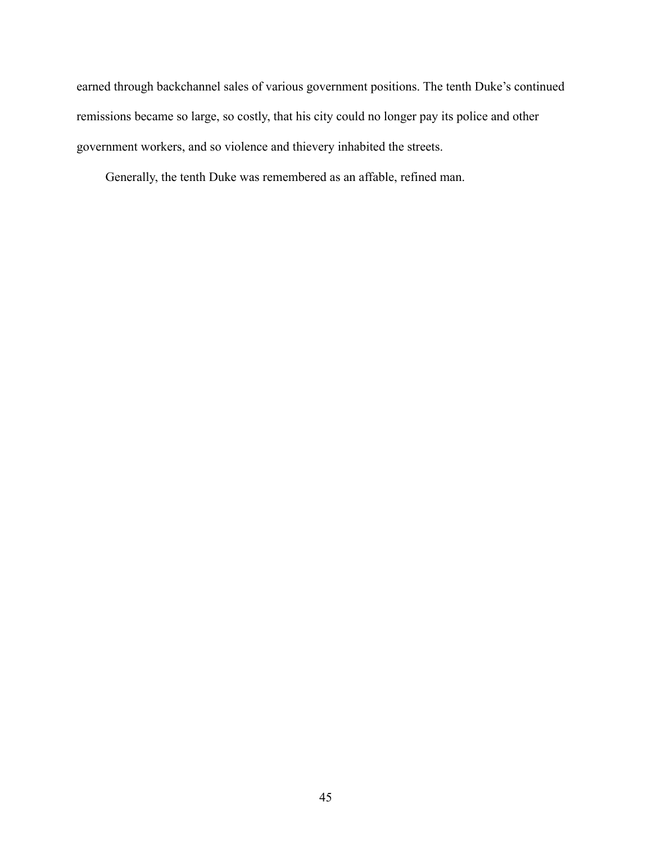earned through backchannel sales of various government positions. The tenth Duke's continued remissions became so large, so costly, that his city could no longer pay its police and other government workers, and so violence and thievery inhabited the streets.

Generally, the tenth Duke was remembered as an affable, refined man.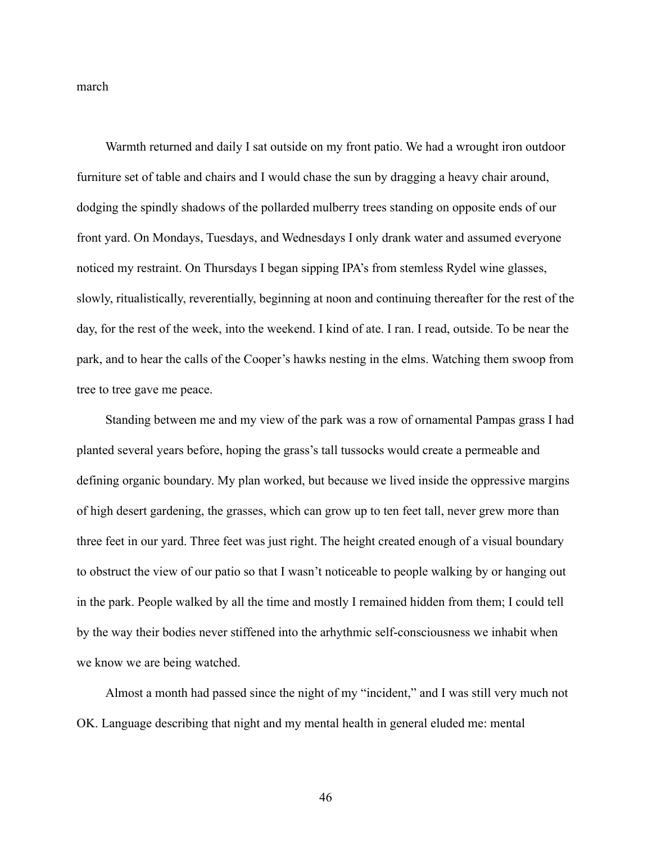march

Warmth returned and daily I sat outside on my front patio. We had a wrought iron outdoor furniture set of table and chairs and I would chase the sun by dragging a heavy chair around, dodging the spindly shadows of the pollarded mulberry trees standing on opposite ends of our front yard. On Mondays, Tuesdays, and Wednesdays I only drank water and assumed everyone noticed my restraint. On Thursdays I began sipping IPA's from stemless Rydel wine glasses, slowly, ritualistically, reverentially, beginning at noon and continuing thereafter for the rest of the day, for the rest of the week, into the weekend. I kind of ate. I ran. I read, outside. To be near the park, and to hear the calls of the Cooper's hawks nesting in the elms. Watching them swoop from tree to tree gave me peace.

Standing between me and my view of the park was a row of ornamental Pampas grass I had planted several years before, hoping the grass's tall tussocks would create a permeable and defining organic boundary. My plan worked, but because we lived inside the oppressive margins of high desert gardening, the grasses, which can grow up to ten feet tall, never grew more than three feet in our yard. Three feet was just right. The height created enough of a visual boundary to obstruct the view of our patio so that I wasn't noticeable to people walking by or hanging out in the park. People walked by all the time and mostly I remained hidden from them; I could tell by the way their bodies never stiffened into the arhythmic self-consciousness we inhabit when we know we are being watched.

Almost a month had passed since the night of my "incident," and I was still very much not OK. Language describing that night and my mental health in general eluded me: mental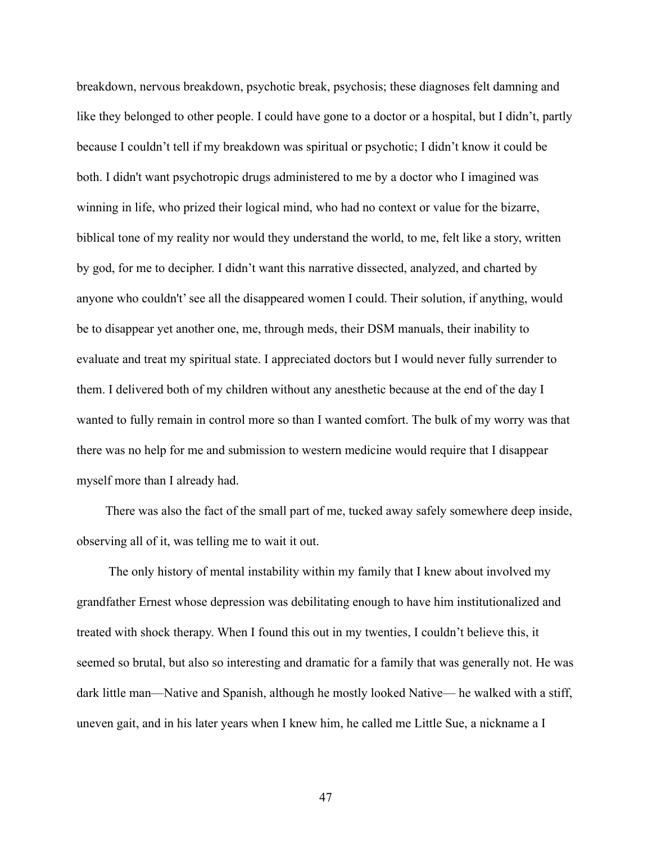breakdown, nervous breakdown, psychotic break, psychosis; these diagnoses felt damning and like they belonged to other people. I could have gone to a doctor or a hospital, but I didn't, partly because I couldn't tell if my breakdown was spiritual or psychotic; I didn't know it could be both. I didn't want psychotropic drugs administered to me by a doctor who I imagined was winning in life, who prized their logical mind, who had no context or value for the bizarre, biblical tone of my reality nor would they understand the world, to me, felt like a story, written by god, for me to decipher. I didn't want this narrative dissected, analyzed, and charted by anyone who couldn't' see all the disappeared women I could. Their solution, if anything, would be to disappear yet another one, me, through meds, their DSM manuals, their inability to evaluate and treat my spiritual state. I appreciated doctors but I would never fully surrender to them. I delivered both of my children without any anesthetic because at the end of the day I wanted to fully remain in control more so than I wanted comfort. The bulk of my worry was that there was no help for me and submission to western medicine would require that I disappear myself more than I already had.

There was also the fact of the small part of me, tucked away safely somewhere deep inside, observing all of it, was telling me to wait it out.

The only history of mental instability within my family that I knew about involved my grandfather Ernest whose depression was debilitating enough to have him institutionalized and treated with shock therapy. When I found this out in my twenties, I couldn't believe this, it seemed so brutal, but also so interesting and dramatic for a family that was generally not. He was dark little man––Native and Spanish, although he mostly looked Native–– he walked with a stiff, uneven gait, and in his later years when I knew him, he called me Little Sue, a nickname a I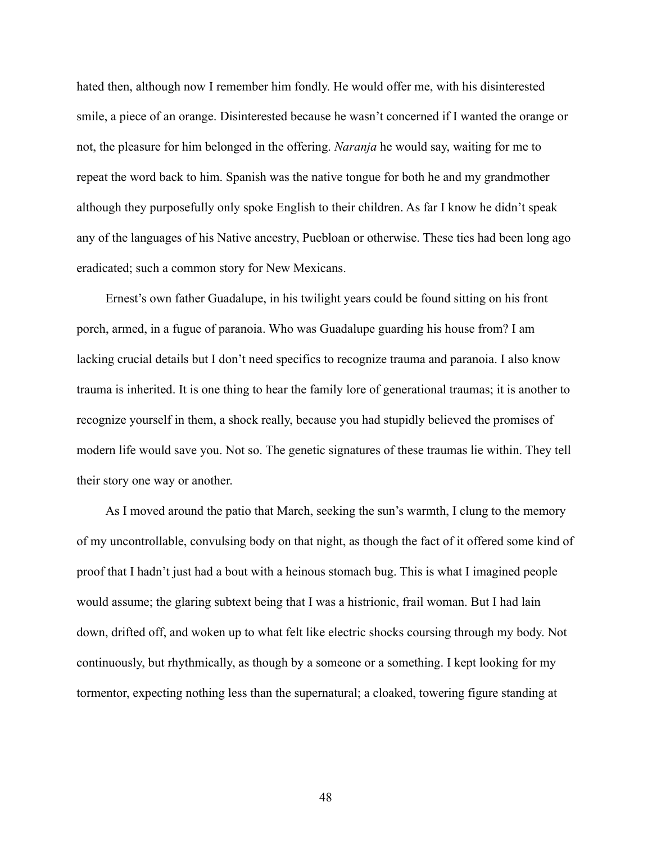hated then, although now I remember him fondly. He would offer me, with his disinterested smile, a piece of an orange. Disinterested because he wasn't concerned if I wanted the orange or not, the pleasure for him belonged in the offering. *Naranja* he would say, waiting for me to repeat the word back to him. Spanish was the native tongue for both he and my grandmother although they purposefully only spoke English to their children. As far I know he didn't speak any of the languages of his Native ancestry, Puebloan or otherwise. These ties had been long ago eradicated; such a common story for New Mexicans.

Ernest's own father Guadalupe, in his twilight years could be found sitting on his front porch, armed, in a fugue of paranoia. Who was Guadalupe guarding his house from? I am lacking crucial details but I don't need specifics to recognize trauma and paranoia. I also know trauma is inherited. It is one thing to hear the family lore of generational traumas; it is another to recognize yourself in them, a shock really, because you had stupidly believed the promises of modern life would save you. Not so. The genetic signatures of these traumas lie within. They tell their story one way or another.

As I moved around the patio that March, seeking the sun's warmth, I clung to the memory of my uncontrollable, convulsing body on that night, as though the fact of it offered some kind of proof that I hadn't just had a bout with a heinous stomach bug. This is what I imagined people would assume; the glaring subtext being that I was a histrionic, frail woman. But I had lain down, drifted off, and woken up to what felt like electric shocks coursing through my body. Not continuously, but rhythmically, as though by a someone or a something. I kept looking for my tormentor, expecting nothing less than the supernatural; a cloaked, towering figure standing at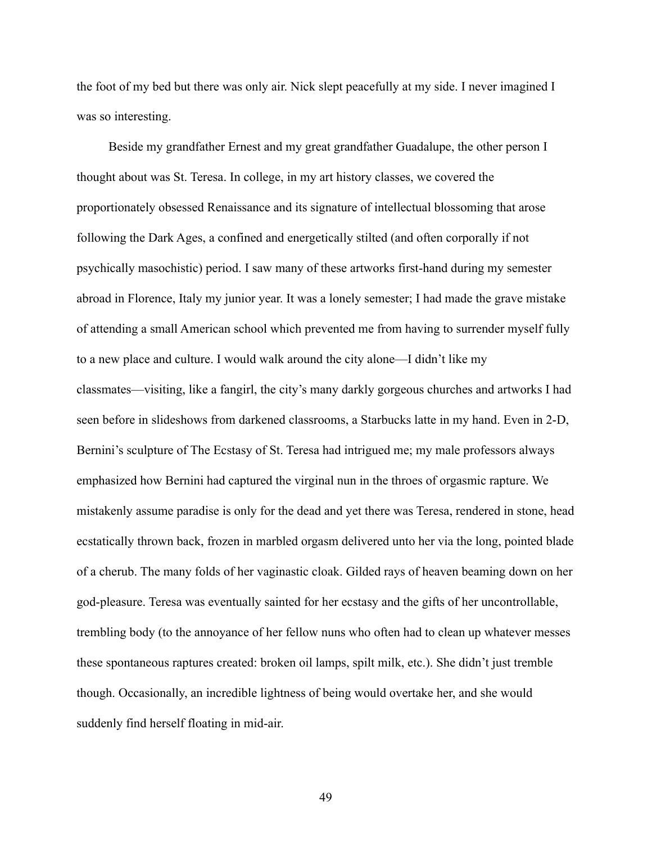the foot of my bed but there was only air. Nick slept peacefully at my side. I never imagined I was so interesting.

Beside my grandfather Ernest and my great grandfather Guadalupe, the other person I thought about was St. Teresa. In college, in my art history classes, we covered the proportionately obsessed Renaissance and its signature of intellectual blossoming that arose following the Dark Ages, a confined and energetically stilted (and often corporally if not psychically masochistic) period. I saw many of these artworks first-hand during my semester abroad in Florence, Italy my junior year. It was a lonely semester; I had made the grave mistake of attending a small American school which prevented me from having to surrender myself fully to a new place and culture. I would walk around the city alone––I didn't like my classmates––visiting, like a fangirl, the city's many darkly gorgeous churches and artworks I had seen before in slideshows from darkened classrooms, a Starbucks latte in my hand. Even in 2-D, Bernini's sculpture of The Ecstasy of St. Teresa had intrigued me; my male professors always emphasized how Bernini had captured the virginal nun in the throes of orgasmic rapture. We mistakenly assume paradise is only for the dead and yet there was Teresa, rendered in stone, head ecstatically thrown back, frozen in marbled orgasm delivered unto her via the long, pointed blade of a cherub. The many folds of her vaginastic cloak. Gilded rays of heaven beaming down on her god-pleasure. Teresa was eventually sainted for her ecstasy and the gifts of her uncontrollable, trembling body (to the annoyance of her fellow nuns who often had to clean up whatever messes these spontaneous raptures created: broken oil lamps, spilt milk, etc.). She didn't just tremble though. Occasionally, an incredible lightness of being would overtake her, and she would suddenly find herself floating in mid-air.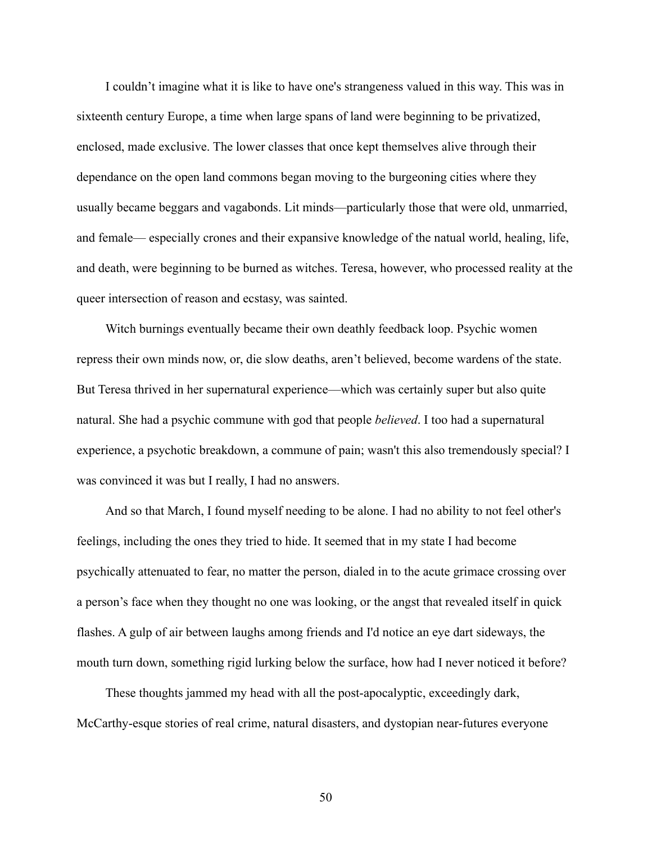I couldn't imagine what it is like to have one's strangeness valued in this way. This was in sixteenth century Europe, a time when large spans of land were beginning to be privatized, enclosed, made exclusive. The lower classes that once kept themselves alive through their dependance on the open land commons began moving to the burgeoning cities where they usually became beggars and vagabonds. Lit minds––particularly those that were old, unmarried, and female–– especially crones and their expansive knowledge of the natual world, healing, life, and death, were beginning to be burned as witches. Teresa, however, who processed reality at the queer intersection of reason and ecstasy, was sainted.

Witch burnings eventually became their own deathly feedback loop. Psychic women repress their own minds now, or, die slow deaths, aren't believed, become wardens of the state. But Teresa thrived in her supernatural experience––which was certainly super but also quite natural. She had a psychic commune with god that people *believed*. I too had a supernatural experience, a psychotic breakdown, a commune of pain; wasn't this also tremendously special? I was convinced it was but I really, I had no answers.

And so that March, I found myself needing to be alone. I had no ability to not feel other's feelings, including the ones they tried to hide. It seemed that in my state I had become psychically attenuated to fear, no matter the person, dialed in to the acute grimace crossing over a person's face when they thought no one was looking, or the angst that revealed itself in quick flashes. A gulp of air between laughs among friends and I'd notice an eye dart sideways, the mouth turn down, something rigid lurking below the surface, how had I never noticed it before?

These thoughts jammed my head with all the post-apocalyptic, exceedingly dark, McCarthy-esque stories of real crime, natural disasters, and dystopian near-futures everyone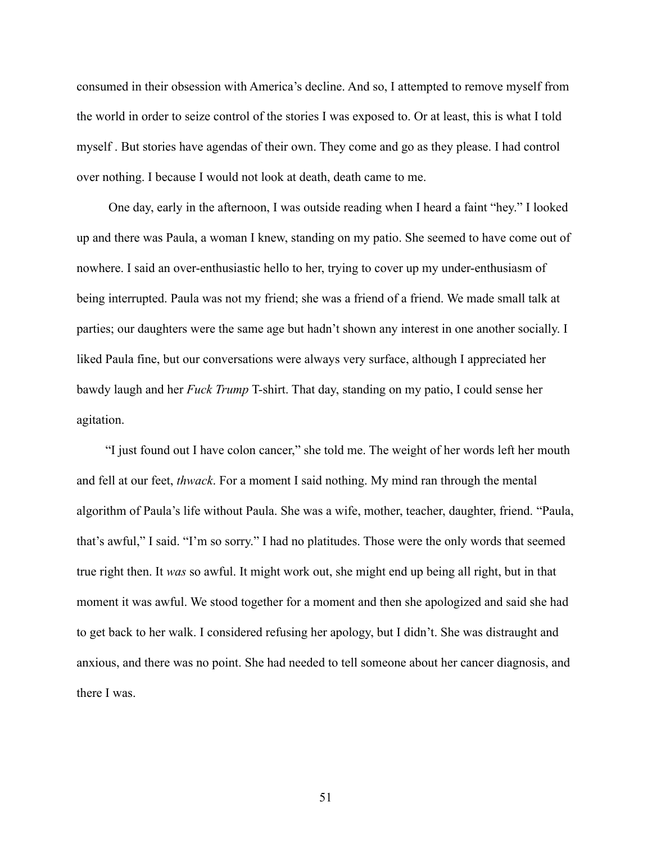consumed in their obsession with America's decline. And so, I attempted to remove myself from the world in order to seize control of the stories I was exposed to. Or at least, this is what I told myself . But stories have agendas of their own. They come and go as they please. I had control over nothing. I because I would not look at death, death came to me.

One day, early in the afternoon, I was outside reading when I heard a faint "hey." I looked up and there was Paula, a woman I knew, standing on my patio. She seemed to have come out of nowhere. I said an over-enthusiastic hello to her, trying to cover up my under-enthusiasm of being interrupted. Paula was not my friend; she was a friend of a friend. We made small talk at parties; our daughters were the same age but hadn't shown any interest in one another socially. I liked Paula fine, but our conversations were always very surface, although I appreciated her bawdy laugh and her *Fuck Trump* T-shirt. That day, standing on my patio, I could sense her agitation.

"I just found out I have colon cancer," she told me. The weight of her words left her mouth and fell at our feet, *thwack*. For a moment I said nothing. My mind ran through the mental algorithm of Paula's life without Paula. She was a wife, mother, teacher, daughter, friend. "Paula, that's awful," I said. "I'm so sorry." I had no platitudes. Those were the only words that seemed true right then. It *was* so awful. It might work out, she might end up being all right, but in that moment it was awful. We stood together for a moment and then she apologized and said she had to get back to her walk. I considered refusing her apology, but I didn't. She was distraught and anxious, and there was no point. She had needed to tell someone about her cancer diagnosis, and there I was.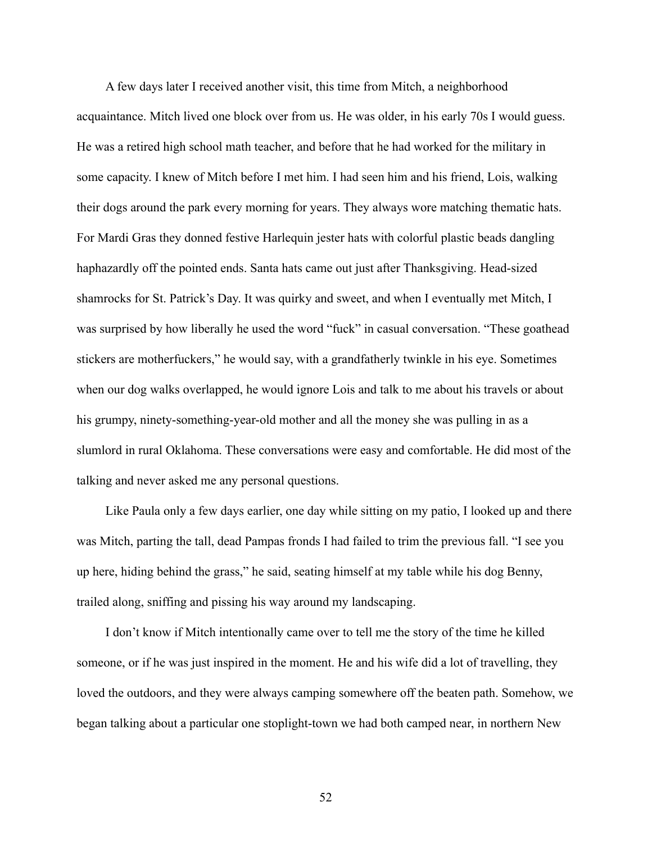A few days later I received another visit, this time from Mitch, a neighborhood acquaintance. Mitch lived one block over from us. He was older, in his early 70s I would guess. He was a retired high school math teacher, and before that he had worked for the military in some capacity. I knew of Mitch before I met him. I had seen him and his friend, Lois, walking their dogs around the park every morning for years. They always wore matching thematic hats. For Mardi Gras they donned festive Harlequin jester hats with colorful plastic beads dangling haphazardly off the pointed ends. Santa hats came out just after Thanksgiving. Head-sized shamrocks for St. Patrick's Day. It was quirky and sweet, and when I eventually met Mitch, I was surprised by how liberally he used the word "fuck" in casual conversation. "These goathead stickers are motherfuckers," he would say, with a grandfatherly twinkle in his eye. Sometimes when our dog walks overlapped, he would ignore Lois and talk to me about his travels or about his grumpy, ninety-something-year-old mother and all the money she was pulling in as a slumlord in rural Oklahoma. These conversations were easy and comfortable. He did most of the talking and never asked me any personal questions.

Like Paula only a few days earlier, one day while sitting on my patio, I looked up and there was Mitch, parting the tall, dead Pampas fronds I had failed to trim the previous fall. "I see you up here, hiding behind the grass," he said, seating himself at my table while his dog Benny, trailed along, sniffing and pissing his way around my landscaping.

I don't know if Mitch intentionally came over to tell me the story of the time he killed someone, or if he was just inspired in the moment. He and his wife did a lot of travelling, they loved the outdoors, and they were always camping somewhere off the beaten path. Somehow, we began talking about a particular one stoplight-town we had both camped near, in northern New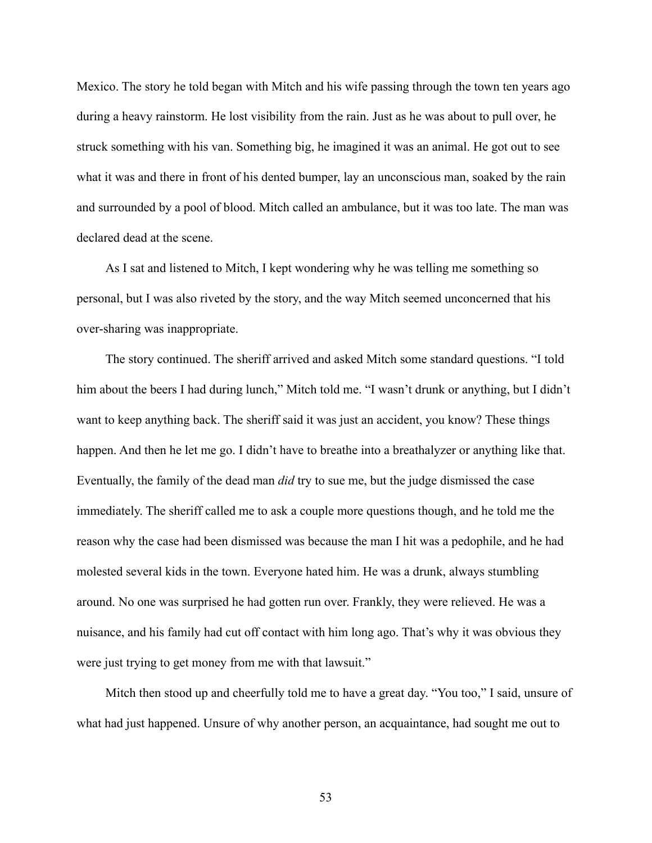Mexico. The story he told began with Mitch and his wife passing through the town ten years ago during a heavy rainstorm. He lost visibility from the rain. Just as he was about to pull over, he struck something with his van. Something big, he imagined it was an animal. He got out to see what it was and there in front of his dented bumper, lay an unconscious man, soaked by the rain and surrounded by a pool of blood. Mitch called an ambulance, but it was too late. The man was declared dead at the scene.

As I sat and listened to Mitch, I kept wondering why he was telling me something so personal, but I was also riveted by the story, and the way Mitch seemed unconcerned that his over-sharing was inappropriate.

The story continued. The sheriff arrived and asked Mitch some standard questions. "I told him about the beers I had during lunch," Mitch told me. "I wasn't drunk or anything, but I didn't want to keep anything back. The sheriff said it was just an accident, you know? These things happen. And then he let me go. I didn't have to breathe into a breathalyzer or anything like that. Eventually, the family of the dead man *did* try to sue me, but the judge dismissed the case immediately. The sheriff called me to ask a couple more questions though, and he told me the reason why the case had been dismissed was because the man I hit was a pedophile, and he had molested several kids in the town. Everyone hated him. He was a drunk, always stumbling around. No one was surprised he had gotten run over. Frankly, they were relieved. He was a nuisance, and his family had cut off contact with him long ago. That's why it was obvious they were just trying to get money from me with that lawsuit."

Mitch then stood up and cheerfully told me to have a great day. "You too," I said, unsure of what had just happened. Unsure of why another person, an acquaintance, had sought me out to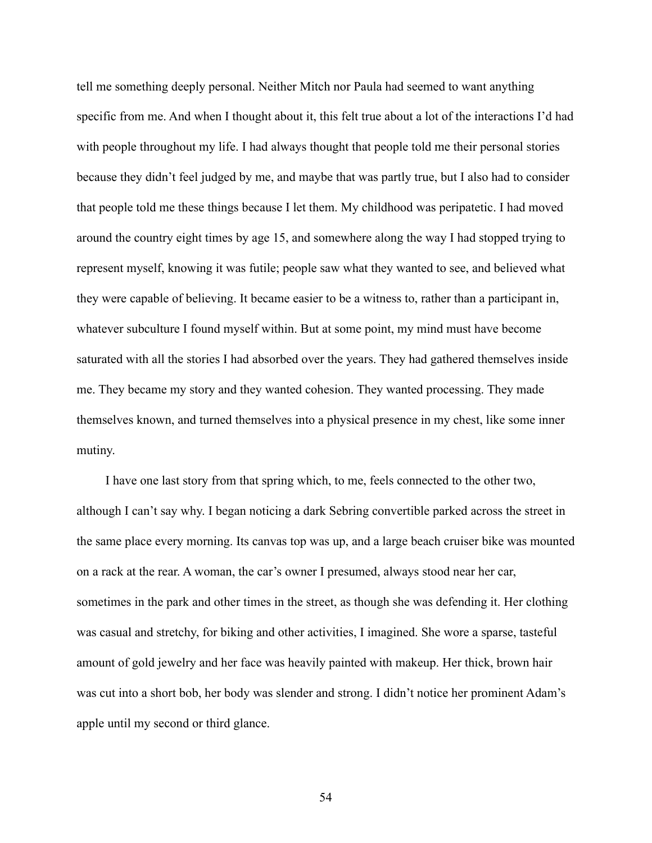tell me something deeply personal. Neither Mitch nor Paula had seemed to want anything specific from me. And when I thought about it, this felt true about a lot of the interactions I'd had with people throughout my life. I had always thought that people told me their personal stories because they didn't feel judged by me, and maybe that was partly true, but I also had to consider that people told me these things because I let them. My childhood was peripatetic. I had moved around the country eight times by age 15, and somewhere along the way I had stopped trying to represent myself, knowing it was futile; people saw what they wanted to see, and believed what they were capable of believing. It became easier to be a witness to, rather than a participant in, whatever subculture I found myself within. But at some point, my mind must have become saturated with all the stories I had absorbed over the years. They had gathered themselves inside me. They became my story and they wanted cohesion. They wanted processing. They made themselves known, and turned themselves into a physical presence in my chest, like some inner mutiny.

I have one last story from that spring which, to me, feels connected to the other two, although I can't say why. I began noticing a dark Sebring convertible parked across the street in the same place every morning. Its canvas top was up, and a large beach cruiser bike was mounted on a rack at the rear. A woman, the car's owner I presumed, always stood near her car, sometimes in the park and other times in the street, as though she was defending it. Her clothing was casual and stretchy, for biking and other activities, I imagined. She wore a sparse, tasteful amount of gold jewelry and her face was heavily painted with makeup. Her thick, brown hair was cut into a short bob, her body was slender and strong. I didn't notice her prominent Adam's apple until my second or third glance.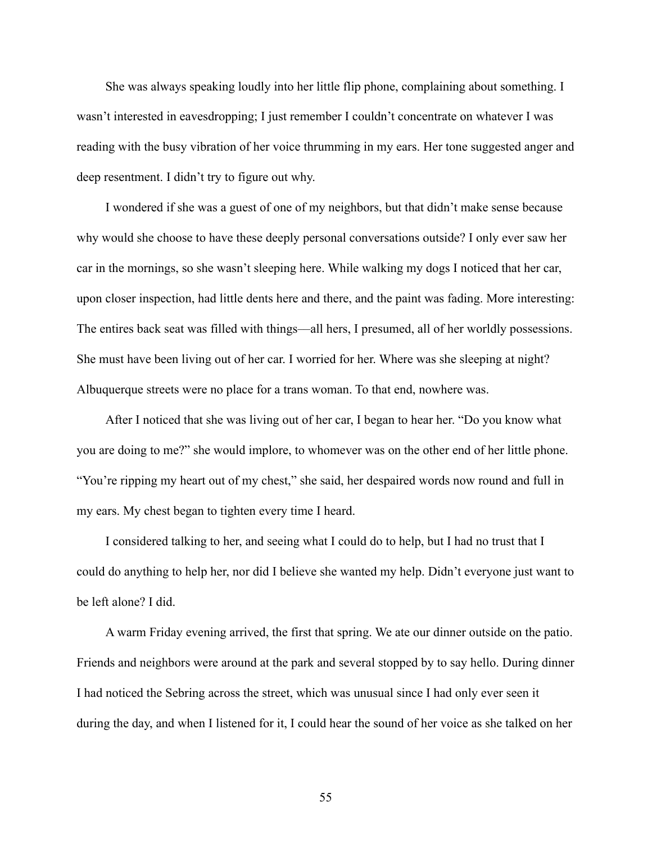She was always speaking loudly into her little flip phone, complaining about something. I wasn't interested in eavesdropping; I just remember I couldn't concentrate on whatever I was reading with the busy vibration of her voice thrumming in my ears. Her tone suggested anger and deep resentment. I didn't try to figure out why.

I wondered if she was a guest of one of my neighbors, but that didn't make sense because why would she choose to have these deeply personal conversations outside? I only ever saw her car in the mornings, so she wasn't sleeping here. While walking my dogs I noticed that her car, upon closer inspection, had little dents here and there, and the paint was fading. More interesting: The entires back seat was filled with things––all hers, I presumed, all of her worldly possessions. She must have been living out of her car. I worried for her. Where was she sleeping at night? Albuquerque streets were no place for a trans woman. To that end, nowhere was.

After I noticed that she was living out of her car, I began to hear her. "Do you know what you are doing to me?" she would implore, to whomever was on the other end of her little phone. "You're ripping my heart out of my chest," she said, her despaired words now round and full in my ears. My chest began to tighten every time I heard.

I considered talking to her, and seeing what I could do to help, but I had no trust that I could do anything to help her, nor did I believe she wanted my help. Didn't everyone just want to be left alone? I did.

A warm Friday evening arrived, the first that spring. We ate our dinner outside on the patio. Friends and neighbors were around at the park and several stopped by to say hello. During dinner I had noticed the Sebring across the street, which was unusual since I had only ever seen it during the day, and when I listened for it, I could hear the sound of her voice as she talked on her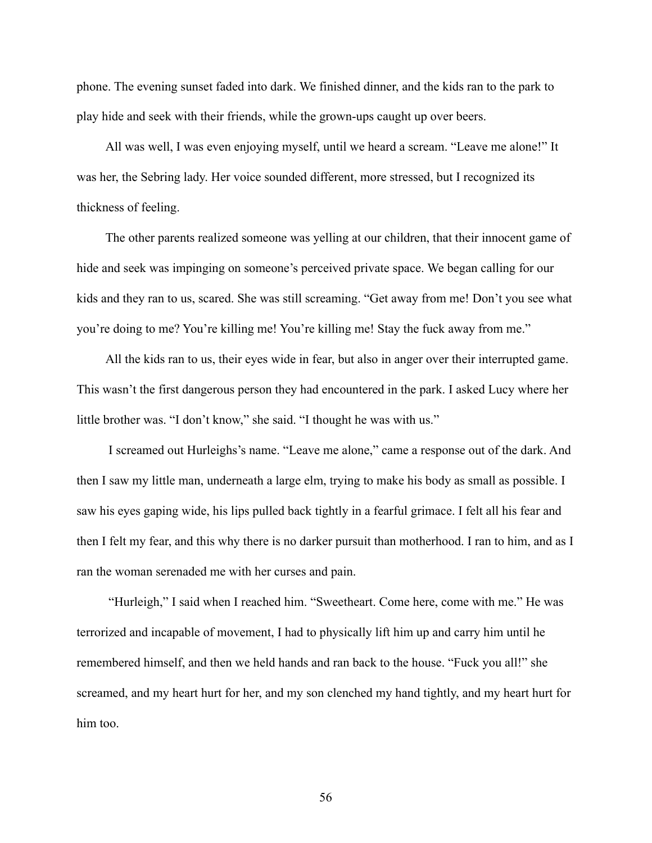phone. The evening sunset faded into dark. We finished dinner, and the kids ran to the park to play hide and seek with their friends, while the grown-ups caught up over beers.

All was well, I was even enjoying myself, until we heard a scream. "Leave me alone!" It was her, the Sebring lady. Her voice sounded different, more stressed, but I recognized its thickness of feeling.

The other parents realized someone was yelling at our children, that their innocent game of hide and seek was impinging on someone's perceived private space. We began calling for our kids and they ran to us, scared. She was still screaming. "Get away from me! Don't you see what you're doing to me? You're killing me! You're killing me! Stay the fuck away from me."

All the kids ran to us, their eyes wide in fear, but also in anger over their interrupted game. This wasn't the first dangerous person they had encountered in the park. I asked Lucy where her little brother was. "I don't know," she said. "I thought he was with us."

I screamed out Hurleighs's name. "Leave me alone," came a response out of the dark. And then I saw my little man, underneath a large elm, trying to make his body as small as possible. I saw his eyes gaping wide, his lips pulled back tightly in a fearful grimace. I felt all his fear and then I felt my fear, and this why there is no darker pursuit than motherhood. I ran to him, and as I ran the woman serenaded me with her curses and pain.

"Hurleigh," I said when I reached him. "Sweetheart. Come here, come with me." He was terrorized and incapable of movement, I had to physically lift him up and carry him until he remembered himself, and then we held hands and ran back to the house. "Fuck you all!" she screamed, and my heart hurt for her, and my son clenched my hand tightly, and my heart hurt for him too.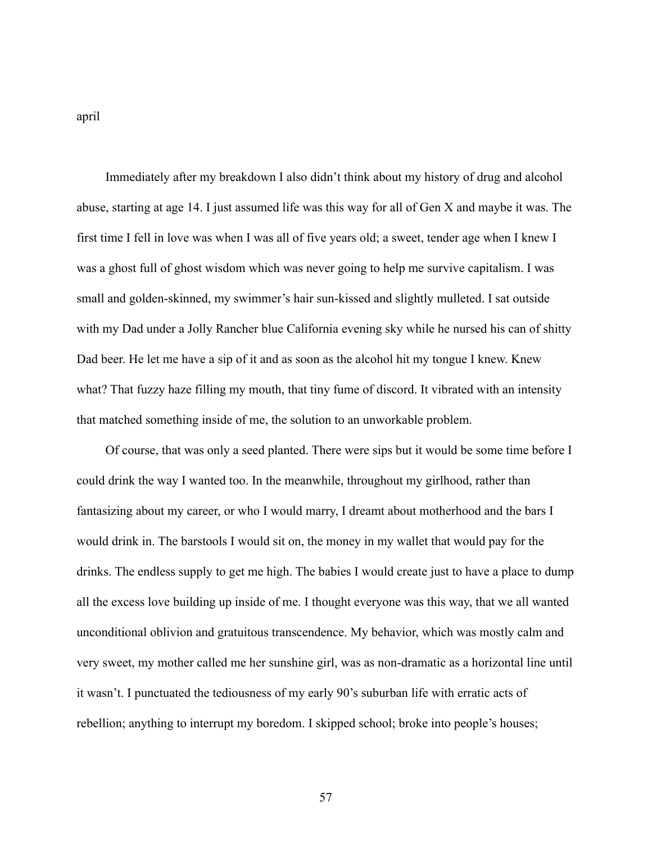april

Immediately after my breakdown I also didn't think about my history of drug and alcohol abuse, starting at age 14. I just assumed life was this way for all of Gen X and maybe it was. The first time I fell in love was when I was all of five years old; a sweet, tender age when I knew I was a ghost full of ghost wisdom which was never going to help me survive capitalism. I was small and golden-skinned, my swimmer's hair sun-kissed and slightly mulleted. I sat outside with my Dad under a Jolly Rancher blue California evening sky while he nursed his can of shitty Dad beer. He let me have a sip of it and as soon as the alcohol hit my tongue I knew. Knew what? That fuzzy haze filling my mouth, that tiny fume of discord. It vibrated with an intensity that matched something inside of me, the solution to an unworkable problem.

Of course, that was only a seed planted. There were sips but it would be some time before I could drink the way I wanted too. In the meanwhile, throughout my girlhood, rather than fantasizing about my career, or who I would marry, I dreamt about motherhood and the bars I would drink in. The barstools I would sit on, the money in my wallet that would pay for the drinks. The endless supply to get me high. The babies I would create just to have a place to dump all the excess love building up inside of me. I thought everyone was this way, that we all wanted unconditional oblivion and gratuitous transcendence. My behavior, which was mostly calm and very sweet, my mother called me her sunshine girl, was as non-dramatic as a horizontal line until it wasn't. I punctuated the tediousness of my early 90's suburban life with erratic acts of rebellion; anything to interrupt my boredom. I skipped school; broke into people's houses;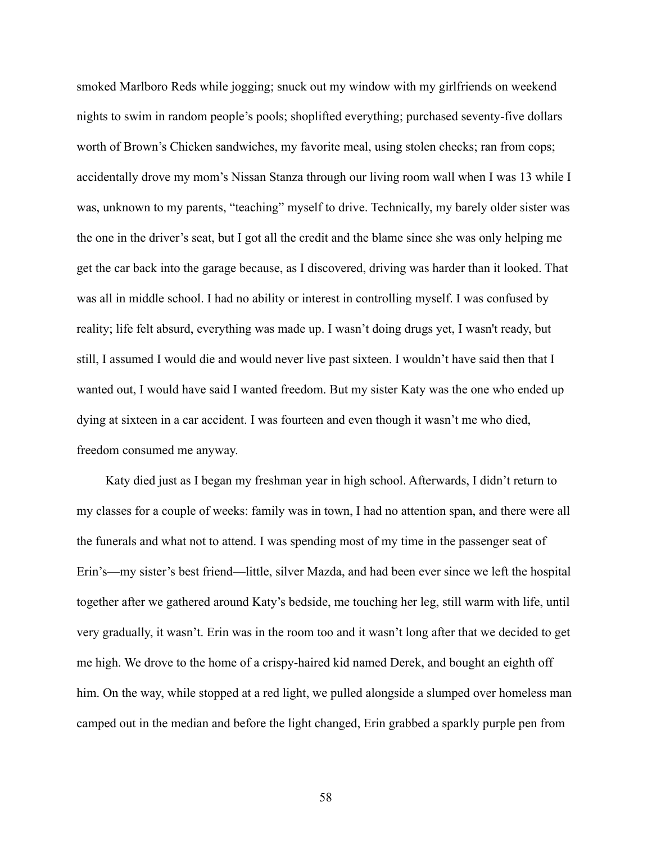smoked Marlboro Reds while jogging; snuck out my window with my girlfriends on weekend nights to swim in random people's pools; shoplifted everything; purchased seventy-five dollars worth of Brown's Chicken sandwiches, my favorite meal, using stolen checks; ran from cops; accidentally drove my mom's Nissan Stanza through our living room wall when I was 13 while I was, unknown to my parents, "teaching" myself to drive. Technically, my barely older sister was the one in the driver's seat, but I got all the credit and the blame since she was only helping me get the car back into the garage because, as I discovered, driving was harder than it looked. That was all in middle school. I had no ability or interest in controlling myself. I was confused by reality; life felt absurd, everything was made up. I wasn't doing drugs yet, I wasn't ready, but still, I assumed I would die and would never live past sixteen. I wouldn't have said then that I wanted out, I would have said I wanted freedom. But my sister Katy was the one who ended up dying at sixteen in a car accident. I was fourteen and even though it wasn't me who died, freedom consumed me anyway.

Katy died just as I began my freshman year in high school. Afterwards, I didn't return to my classes for a couple of weeks: family was in town, I had no attention span, and there were all the funerals and what not to attend. I was spending most of my time in the passenger seat of Erin's—my sister's best friend—little, silver Mazda, and had been ever since we left the hospital together after we gathered around Katy's bedside, me touching her leg, still warm with life, until very gradually, it wasn't. Erin was in the room too and it wasn't long after that we decided to get me high. We drove to the home of a crispy-haired kid named Derek, and bought an eighth off him. On the way, while stopped at a red light, we pulled alongside a slumped over homeless man camped out in the median and before the light changed, Erin grabbed a sparkly purple pen from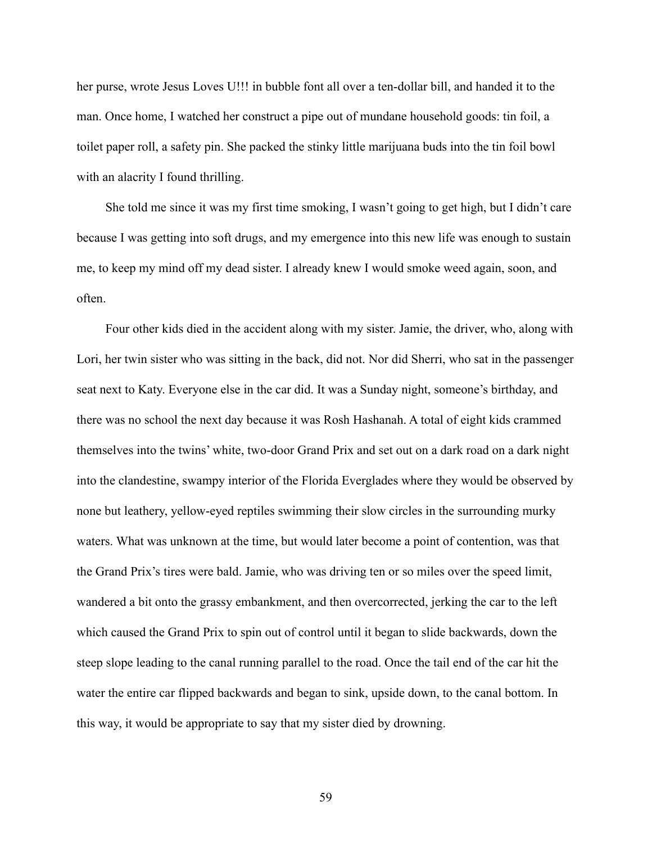her purse, wrote Jesus Loves U!!! in bubble font all over a ten-dollar bill, and handed it to the man. Once home, I watched her construct a pipe out of mundane household goods: tin foil, a toilet paper roll, a safety pin. She packed the stinky little marijuana buds into the tin foil bowl with an alacrity I found thrilling.

She told me since it was my first time smoking, I wasn't going to get high, but I didn't care because I was getting into soft drugs, and my emergence into this new life was enough to sustain me, to keep my mind off my dead sister. I already knew I would smoke weed again, soon, and often.

Four other kids died in the accident along with my sister. Jamie, the driver, who, along with Lori, her twin sister who was sitting in the back, did not. Nor did Sherri, who sat in the passenger seat next to Katy. Everyone else in the car did. It was a Sunday night, someone's birthday, and there was no school the next day because it was Rosh Hashanah. A total of eight kids crammed themselves into the twins' white, two-door Grand Prix and set out on a dark road on a dark night into the clandestine, swampy interior of the Florida Everglades where they would be observed by none but leathery, yellow-eyed reptiles swimming their slow circles in the surrounding murky waters. What was unknown at the time, but would later become a point of contention, was that the Grand Prix's tires were bald. Jamie, who was driving ten or so miles over the speed limit, wandered a bit onto the grassy embankment, and then overcorrected, jerking the car to the left which caused the Grand Prix to spin out of control until it began to slide backwards, down the steep slope leading to the canal running parallel to the road. Once the tail end of the car hit the water the entire car flipped backwards and began to sink, upside down, to the canal bottom. In this way, it would be appropriate to say that my sister died by drowning.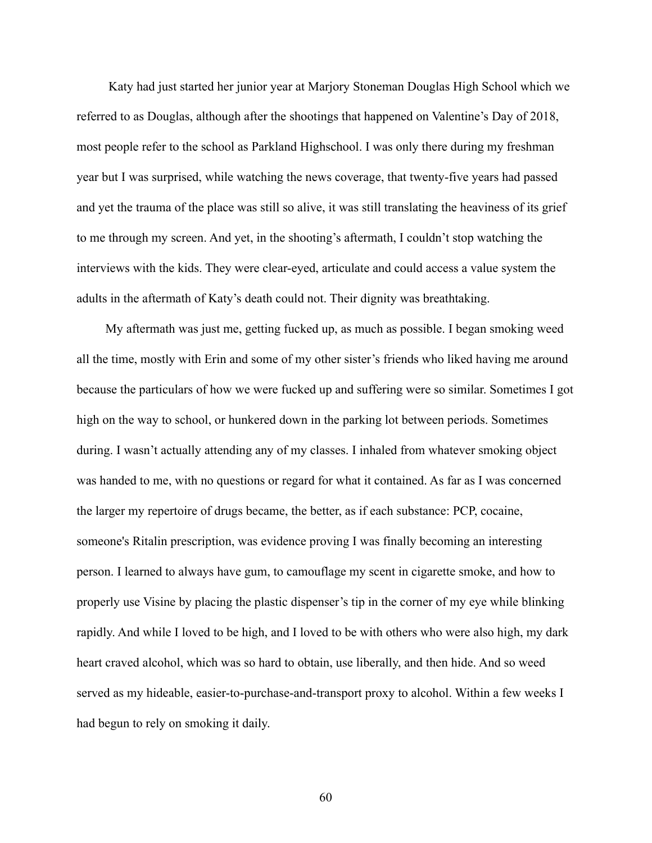Katy had just started her junior year at Marjory Stoneman Douglas High School which we referred to as Douglas, although after the shootings that happened on Valentine's Day of 2018, most people refer to the school as Parkland Highschool. I was only there during my freshman year but I was surprised, while watching the news coverage, that twenty-five years had passed and yet the trauma of the place was still so alive, it was still translating the heaviness of its grief to me through my screen. And yet, in the shooting's aftermath, I couldn't stop watching the interviews with the kids. They were clear-eyed, articulate and could access a value system the adults in the aftermath of Katy's death could not. Their dignity was breathtaking.

My aftermath was just me, getting fucked up, as much as possible. I began smoking weed all the time, mostly with Erin and some of my other sister's friends who liked having me around because the particulars of how we were fucked up and suffering were so similar. Sometimes I got high on the way to school, or hunkered down in the parking lot between periods. Sometimes during. I wasn't actually attending any of my classes. I inhaled from whatever smoking object was handed to me, with no questions or regard for what it contained. As far as I was concerned the larger my repertoire of drugs became, the better, as if each substance: PCP, cocaine, someone's Ritalin prescription, was evidence proving I was finally becoming an interesting person. I learned to always have gum, to camouflage my scent in cigarette smoke, and how to properly use Visine by placing the plastic dispenser's tip in the corner of my eye while blinking rapidly. And while I loved to be high, and I loved to be with others who were also high, my dark heart craved alcohol, which was so hard to obtain, use liberally, and then hide. And so weed served as my hideable, easier-to-purchase-and-transport proxy to alcohol. Within a few weeks I had begun to rely on smoking it daily.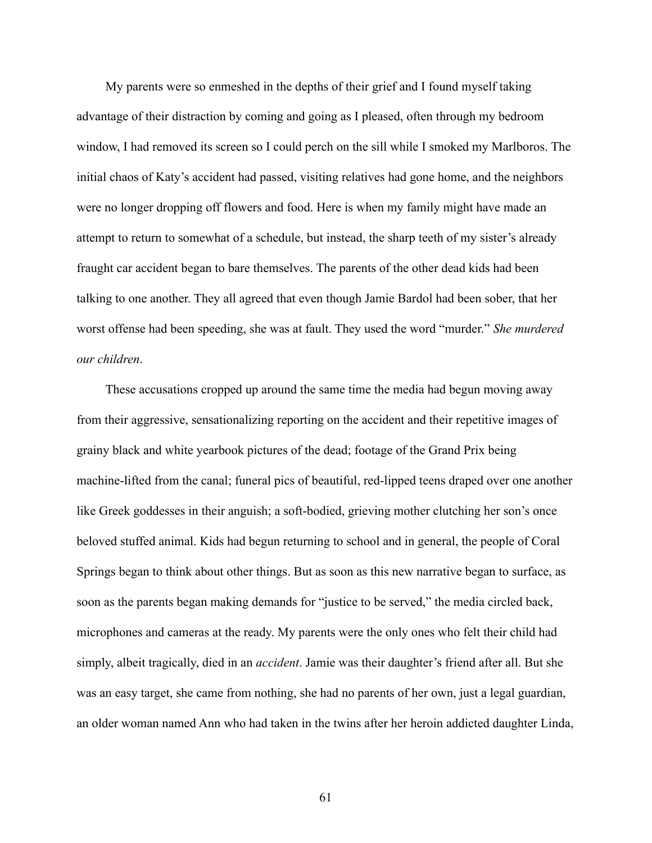My parents were so enmeshed in the depths of their grief and I found myself taking advantage of their distraction by coming and going as I pleased, often through my bedroom window, I had removed its screen so I could perch on the sill while I smoked my Marlboros. The initial chaos of Katy's accident had passed, visiting relatives had gone home, and the neighbors were no longer dropping off flowers and food. Here is when my family might have made an attempt to return to somewhat of a schedule, but instead, the sharp teeth of my sister's already fraught car accident began to bare themselves. The parents of the other dead kids had been talking to one another. They all agreed that even though Jamie Bardol had been sober, that her worst offense had been speeding, she was at fault. They used the word "murder." *She murdered our children*.

These accusations cropped up around the same time the media had begun moving away from their aggressive, sensationalizing reporting on the accident and their repetitive images of grainy black and white yearbook pictures of the dead; footage of the Grand Prix being machine-lifted from the canal; funeral pics of beautiful, red-lipped teens draped over one another like Greek goddesses in their anguish; a soft-bodied, grieving mother clutching her son's once beloved stuffed animal. Kids had begun returning to school and in general, the people of Coral Springs began to think about other things. But as soon as this new narrative began to surface, as soon as the parents began making demands for "justice to be served," the media circled back, microphones and cameras at the ready. My parents were the only ones who felt their child had simply, albeit tragically, died in an *accident*. Jamie was their daughter's friend after all. But she was an easy target, she came from nothing, she had no parents of her own, just a legal guardian, an older woman named Ann who had taken in the twins after her heroin addicted daughter Linda,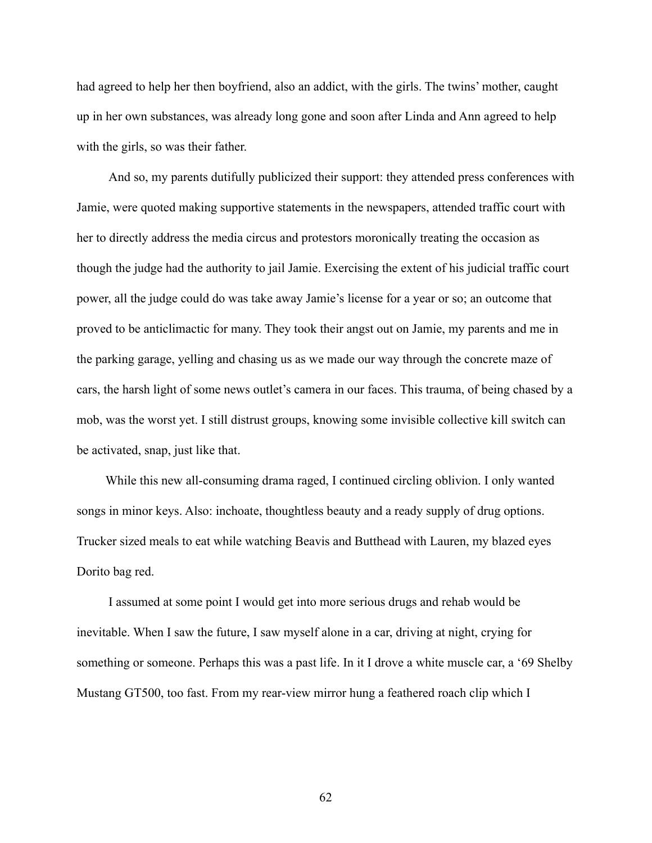had agreed to help her then boyfriend, also an addict, with the girls. The twins' mother, caught up in her own substances, was already long gone and soon after Linda and Ann agreed to help with the girls, so was their father.

And so, my parents dutifully publicized their support: they attended press conferences with Jamie, were quoted making supportive statements in the newspapers, attended traffic court with her to directly address the media circus and protestors moronically treating the occasion as though the judge had the authority to jail Jamie. Exercising the extent of his judicial traffic court power, all the judge could do was take away Jamie's license for a year or so; an outcome that proved to be anticlimactic for many. They took their angst out on Jamie, my parents and me in the parking garage, yelling and chasing us as we made our way through the concrete maze of cars, the harsh light of some news outlet's camera in our faces. This trauma, of being chased by a mob, was the worst yet. I still distrust groups, knowing some invisible collective kill switch can be activated, snap, just like that.

While this new all-consuming drama raged, I continued circling oblivion. I only wanted songs in minor keys. Also: inchoate, thoughtless beauty and a ready supply of drug options. Trucker sized meals to eat while watching Beavis and Butthead with Lauren, my blazed eyes Dorito bag red.

I assumed at some point I would get into more serious drugs and rehab would be inevitable. When I saw the future, I saw myself alone in a car, driving at night, crying for something or someone. Perhaps this was a past life. In it I drove a white muscle car, a '69 Shelby Mustang GT500, too fast. From my rear-view mirror hung a feathered roach clip which I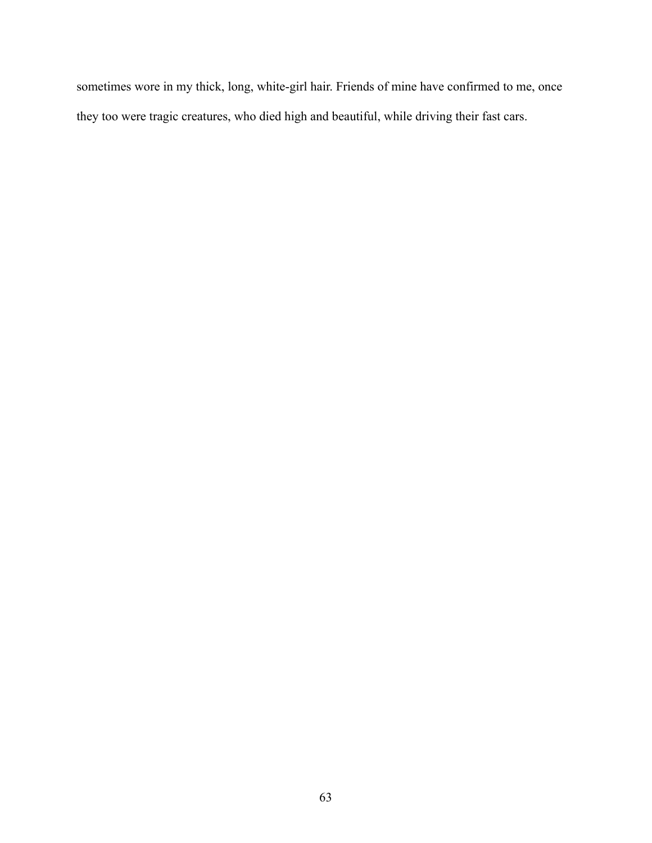sometimes wore in my thick, long, white-girl hair. Friends of mine have confirmed to me, once they too were tragic creatures, who died high and beautiful, while driving their fast cars.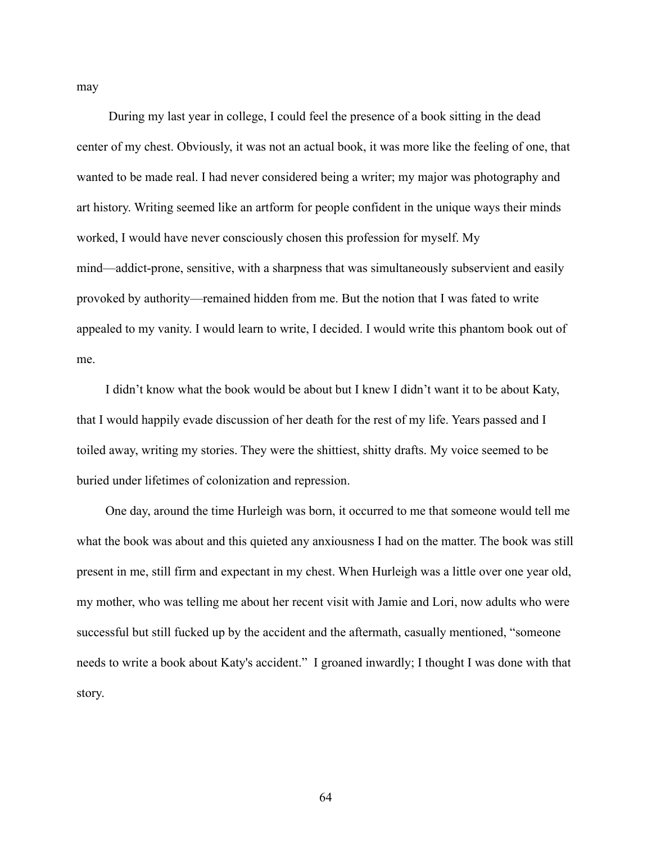may

During my last year in college, I could feel the presence of a book sitting in the dead center of my chest. Obviously, it was not an actual book, it was more like the feeling of one, that wanted to be made real. I had never considered being a writer; my major was photography and art history. Writing seemed like an artform for people confident in the unique ways their minds worked, I would have never consciously chosen this profession for myself. My mind—addict-prone, sensitive, with a sharpness that was simultaneously subservient and easily provoked by authority—remained hidden from me. But the notion that I was fated to write appealed to my vanity. I would learn to write, I decided. I would write this phantom book out of me.

I didn't know what the book would be about but I knew I didn't want it to be about Katy, that I would happily evade discussion of her death for the rest of my life. Years passed and I toiled away, writing my stories. They were the shittiest, shitty drafts. My voice seemed to be buried under lifetimes of colonization and repression.

One day, around the time Hurleigh was born, it occurred to me that someone would tell me what the book was about and this quieted any anxiousness I had on the matter. The book was still present in me, still firm and expectant in my chest. When Hurleigh was a little over one year old, my mother, who was telling me about her recent visit with Jamie and Lori, now adults who were successful but still fucked up by the accident and the aftermath, casually mentioned, "someone needs to write a book about Katy's accident." I groaned inwardly; I thought I was done with that story.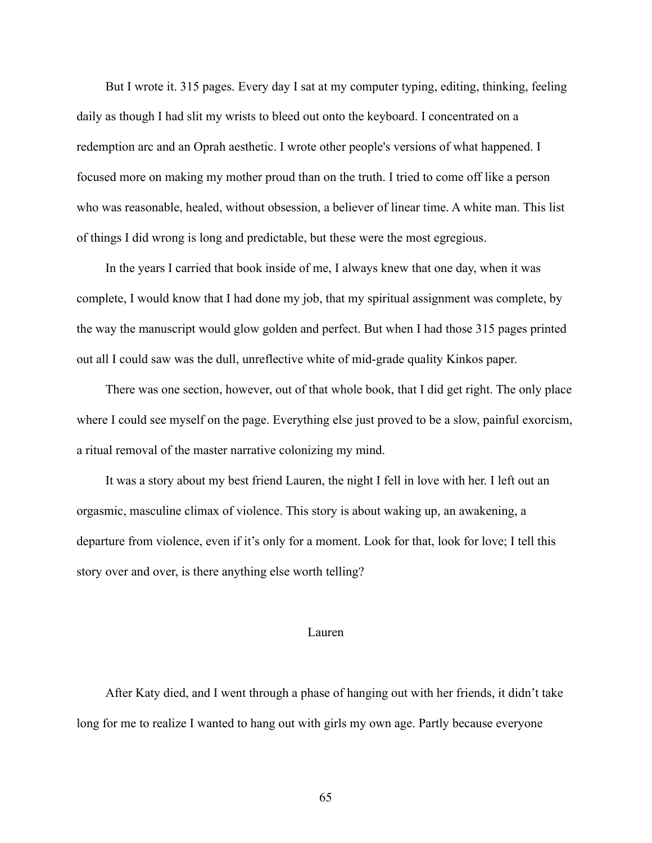But I wrote it. 315 pages. Every day I sat at my computer typing, editing, thinking, feeling daily as though I had slit my wrists to bleed out onto the keyboard. I concentrated on a redemption arc and an Oprah aesthetic. I wrote other people's versions of what happened. I focused more on making my mother proud than on the truth. I tried to come off like a person who was reasonable, healed, without obsession, a believer of linear time. A white man. This list of things I did wrong is long and predictable, but these were the most egregious.

In the years I carried that book inside of me, I always knew that one day, when it was complete, I would know that I had done my job, that my spiritual assignment was complete, by the way the manuscript would glow golden and perfect. But when I had those 315 pages printed out all I could saw was the dull, unreflective white of mid-grade quality Kinkos paper.

There was one section, however, out of that whole book, that I did get right. The only place where I could see myself on the page. Everything else just proved to be a slow, painful exorcism, a ritual removal of the master narrative colonizing my mind.

It was a story about my best friend Lauren, the night I fell in love with her. I left out an orgasmic, masculine climax of violence. This story is about waking up, an awakening, a departure from violence, even if it's only for a moment. Look for that, look for love; I tell this story over and over, is there anything else worth telling?

## Lauren

After Katy died, and I went through a phase of hanging out with her friends, it didn't take long for me to realize I wanted to hang out with girls my own age. Partly because everyone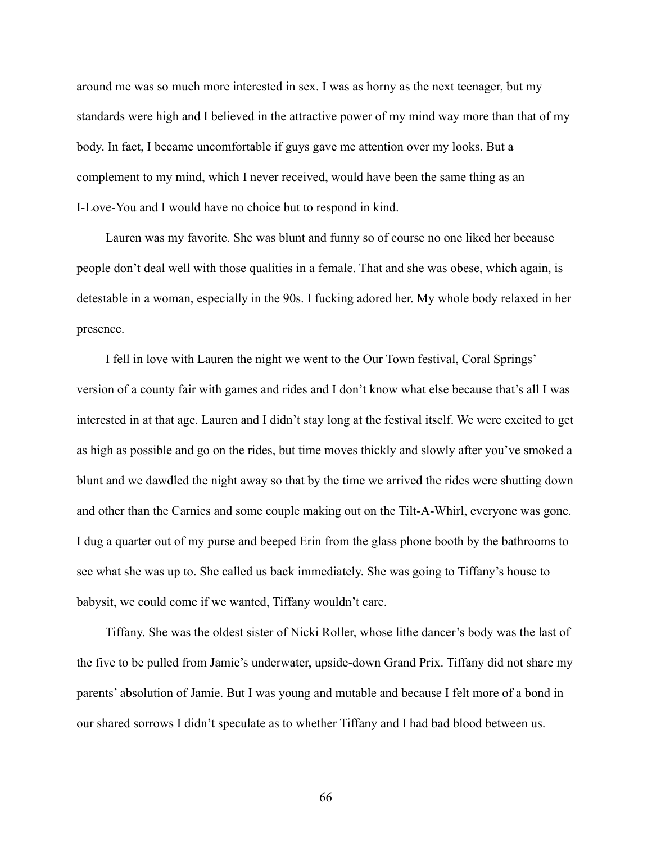around me was so much more interested in sex. I was as horny as the next teenager, but my standards were high and I believed in the attractive power of my mind way more than that of my body. In fact, I became uncomfortable if guys gave me attention over my looks. But a complement to my mind, which I never received, would have been the same thing as an I-Love-You and I would have no choice but to respond in kind.

Lauren was my favorite. She was blunt and funny so of course no one liked her because people don't deal well with those qualities in a female. That and she was obese, which again, is detestable in a woman, especially in the 90s. I fucking adored her. My whole body relaxed in her presence.

I fell in love with Lauren the night we went to the Our Town festival, Coral Springs' version of a county fair with games and rides and I don't know what else because that's all I was interested in at that age. Lauren and I didn't stay long at the festival itself. We were excited to get as high as possible and go on the rides, but time moves thickly and slowly after you've smoked a blunt and we dawdled the night away so that by the time we arrived the rides were shutting down and other than the Carnies and some couple making out on the Tilt-A-Whirl, everyone was gone. I dug a quarter out of my purse and beeped Erin from the glass phone booth by the bathrooms to see what she was up to. She called us back immediately. She was going to Tiffany's house to babysit, we could come if we wanted, Tiffany wouldn't care.

Tiffany. She was the oldest sister of Nicki Roller, whose lithe dancer's body was the last of the five to be pulled from Jamie's underwater, upside-down Grand Prix. Tiffany did not share my parents' absolution of Jamie. But I was young and mutable and because I felt more of a bond in our shared sorrows I didn't speculate as to whether Tiffany and I had bad blood between us.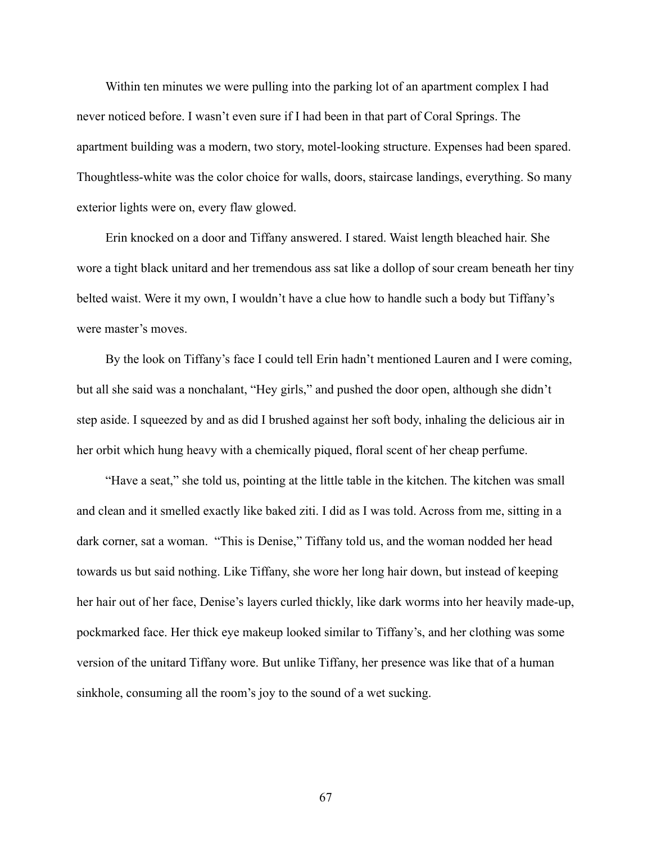Within ten minutes we were pulling into the parking lot of an apartment complex I had never noticed before. I wasn't even sure if I had been in that part of Coral Springs. The apartment building was a modern, two story, motel-looking structure. Expenses had been spared. Thoughtless-white was the color choice for walls, doors, staircase landings, everything. So many exterior lights were on, every flaw glowed.

Erin knocked on a door and Tiffany answered. I stared. Waist length bleached hair. She wore a tight black unitard and her tremendous ass sat like a dollop of sour cream beneath her tiny belted waist. Were it my own, I wouldn't have a clue how to handle such a body but Tiffany's were master's moves.

By the look on Tiffany's face I could tell Erin hadn't mentioned Lauren and I were coming, but all she said was a nonchalant, "Hey girls," and pushed the door open, although she didn't step aside. I squeezed by and as did I brushed against her soft body, inhaling the delicious air in her orbit which hung heavy with a chemically piqued, floral scent of her cheap perfume.

"Have a seat," she told us, pointing at the little table in the kitchen. The kitchen was small and clean and it smelled exactly like baked ziti. I did as I was told. Across from me, sitting in a dark corner, sat a woman. "This is Denise," Tiffany told us, and the woman nodded her head towards us but said nothing. Like Tiffany, she wore her long hair down, but instead of keeping her hair out of her face, Denise's layers curled thickly, like dark worms into her heavily made-up, pockmarked face. Her thick eye makeup looked similar to Tiffany's, and her clothing was some version of the unitard Tiffany wore. But unlike Tiffany, her presence was like that of a human sinkhole, consuming all the room's joy to the sound of a wet sucking.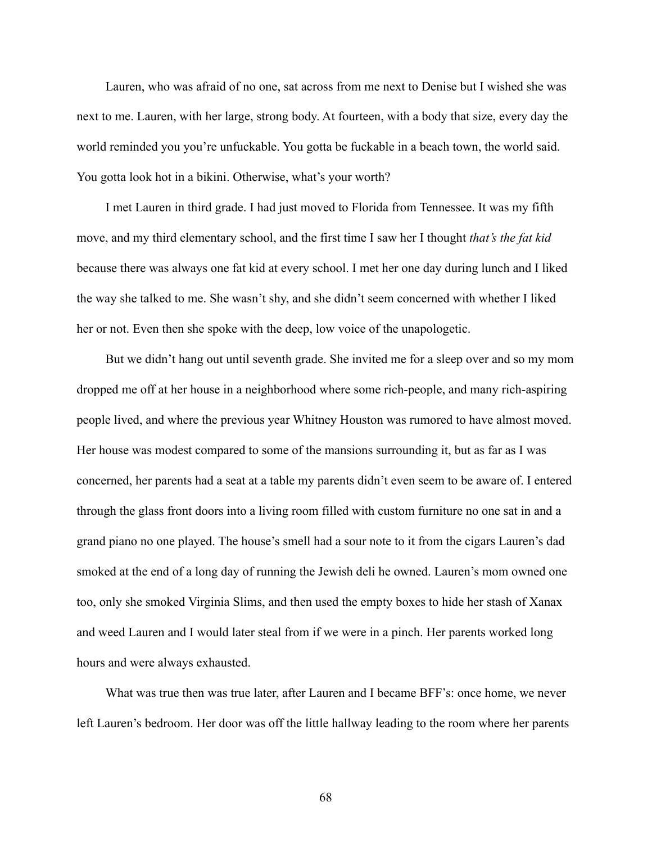Lauren, who was afraid of no one, sat across from me next to Denise but I wished she was next to me. Lauren, with her large, strong body. At fourteen, with a body that size, every day the world reminded you you're unfuckable. You gotta be fuckable in a beach town, the world said. You gotta look hot in a bikini. Otherwise, what's your worth?

I met Lauren in third grade. I had just moved to Florida from Tennessee. It was my fifth move, and my third elementary school, and the first time I saw her I thought *that's the fat kid* because there was always one fat kid at every school. I met her one day during lunch and I liked the way she talked to me. She wasn't shy, and she didn't seem concerned with whether I liked her or not. Even then she spoke with the deep, low voice of the unapologetic.

But we didn't hang out until seventh grade. She invited me for a sleep over and so my mom dropped me off at her house in a neighborhood where some rich-people, and many rich-aspiring people lived, and where the previous year Whitney Houston was rumored to have almost moved. Her house was modest compared to some of the mansions surrounding it, but as far as I was concerned, her parents had a seat at a table my parents didn't even seem to be aware of. I entered through the glass front doors into a living room filled with custom furniture no one sat in and a grand piano no one played. The house's smell had a sour note to it from the cigars Lauren's dad smoked at the end of a long day of running the Jewish deli he owned. Lauren's mom owned one too, only she smoked Virginia Slims, and then used the empty boxes to hide her stash of Xanax and weed Lauren and I would later steal from if we were in a pinch. Her parents worked long hours and were always exhausted.

What was true then was true later, after Lauren and I became BFF's: once home, we never left Lauren's bedroom. Her door was off the little hallway leading to the room where her parents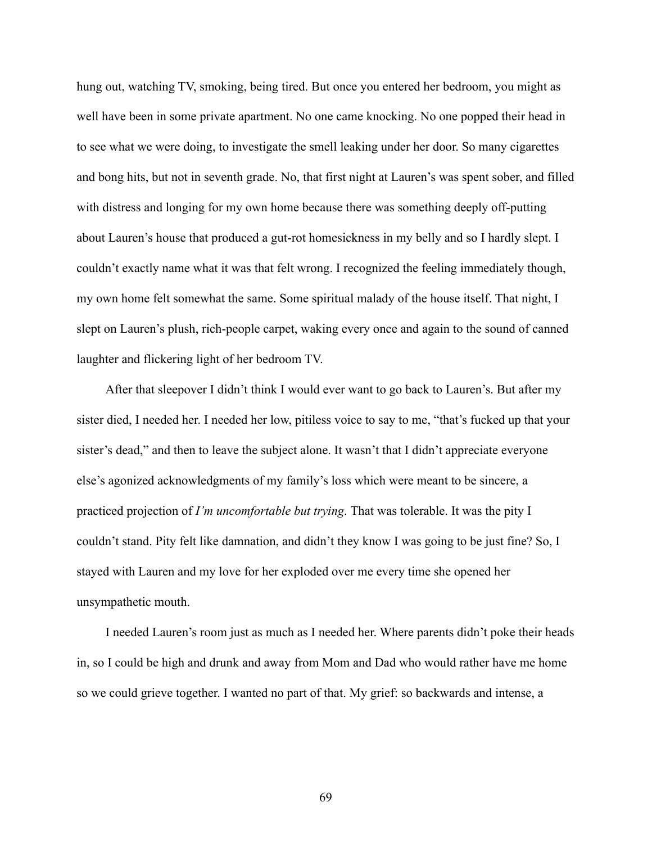hung out, watching TV, smoking, being tired. But once you entered her bedroom, you might as well have been in some private apartment. No one came knocking. No one popped their head in to see what we were doing, to investigate the smell leaking under her door. So many cigarettes and bong hits, but not in seventh grade. No, that first night at Lauren's was spent sober, and filled with distress and longing for my own home because there was something deeply off-putting about Lauren's house that produced a gut-rot homesickness in my belly and so I hardly slept. I couldn't exactly name what it was that felt wrong. I recognized the feeling immediately though, my own home felt somewhat the same. Some spiritual malady of the house itself. That night, I slept on Lauren's plush, rich-people carpet, waking every once and again to the sound of canned laughter and flickering light of her bedroom TV.

After that sleepover I didn't think I would ever want to go back to Lauren's. But after my sister died, I needed her. I needed her low, pitiless voice to say to me, "that's fucked up that your sister's dead," and then to leave the subject alone. It wasn't that I didn't appreciate everyone else's agonized acknowledgments of my family's loss which were meant to be sincere, a practiced projection of *I'm uncomfortable but trying*. That was tolerable. It was the pity I couldn't stand. Pity felt like damnation, and didn't they know I was going to be just fine? So, I stayed with Lauren and my love for her exploded over me every time she opened her unsympathetic mouth.

I needed Lauren's room just as much as I needed her. Where parents didn't poke their heads in, so I could be high and drunk and away from Mom and Dad who would rather have me home so we could grieve together. I wanted no part of that. My grief: so backwards and intense, a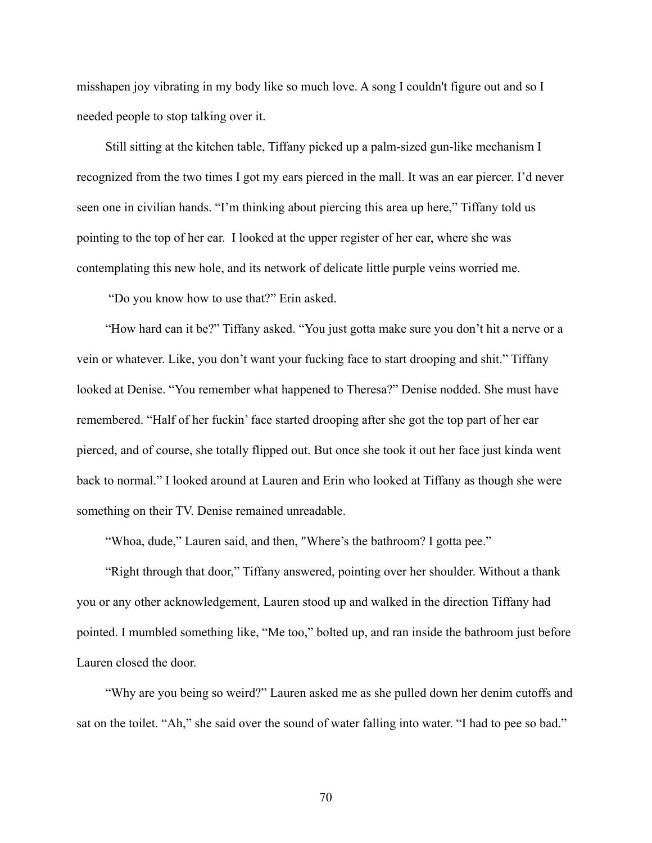misshapen joy vibrating in my body like so much love. A song I couldn't figure out and so I needed people to stop talking over it.

Still sitting at the kitchen table, Tiffany picked up a palm-sized gun-like mechanism I recognized from the two times I got my ears pierced in the mall. It was an ear piercer. I'd never seen one in civilian hands. "I'm thinking about piercing this area up here," Tiffany told us pointing to the top of her ear. I looked at the upper register of her ear, where she was contemplating this new hole, and its network of delicate little purple veins worried me.

"Do you know how to use that?" Erin asked.

"How hard can it be?" Tiffany asked. "You just gotta make sure you don't hit a nerve or a vein or whatever. Like, you don't want your fucking face to start drooping and shit." Tiffany looked at Denise. "You remember what happened to Theresa?" Denise nodded. She must have remembered. "Half of her fuckin' face started drooping after she got the top part of her ear pierced, and of course, she totally flipped out. But once she took it out her face just kinda went back to normal." I looked around at Lauren and Erin who looked at Tiffany as though she were something on their TV. Denise remained unreadable.

"Whoa, dude," Lauren said, and then, "Where's the bathroom? I gotta pee."

"Right through that door," Tiffany answered, pointing over her shoulder. Without a thank you or any other acknowledgement, Lauren stood up and walked in the direction Tiffany had pointed. I mumbled something like, "Me too," bolted up, and ran inside the bathroom just before Lauren closed the door.

"Why are you being so weird?" Lauren asked me as she pulled down her denim cutoffs and sat on the toilet. "Ah," she said over the sound of water falling into water. "I had to pee so bad."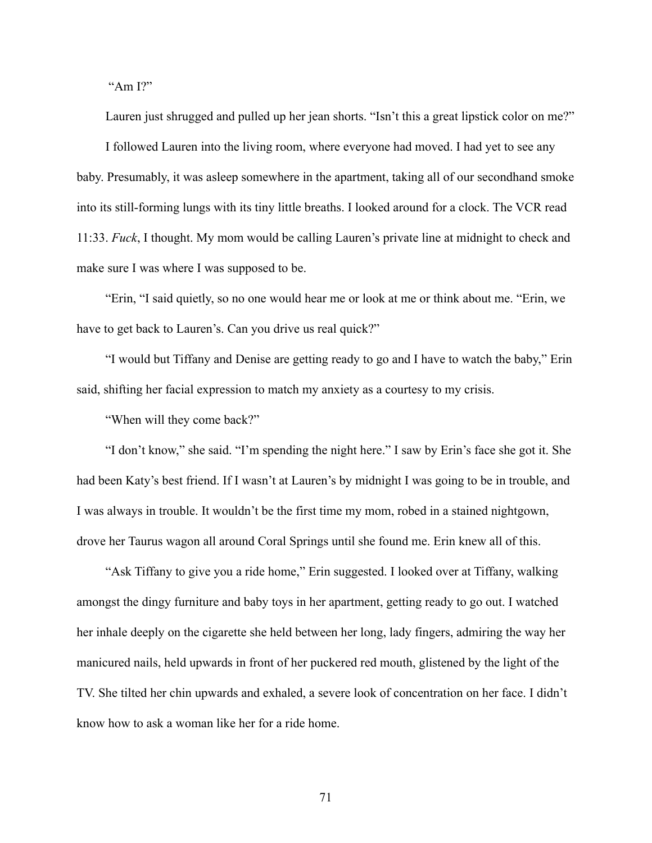"Am I?"

Lauren just shrugged and pulled up her jean shorts. "Isn't this a great lipstick color on me?"

I followed Lauren into the living room, where everyone had moved. I had yet to see any baby. Presumably, it was asleep somewhere in the apartment, taking all of our secondhand smoke into its still-forming lungs with its tiny little breaths. I looked around for a clock. The VCR read 11:33. *Fuck*, I thought. My mom would be calling Lauren's private line at midnight to check and make sure I was where I was supposed to be.

"Erin, "I said quietly, so no one would hear me or look at me or think about me. "Erin, we have to get back to Lauren's. Can you drive us real quick?"

"I would but Tiffany and Denise are getting ready to go and I have to watch the baby," Erin said, shifting her facial expression to match my anxiety as a courtesy to my crisis.

"When will they come back?"

"I don't know," she said. "I'm spending the night here." I saw by Erin's face she got it. She had been Katy's best friend. If I wasn't at Lauren's by midnight I was going to be in trouble, and I was always in trouble. It wouldn't be the first time my mom, robed in a stained nightgown, drove her Taurus wagon all around Coral Springs until she found me. Erin knew all of this.

"Ask Tiffany to give you a ride home," Erin suggested. I looked over at Tiffany, walking amongst the dingy furniture and baby toys in her apartment, getting ready to go out. I watched her inhale deeply on the cigarette she held between her long, lady fingers, admiring the way her manicured nails, held upwards in front of her puckered red mouth, glistened by the light of the TV. She tilted her chin upwards and exhaled, a severe look of concentration on her face. I didn't know how to ask a woman like her for a ride home.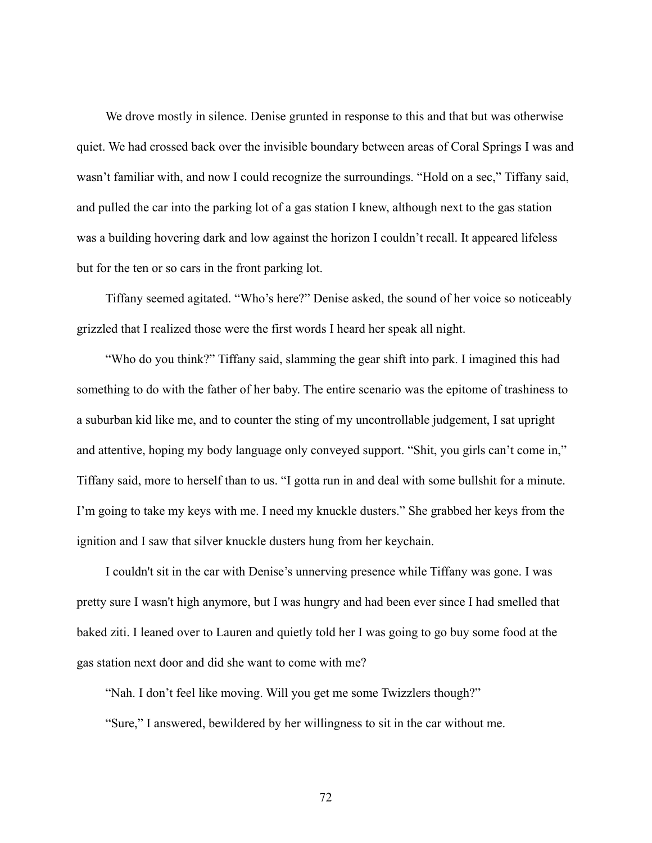We drove mostly in silence. Denise grunted in response to this and that but was otherwise quiet. We had crossed back over the invisible boundary between areas of Coral Springs I was and wasn't familiar with, and now I could recognize the surroundings. "Hold on a sec," Tiffany said, and pulled the car into the parking lot of a gas station I knew, although next to the gas station was a building hovering dark and low against the horizon I couldn't recall. It appeared lifeless but for the ten or so cars in the front parking lot.

Tiffany seemed agitated. "Who's here?" Denise asked, the sound of her voice so noticeably grizzled that I realized those were the first words I heard her speak all night.

"Who do you think?" Tiffany said, slamming the gear shift into park. I imagined this had something to do with the father of her baby. The entire scenario was the epitome of trashiness to a suburban kid like me, and to counter the sting of my uncontrollable judgement, I sat upright and attentive, hoping my body language only conveyed support. "Shit, you girls can't come in," Tiffany said, more to herself than to us. "I gotta run in and deal with some bullshit for a minute. I'm going to take my keys with me. I need my knuckle dusters." She grabbed her keys from the ignition and I saw that silver knuckle dusters hung from her keychain.

I couldn't sit in the car with Denise's unnerving presence while Tiffany was gone. I was pretty sure I wasn't high anymore, but I was hungry and had been ever since I had smelled that baked ziti. I leaned over to Lauren and quietly told her I was going to go buy some food at the gas station next door and did she want to come with me?

"Nah. I don't feel like moving. Will you get me some Twizzlers though?"

"Sure," I answered, bewildered by her willingness to sit in the car without me.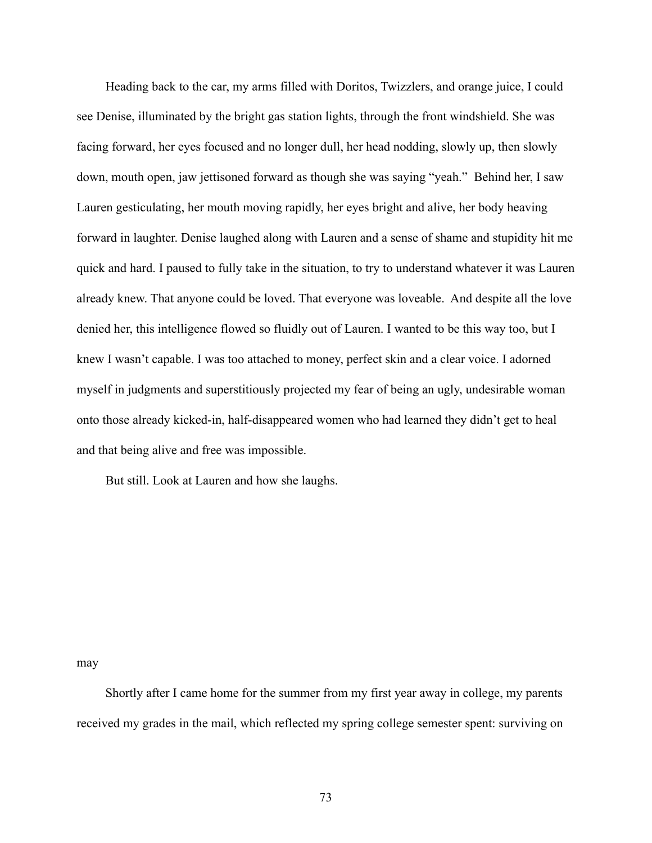Heading back to the car, my arms filled with Doritos, Twizzlers, and orange juice, I could see Denise, illuminated by the bright gas station lights, through the front windshield. She was facing forward, her eyes focused and no longer dull, her head nodding, slowly up, then slowly down, mouth open, jaw jettisoned forward as though she was saying "yeah." Behind her, I saw Lauren gesticulating, her mouth moving rapidly, her eyes bright and alive, her body heaving forward in laughter. Denise laughed along with Lauren and a sense of shame and stupidity hit me quick and hard. I paused to fully take in the situation, to try to understand whatever it was Lauren already knew. That anyone could be loved. That everyone was loveable. And despite all the love denied her, this intelligence flowed so fluidly out of Lauren. I wanted to be this way too, but I knew I wasn't capable. I was too attached to money, perfect skin and a clear voice. I adorned myself in judgments and superstitiously projected my fear of being an ugly, undesirable woman onto those already kicked-in, half-disappeared women who had learned they didn't get to heal and that being alive and free was impossible.

But still. Look at Lauren and how she laughs.

may

Shortly after I came home for the summer from my first year away in college, my parents received my grades in the mail, which reflected my spring college semester spent: surviving on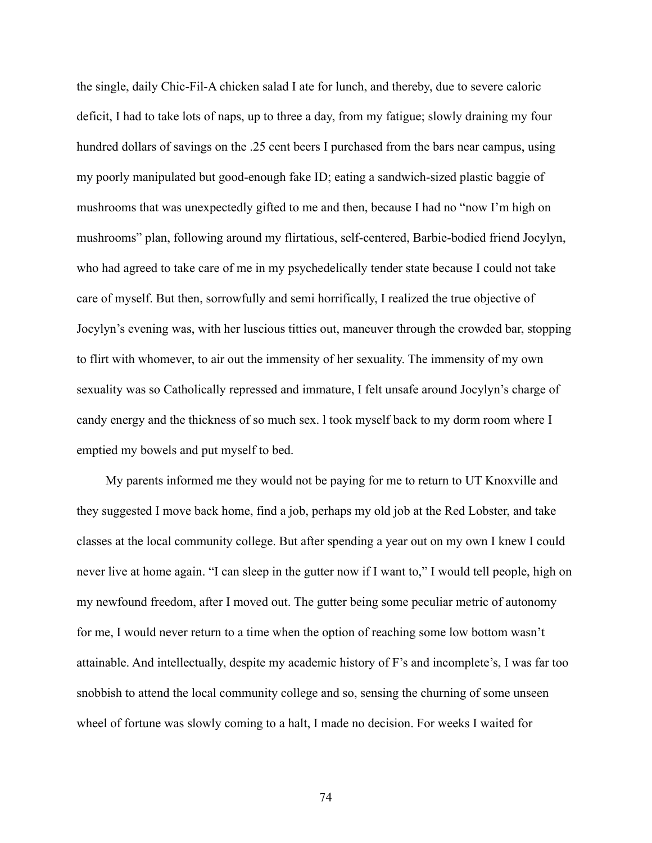the single, daily Chic-Fil-A chicken salad I ate for lunch, and thereby, due to severe caloric deficit, I had to take lots of naps, up to three a day, from my fatigue; slowly draining my four hundred dollars of savings on the .25 cent beers I purchased from the bars near campus, using my poorly manipulated but good-enough fake ID; eating a sandwich-sized plastic baggie of mushrooms that was unexpectedly gifted to me and then, because I had no "now I'm high on mushrooms" plan, following around my flirtatious, self-centered, Barbie-bodied friend Jocylyn, who had agreed to take care of me in my psychedelically tender state because I could not take care of myself. But then, sorrowfully and semi horrifically, I realized the true objective of Jocylyn's evening was, with her luscious titties out, maneuver through the crowded bar, stopping to flirt with whomever, to air out the immensity of her sexuality. The immensity of my own sexuality was so Catholically repressed and immature, I felt unsafe around Jocylyn's charge of candy energy and the thickness of so much sex. l took myself back to my dorm room where I emptied my bowels and put myself to bed.

My parents informed me they would not be paying for me to return to UT Knoxville and they suggested I move back home, find a job, perhaps my old job at the Red Lobster, and take classes at the local community college. But after spending a year out on my own I knew I could never live at home again. "I can sleep in the gutter now if I want to," I would tell people, high on my newfound freedom, after I moved out. The gutter being some peculiar metric of autonomy for me, I would never return to a time when the option of reaching some low bottom wasn't attainable. And intellectually, despite my academic history of F's and incomplete's, I was far too snobbish to attend the local community college and so, sensing the churning of some unseen wheel of fortune was slowly coming to a halt, I made no decision. For weeks I waited for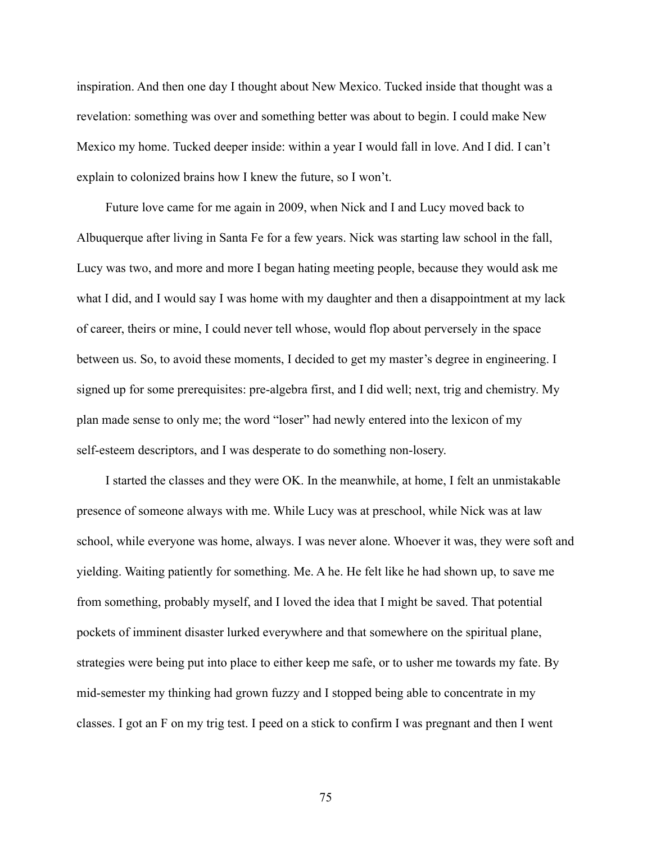inspiration. And then one day I thought about New Mexico. Tucked inside that thought was a revelation: something was over and something better was about to begin. I could make New Mexico my home. Tucked deeper inside: within a year I would fall in love. And I did. I can't explain to colonized brains how I knew the future, so I won't.

Future love came for me again in 2009, when Nick and I and Lucy moved back to Albuquerque after living in Santa Fe for a few years. Nick was starting law school in the fall, Lucy was two, and more and more I began hating meeting people, because they would ask me what I did, and I would say I was home with my daughter and then a disappointment at my lack of career, theirs or mine, I could never tell whose, would flop about perversely in the space between us. So, to avoid these moments, I decided to get my master's degree in engineering. I signed up for some prerequisites: pre-algebra first, and I did well; next, trig and chemistry. My plan made sense to only me; the word "loser" had newly entered into the lexicon of my self-esteem descriptors, and I was desperate to do something non-losery.

I started the classes and they were OK. In the meanwhile, at home, I felt an unmistakable presence of someone always with me. While Lucy was at preschool, while Nick was at law school, while everyone was home, always. I was never alone. Whoever it was, they were soft and yielding. Waiting patiently for something. Me. A he. He felt like he had shown up, to save me from something, probably myself, and I loved the idea that I might be saved. That potential pockets of imminent disaster lurked everywhere and that somewhere on the spiritual plane, strategies were being put into place to either keep me safe, or to usher me towards my fate. By mid-semester my thinking had grown fuzzy and I stopped being able to concentrate in my classes. I got an F on my trig test. I peed on a stick to confirm I was pregnant and then I went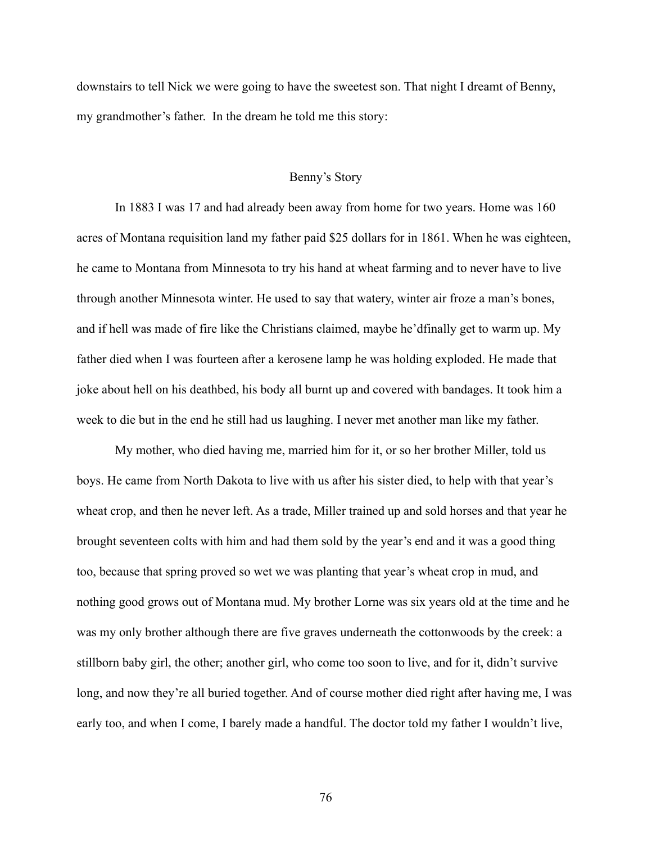downstairs to tell Nick we were going to have the sweetest son. That night I dreamt of Benny, my grandmother's father. In the dream he told me this story:

## Benny's Story

In 1883 I was 17 and had already been away from home for two years. Home was 160 acres of Montana requisition land my father paid \$25 dollars for in 1861. When he was eighteen, he came to Montana from Minnesota to try his hand at wheat farming and to never have to live through another Minnesota winter. He used to say that watery, winter air froze a man's bones, and if hell was made of fire like the Christians claimed, maybe he'dfinally get to warm up. My father died when I was fourteen after a kerosene lamp he was holding exploded. He made that joke about hell on his deathbed, his body all burnt up and covered with bandages. It took him a week to die but in the end he still had us laughing. I never met another man like my father.

My mother, who died having me, married him for it, or so her brother Miller, told us boys. He came from North Dakota to live with us after his sister died, to help with that year's wheat crop, and then he never left. As a trade, Miller trained up and sold horses and that year he brought seventeen colts with him and had them sold by the year's end and it was a good thing too, because that spring proved so wet we was planting that year's wheat crop in mud, and nothing good grows out of Montana mud. My brother Lorne was six years old at the time and he was my only brother although there are five graves underneath the cottonwoods by the creek: a stillborn baby girl, the other; another girl, who come too soon to live, and for it, didn't survive long, and now they're all buried together. And of course mother died right after having me, I was early too, and when I come, I barely made a handful. The doctor told my father I wouldn't live,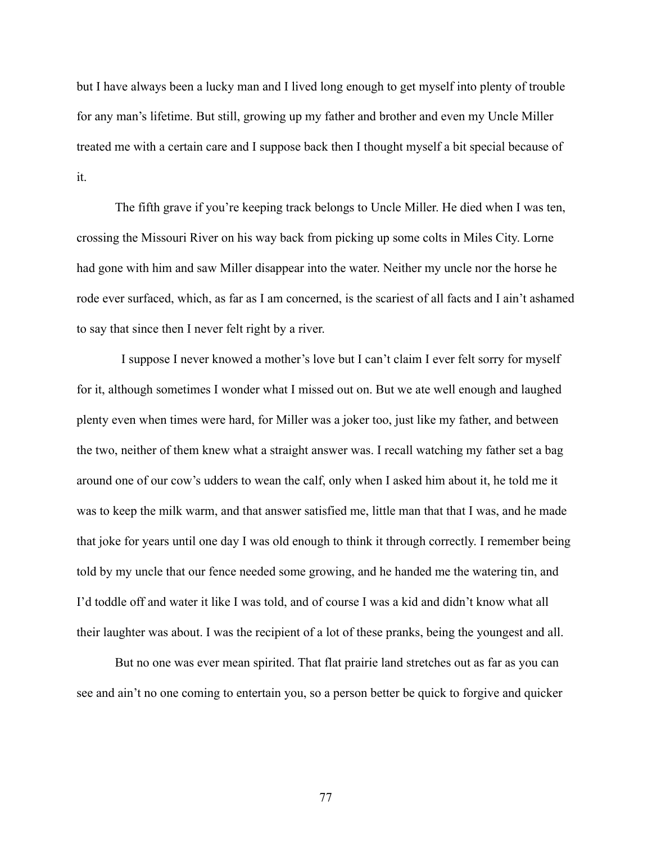but I have always been a lucky man and I lived long enough to get myself into plenty of trouble for any man's lifetime. But still, growing up my father and brother and even my Uncle Miller treated me with a certain care and I suppose back then I thought myself a bit special because of it.

The fifth grave if you're keeping track belongs to Uncle Miller. He died when I was ten, crossing the Missouri River on his way back from picking up some colts in Miles City. Lorne had gone with him and saw Miller disappear into the water. Neither my uncle nor the horse he rode ever surfaced, which, as far as I am concerned, is the scariest of all facts and I ain't ashamed to say that since then I never felt right by a river.

I suppose I never knowed a mother's love but I can't claim I ever felt sorry for myself for it, although sometimes I wonder what I missed out on. But we ate well enough and laughed plenty even when times were hard, for Miller was a joker too, just like my father, and between the two, neither of them knew what a straight answer was. I recall watching my father set a bag around one of our cow's udders to wean the calf, only when I asked him about it, he told me it was to keep the milk warm, and that answer satisfied me, little man that that I was, and he made that joke for years until one day I was old enough to think it through correctly. I remember being told by my uncle that our fence needed some growing, and he handed me the watering tin, and I'd toddle off and water it like I was told, and of course I was a kid and didn't know what all their laughter was about. I was the recipient of a lot of these pranks, being the youngest and all.

But no one was ever mean spirited. That flat prairie land stretches out as far as you can see and ain't no one coming to entertain you, so a person better be quick to forgive and quicker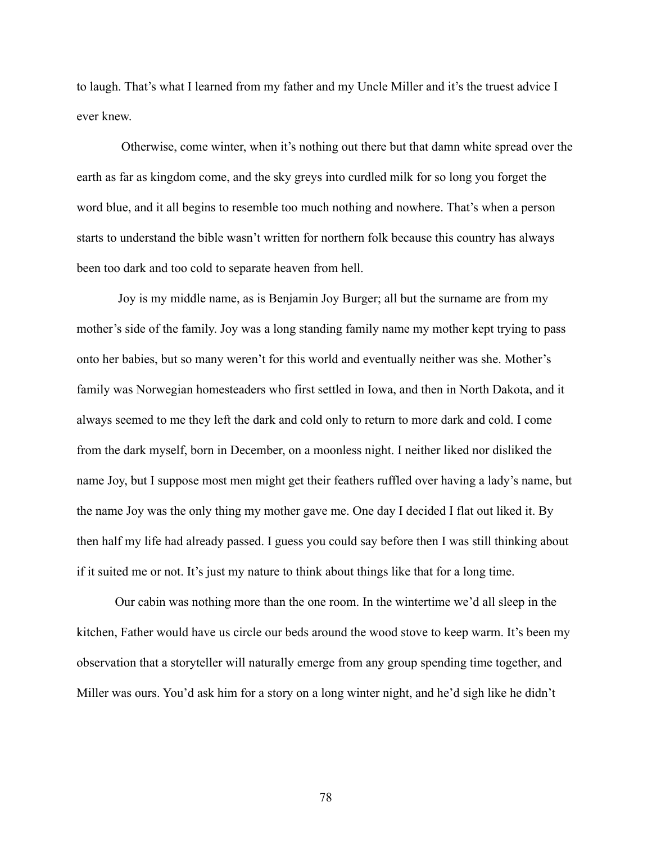to laugh. That's what I learned from my father and my Uncle Miller and it's the truest advice I ever knew.

Otherwise, come winter, when it's nothing out there but that damn white spread over the earth as far as kingdom come, and the sky greys into curdled milk for so long you forget the word blue, and it all begins to resemble too much nothing and nowhere. That's when a person starts to understand the bible wasn't written for northern folk because this country has always been too dark and too cold to separate heaven from hell.

Joy is my middle name, as is Benjamin Joy Burger; all but the surname are from my mother's side of the family. Joy was a long standing family name my mother kept trying to pass onto her babies, but so many weren't for this world and eventually neither was she. Mother's family was Norwegian homesteaders who first settled in Iowa, and then in North Dakota, and it always seemed to me they left the dark and cold only to return to more dark and cold. I come from the dark myself, born in December, on a moonless night. I neither liked nor disliked the name Joy, but I suppose most men might get their feathers ruffled over having a lady's name, but the name Joy was the only thing my mother gave me. One day I decided I flat out liked it. By then half my life had already passed. I guess you could say before then I was still thinking about if it suited me or not. It's just my nature to think about things like that for a long time.

Our cabin was nothing more than the one room. In the wintertime we'd all sleep in the kitchen, Father would have us circle our beds around the wood stove to keep warm. It's been my observation that a storyteller will naturally emerge from any group spending time together, and Miller was ours. You'd ask him for a story on a long winter night, and he'd sigh like he didn't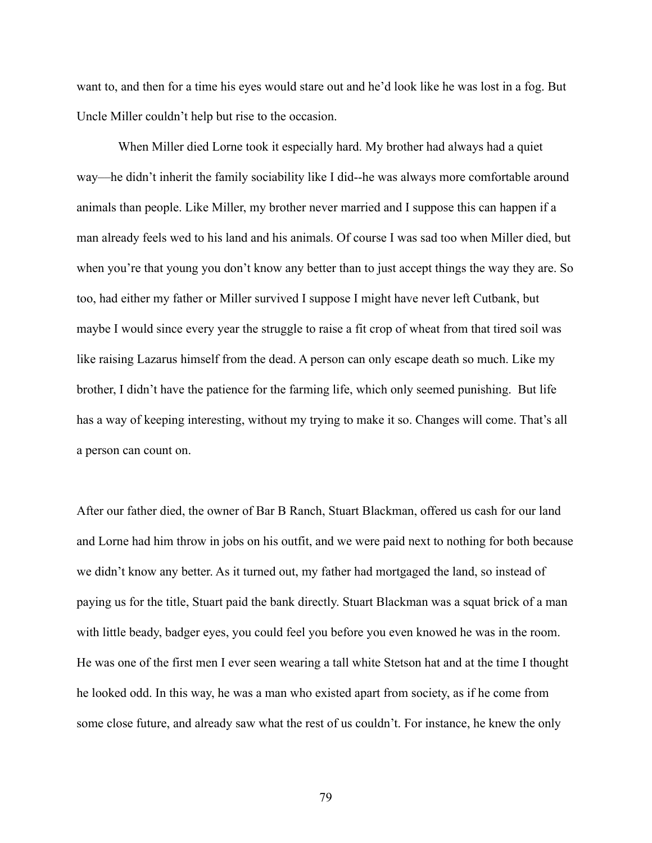want to, and then for a time his eyes would stare out and he'd look like he was lost in a fog. But Uncle Miller couldn't help but rise to the occasion.

When Miller died Lorne took it especially hard. My brother had always had a quiet way––he didn't inherit the family sociability like I did--he was always more comfortable around animals than people. Like Miller, my brother never married and I suppose this can happen if a man already feels wed to his land and his animals. Of course I was sad too when Miller died, but when you're that young you don't know any better than to just accept things the way they are. So too, had either my father or Miller survived I suppose I might have never left Cutbank, but maybe I would since every year the struggle to raise a fit crop of wheat from that tired soil was like raising Lazarus himself from the dead. A person can only escape death so much. Like my brother, I didn't have the patience for the farming life, which only seemed punishing. But life has a way of keeping interesting, without my trying to make it so. Changes will come. That's all a person can count on.

After our father died, the owner of Bar B Ranch, Stuart Blackman, offered us cash for our land and Lorne had him throw in jobs on his outfit, and we were paid next to nothing for both because we didn't know any better. As it turned out, my father had mortgaged the land, so instead of paying us for the title, Stuart paid the bank directly. Stuart Blackman was a squat brick of a man with little beady, badger eyes, you could feel you before you even knowed he was in the room. He was one of the first men I ever seen wearing a tall white Stetson hat and at the time I thought he looked odd. In this way, he was a man who existed apart from society, as if he come from some close future, and already saw what the rest of us couldn't. For instance, he knew the only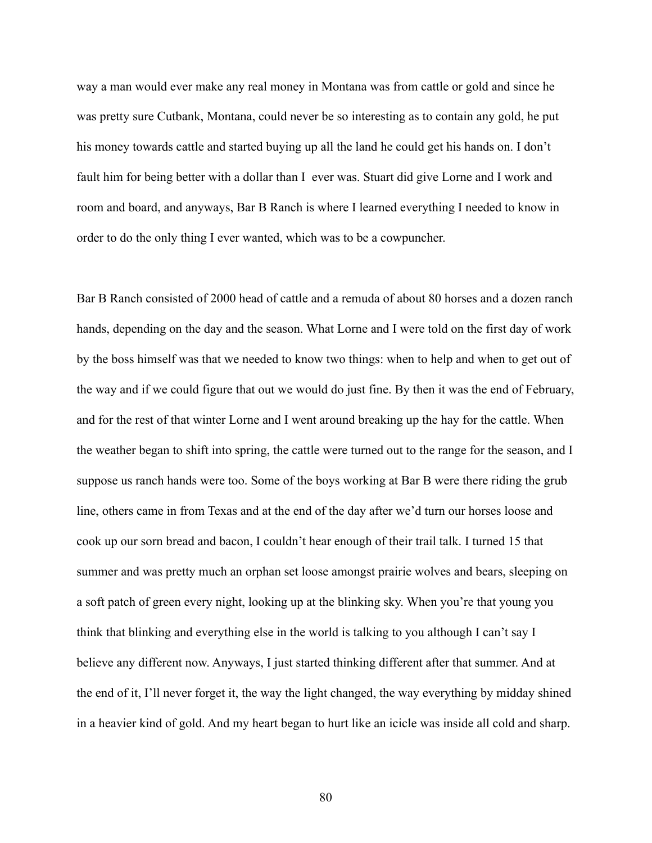way a man would ever make any real money in Montana was from cattle or gold and since he was pretty sure Cutbank, Montana, could never be so interesting as to contain any gold, he put his money towards cattle and started buying up all the land he could get his hands on. I don't fault him for being better with a dollar than I ever was. Stuart did give Lorne and I work and room and board, and anyways, Bar B Ranch is where I learned everything I needed to know in order to do the only thing I ever wanted, which was to be a cowpuncher.

Bar B Ranch consisted of 2000 head of cattle and a remuda of about 80 horses and a dozen ranch hands, depending on the day and the season. What Lorne and I were told on the first day of work by the boss himself was that we needed to know two things: when to help and when to get out of the way and if we could figure that out we would do just fine. By then it was the end of February, and for the rest of that winter Lorne and I went around breaking up the hay for the cattle. When the weather began to shift into spring, the cattle were turned out to the range for the season, and I suppose us ranch hands were too. Some of the boys working at Bar B were there riding the grub line, others came in from Texas and at the end of the day after we'd turn our horses loose and cook up our sorn bread and bacon, I couldn't hear enough of their trail talk. I turned 15 that summer and was pretty much an orphan set loose amongst prairie wolves and bears, sleeping on a soft patch of green every night, looking up at the blinking sky. When you're that young you think that blinking and everything else in the world is talking to you although I can't say I believe any different now. Anyways, I just started thinking different after that summer. And at the end of it, I'll never forget it, the way the light changed, the way everything by midday shined in a heavier kind of gold. And my heart began to hurt like an icicle was inside all cold and sharp.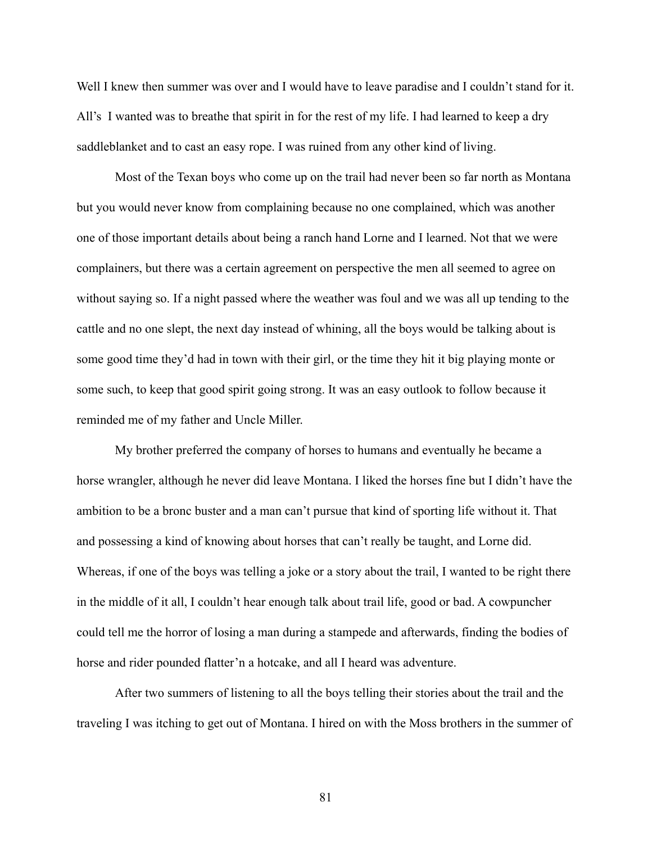Well I knew then summer was over and I would have to leave paradise and I couldn't stand for it. All's I wanted was to breathe that spirit in for the rest of my life. I had learned to keep a dry saddleblanket and to cast an easy rope. I was ruined from any other kind of living.

Most of the Texan boys who come up on the trail had never been so far north as Montana but you would never know from complaining because no one complained, which was another one of those important details about being a ranch hand Lorne and I learned. Not that we were complainers, but there was a certain agreement on perspective the men all seemed to agree on without saying so. If a night passed where the weather was foul and we was all up tending to the cattle and no one slept, the next day instead of whining, all the boys would be talking about is some good time they'd had in town with their girl, or the time they hit it big playing monte or some such, to keep that good spirit going strong. It was an easy outlook to follow because it reminded me of my father and Uncle Miller.

My brother preferred the company of horses to humans and eventually he became a horse wrangler, although he never did leave Montana. I liked the horses fine but I didn't have the ambition to be a bronc buster and a man can't pursue that kind of sporting life without it. That and possessing a kind of knowing about horses that can't really be taught, and Lorne did. Whereas, if one of the boys was telling a joke or a story about the trail, I wanted to be right there in the middle of it all, I couldn't hear enough talk about trail life, good or bad. A cowpuncher could tell me the horror of losing a man during a stampede and afterwards, finding the bodies of horse and rider pounded flatter'n a hotcake, and all I heard was adventure.

After two summers of listening to all the boys telling their stories about the trail and the traveling I was itching to get out of Montana. I hired on with the Moss brothers in the summer of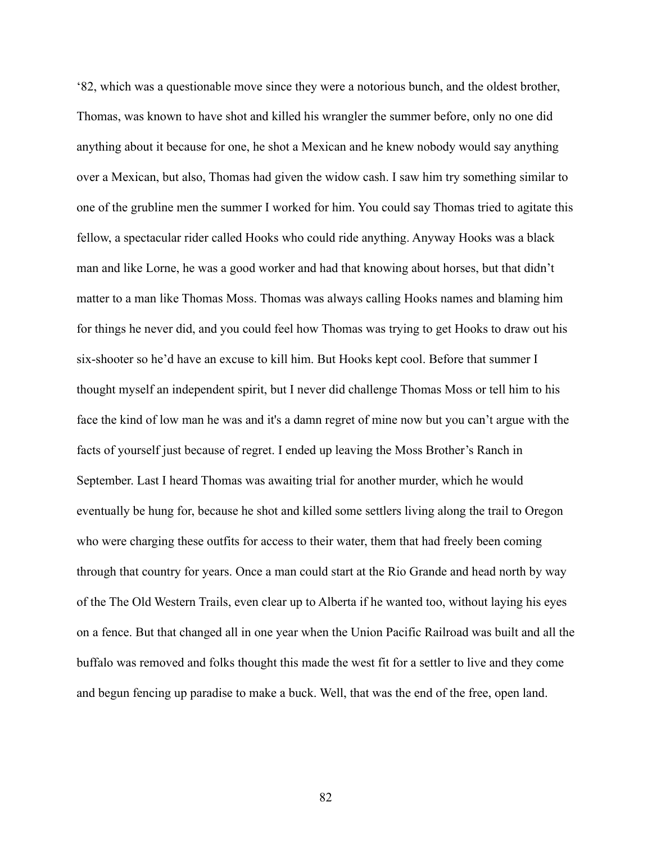'82, which was a questionable move since they were a notorious bunch, and the oldest brother, Thomas, was known to have shot and killed his wrangler the summer before, only no one did anything about it because for one, he shot a Mexican and he knew nobody would say anything over a Mexican, but also, Thomas had given the widow cash. I saw him try something similar to one of the grubline men the summer I worked for him. You could say Thomas tried to agitate this fellow, a spectacular rider called Hooks who could ride anything. Anyway Hooks was a black man and like Lorne, he was a good worker and had that knowing about horses, but that didn't matter to a man like Thomas Moss. Thomas was always calling Hooks names and blaming him for things he never did, and you could feel how Thomas was trying to get Hooks to draw out his six-shooter so he'd have an excuse to kill him. But Hooks kept cool. Before that summer I thought myself an independent spirit, but I never did challenge Thomas Moss or tell him to his face the kind of low man he was and it's a damn regret of mine now but you can't argue with the facts of yourself just because of regret. I ended up leaving the Moss Brother's Ranch in September. Last I heard Thomas was awaiting trial for another murder, which he would eventually be hung for, because he shot and killed some settlers living along the trail to Oregon who were charging these outfits for access to their water, them that had freely been coming through that country for years. Once a man could start at the Rio Grande and head north by way of the The Old Western Trails, even clear up to Alberta if he wanted too, without laying his eyes on a fence. But that changed all in one year when the Union Pacific Railroad was built and all the buffalo was removed and folks thought this made the west fit for a settler to live and they come and begun fencing up paradise to make a buck. Well, that was the end of the free, open land.